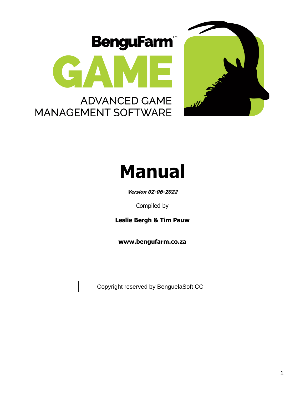





**Version 02-06-2022**

Compiled by

**Leslie Bergh & Tim Pauw**

**www.bengufarm.co.za**

Copyright reserved by BenguelaSoft CC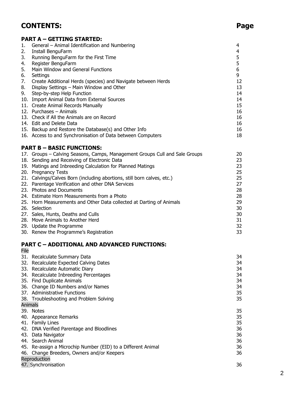# **CONTENTS: Page**

# **PART A – GETTING STARTED:**

| General - Animal Identification and Numbering                               | 4                                                     |
|-----------------------------------------------------------------------------|-------------------------------------------------------|
| Install BenguFarm                                                           | 4                                                     |
| Running BenguFarm for the First Time                                        | 5                                                     |
| Register BenguFarm                                                          | 5                                                     |
| Main Window and General Functions                                           | 6                                                     |
| Settings                                                                    | 9                                                     |
| Create Additional Herds (species) and Navigate between Herds                | 12                                                    |
| Display Settings - Main Window and Other                                    | 13                                                    |
| Step-by-step Help Function                                                  | 14                                                    |
| 10. Import Animal Data from External Sources                                | 14                                                    |
| 11. Create Animal Records Manually                                          | 15                                                    |
| 12. Purchases - Animals                                                     | 16                                                    |
| 13. Check if All the Animals are on Record                                  | 16                                                    |
| 14. Edit and Delete Data                                                    | 16                                                    |
|                                                                             | 16                                                    |
| 16. Access to and Synchronisation of Data between Computers                 | 18                                                    |
| <b>PART B - BASIC FUNCTIONS:</b>                                            |                                                       |
| 17. Groups - Calving Seasons, Camps, Management Groups Cull and Sale Groups | 20                                                    |
| 18. Sending and Receiving of Electronic Data                                | 23                                                    |
| 19. Matings and Inbreeding Calculation for Planned Matings                  | 23                                                    |
| 20. Pregnancy Tests                                                         | 25                                                    |
| 21. Calvings/Calves Born (including abortions, still born calves, etc.)     | 25                                                    |
| 22. Parentage Verification and other DNA Services                           | 27                                                    |
| 23. Photos and Documents                                                    | 28                                                    |
| 24. Estimate Horn Measurements from a Photo                                 | 28                                                    |
| 25. Horn Measurements and Other Data collected at Darting of Animals        | 29                                                    |
| 26. Selection                                                               | 30                                                    |
| 27. Sales, Hunts, Deaths and Culls                                          | 30                                                    |
| 28. Move Animals to Another Herd                                            | 31                                                    |
|                                                                             | 15. Backup and Restore the Database(s) and Other Info |

| 29. Update the Programme               |  |
|----------------------------------------|--|
| 30. Renew the Programme's Registration |  |

#### **PART C – ADDITIONAL AND ADVANCED FUNCTIONS:** File

|                | 31. Recalculate Summary Data                                 | 34 |
|----------------|--------------------------------------------------------------|----|
|                | 32. Recalculate Expected Calving Dates                       | 34 |
|                | 33. Recalculate Automatic Diary                              | 34 |
|                | 34. Recalculate Inbreeding Percentages                       | 34 |
|                | 35. Find Duplicate Animals                                   | 34 |
|                | 36. Change ID Numbers and/or Names                           | 34 |
|                | 37. Administrative Functions                                 | 35 |
|                | 38. Troubleshooting and Problem Solving                      | 35 |
| <b>Animals</b> |                                                              |    |
|                | 39. Notes                                                    | 35 |
|                | 40. Appearance Remarks                                       | 35 |
|                | 41. Family Lines                                             | 35 |
|                | 42. DNA Verified Parentage and Bloodlines                    | 36 |
|                | 43. Data Navigator                                           | 36 |
|                | 44. Search Animal                                            | 36 |
|                | 45. Re-assign a Microchip Number (EID) to a Different Animal | 36 |
|                | 46. Change Breeders, Owners and/or Keepers                   | 36 |
|                | Reproduction                                                 |    |
|                | 47. Synchronisation                                          | 36 |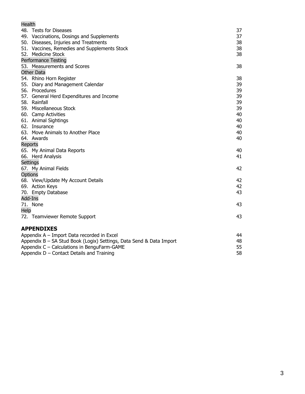| Health  |                                                                     |    |
|---------|---------------------------------------------------------------------|----|
|         | 48. Tests for Diseases                                              | 37 |
|         | 49. Vaccinations, Dosings and Supplements                           | 37 |
|         | 50. Diseases, Injuries and Treatments                               | 38 |
|         | 51. Vaccines, Remedies and Supplements Stock                        | 38 |
|         | 52. Medicine Stock                                                  | 38 |
|         | <b>Performance Testing</b>                                          |    |
|         | 53. Measurements and Scores                                         | 38 |
|         | <b>Other Data</b>                                                   |    |
|         | 54. Rhino Horn Register                                             | 38 |
|         | 55. Diary and Management Calendar                                   | 39 |
|         | 56. Procedures                                                      | 39 |
|         | 57. General Herd Expenditures and Income                            | 39 |
|         | 58. Rainfall                                                        | 39 |
|         | 59. Miscellaneous Stock                                             | 39 |
|         | 60. Camp Activities                                                 | 40 |
|         | 61. Animal Sightings                                                | 40 |
|         | 62. Insurance                                                       | 40 |
|         | 63. Move Animals to Another Place                                   | 40 |
|         | 64. Awards                                                          | 40 |
| Reports |                                                                     |    |
|         | 65. My Animal Data Reports                                          | 40 |
|         | 66. Herd Analysis                                                   | 41 |
|         | Settings                                                            |    |
|         | 67. My Animal Fields                                                | 42 |
| Options |                                                                     |    |
|         | 68. View/Update My Account Details                                  | 42 |
|         | 69. Action Keys                                                     | 42 |
|         | 70. Empty Database                                                  | 43 |
| Add-Ins |                                                                     |    |
|         | 71. None                                                            | 43 |
| Help    |                                                                     |    |
|         | 72. Teamviewer Remote Support                                       | 43 |
|         | <b>APPENDIXES</b>                                                   |    |
|         | Appendix A - Import Data recorded in Excel                          | 44 |
|         | Appendix B - SA Stud Book (Logix) Settings, Data Send & Data Import | 48 |
|         | Appendix C - Calculations in BenguFarm-GAME                         | 55 |
|         | Appendix D - Contact Details and Training                           | 58 |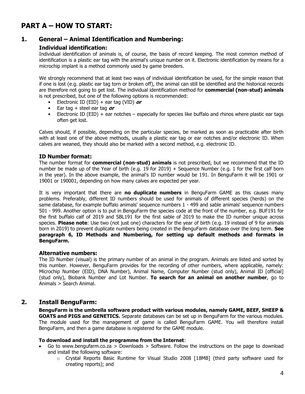# **PART A – HOW TO START:**

# **1. General – Animal Identification and Numbering:**

# **Individual identification:**

Individual identification of animals is, of course, the basis of record keeping. The most common method of identification is a plastic ear tag with the animal's unique number on it. Electronic identification by means for a microchip implant is a method commonly used by game breeders.

We strongly recommend that at least two ways of individual identification be used, for the simple reason that if one is lost (e.g. plastic ear tag torn or broken off), the animal can still be identified and the historical records are therefore not going to get lost. The individual identification method for **commercial (non-stud) animals** is not prescribed, but one of the following options is recommended:

- Electronic ID (EID) + ear tag (VID) **or**
- Ear tag + steel ear tag **or**
- Electronic ID (EID) + ear notches especially for species like buffalo and rhinos where plastic ear tags often get lost.

Calves should, if possible, depending on the particular species, be marked as soon as practicable after birth with at least one of the above methods, usually a plastic ear tag or ear notches and/or electronic ID. When calves are weaned, they should also be marked with a second method, e.g. electronic ID.

#### **ID Number format:**

The number format for **commercial (non-stud) animals** is not prescribed, but we recommend that the ID number be made up of the Year of birth (e.g. 19 for 2019) + Sequence Number (e.g. 1 for the first calf born in the year). In the above example, the animal's ID number would be 191. In BenguFarm it will be 1901 or 19001 or 190001, depending on how many calves are expected per year.

It is very important that there are **no duplicate numbers** in BenguFarm GAME as this causes many problems. Preferably, different ID numbers should be used for animals of different species (herds) on the same database, for example buffalo animals' sequence numbers 1 - 499 and sable animals' sequence numbers 501 - 999. Another option is to put in BenguFarm the species code at the front of the number, e.g. BUF191 for the first buffalo calf of 2019 and SBL191 for the first sable of 2019 to make the ID number unique across species. **Please note**: Use two (not just one) characters for the year of birth (e.g. 19 instead of 9 for animals born in 2019) to prevent duplicate numbers being created in the BenguFarm database over the long term. **See paragraph 6, ID Methods and Numbering, for setting up default methods and formats in BenguFarm.**

#### **Alternative numbers:**

The ID Number (visual) is the primary number of an animal in the program. Animals are listed and sorted by this number. However, BenguFarm provides for the recording of other numbers, where applicable, namely: Microchip Number (EID), DNA Number), Animal Name, Computer Number (stud only), Animal ID [official] (stud only), Biobank Number and Lot Number. **To search for an animal on another number**, go to Animals > Search Animal.

# **2. Install BenguFarm:**

**BenguFarm is the umbrella software product with various modules, namely GAME, BEEF, SHEEP & GOATS and PIGS and GENETICS.** Separate databases can be set up in BenguFarm for the various modules. The module used for the management of game is called BenguFarm GAME. You will therefore install BenguFarm, and then a game database is registered for the GAME module.

#### **To download and install the programme from the Internet**:

- Go to [www.bengufarm.co.za](http://www.bengufarm.co.za/) > Downloads > Software. Follow the instructions on the page to download and install the following software:
	- $\circ$  Crystal Reports Basic Runtime for Visual Studio 2008 [18MB] (third party software used for creating reports); and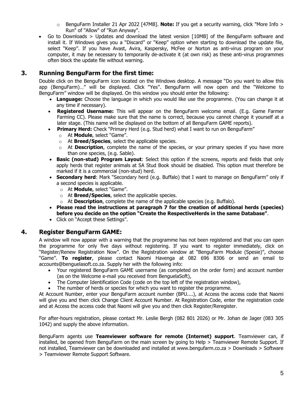- o BenguFarm Installer 21 Apr 2022 [47MB]. **Note:** If you get a security warning, click "More Info > Run" of "Allow" of "Run Anyway".
- Go to Downloads > Updates and download the latest version [10MB] of the BenguFarm software and install it. If Windows gives you a "Discard" or "Keep" option when starting to download the update file, select "Keep". If you have Avast, Avira, Kaspersky, McFee or Norton as anti-virus program on your computer, it may be necessary to temporarily de-activate it (at own risk) as these anti-virus programmes often block the update file without warning.

# **3. Running BenguFarm for the first time:**

Double click on the BenguFarm icon located on the Windows desktop. A message "Do you want to allow this app (BenguFarm)…" will be displayed. Click "Yes". BenguFarm will now open and the "Welcome to BenguFarm" window will be displayed. On this window you should enter the following:

- **Language:** Choose the language in which you would like use the programme. (You can change it at any time if necessary).
- **Registered Username:** This will appear on the BenguFarm welcome email. (E.g. Game Farmer Farming CC). Please make sure that the name is correct, because you cannot change it yourself at a later stage. (This name will be displayed on the bottom of all BenguFarm GAME reports).
- **Primary Herd:** Check "Primary Herd (e.g. Stud herd) what I want to run on BenguFarm"
	- o At **Module**, select "Game".
	- o At **Breed/Species**, select the applicable species.
	- o At **Description**, complete the name of the species, or your primary species if you have more than one species, (e.g. Sable).
- **Basic (non-stud) Program Layout**: Select this option if the screens, reports and fields that only apply herds that register animals at SA Stud Book should be disabled. This option must therefore be marked if it is a commercial (non-stud) herd.
- **Secondary herd**: Mark "Secondary herd (e.g. Buffalo) that I want to manage on BenguFarm" only if a second species is applicable.
	- o At **Module**, select "Game".
	- o At **Breed/Species**, select the applicable species.
	- o At **Description**, complete the name of the applicable species (e.g. Buffalo).
- **Please read the instructions at paragraph 7 for the creation of additional herds (species) before you decide on the option "Create the RespectiveHerds in the same Database"**.
- Click on "Accept these Settings".

# **4. Register BenguFarm GAME:**

A window will now appear with a warning that the programme has not been registered and that you can open the programme for only five days without registering. If you want to register immediately, click on "Register/Renew Registration Now". On the Registration window at "BenguFarm Module (Spesie)", choose "Game". **To register**, please contact Naomi Havenga at 082 696 8306 or send an email to accounts@benguelasoft.co.za. Supply her with the following info:

- Your registered BenguFarm GAME username (as completed on the order form) and account number (as on the Welcome e-mail you received from BenguelaSoft),
- The Computer Identification Code (code on the top left of the registration window),
- The number of herds or species for which you want to register the programme.

At Account Number, enter your BenguFarm account number (BPU....), at Access the access code that Naomi will give you and then click Change Client Account Number. At Registration Code, enter the registration code and at Access the access code that Naomi will give you and then click Register/Reregister.

For after-hours registration, please contact Mr. Leslie Bergh (082 801 2026) or Mr. Johan de Jager (083 305 1042) and supply the above information.

BenguFarm agents use **Teamviewer software for remote (Internet) support**. Teamviewer can, if installed, be opened from BenguFarm on the main screen by going to Help > Teamviewer Remote Support. If not installed, Teamviewer can be downloaded and installed at www.bengufarm.co.za > Downloads > Software > Teamviewer Remote Support Software.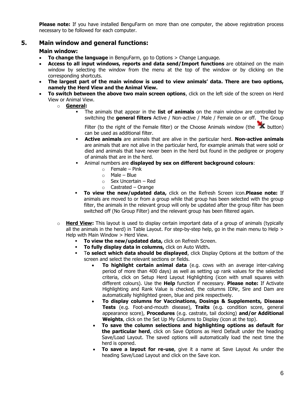**Please note:** If you have installed BenguFarm on more than one computer, the above registration process necessary to be followed for each computer.

# **5. Main window and general functions:**

#### **Main window:**

- **To change the language** in BenguFarm, go to Options > Change Language.
- **Access to all input windows, reports and data send/Import functions** are obtained on the main window by selecting the window from the menu at the top of the window or by clicking on the corresponding shortcuts.
- **The largest part of the main window is used to view animals' data. There are two options, namely the Herd View and the Animal View.**
- **To switch between the above two main screen options**, click on the left side of the screen on Herd View or Animal View.
	- o **General:**
		- The animals that appear in the **list of animals** on the main window are controlled by switching the **general filters** Active / Non-active / Male / Female on or off. The Group

Filter (to the right of the Female filter) or the Choose Animals window (the  $\mathbf{\hat{X}}$  button) can be used as additional filter.

- **Active animals** are animals that are alive in the particular herd. **Non-active animals** are animals that are not alive in the particular herd, for example animals that were sold or died and animals that have never been in the herd but found in the pedigree or progeny of animals that are in the herd.
- Animal numbers are **displayed by sex on different background colours**:
	- $\circ$  Female Pink
	- $\circ$  Male Blue
	- o Sex Uncertain Red
	- $\circ$  Castrated Orange
- **To view the new/updated data,** click on the Refresh Screen icon.**Please note:** If animals are moved to or from a group while that group has been selected with the group filter, the animals in the relevant group will only be updated after the group filter has been switched off (No Group Filter) and the relevant group has been filtered again.
- o **Herd View:** This layout is used to display certain important data of a group of animals (typically all the animals in the herd) in Table Layout. For step-by-step help, go in the main menu to Help > Help with Main Window > Herd View.
	- To view the new/updated data, click on Refresh Screen.
	- **To fully display data in columns,** click on Auto Width.
	- T**o select which data should be displayed**, click Display Options at the bottom of the screen and select the relevant sections or fields.
		- **To highlight certain animal data** (e.g. cows with an average inter-calving period of more than 400 days) as well as setting up rank values for the selected criteria, click on Setup Herd Layout Highlighting (icon with small squares with different colours). Use the **Help** function if necessary. **Please note:** If Activate Highlighting and Rank Value is checked, the columns IDNr, Sire and Dam are automatically highlighted green, blue and pink respectively.
		- **To display columns for Vaccinations, Dosings & Supplements, Disease Tests** (e.g. Foot-and-mouth disease), **Traits** (e.g. condition score, general appearance score), **Procedures** (e.g. castrate, tail docking) **and/or Additional Weights**, click on the Set Up My Columns to Display (icon at the top).
		- **To save the column selections and highlighting options as default for the particular herd**, click on Save Options as Herd Default under the heading Save/Load Layout. The saved options will automatically load the next time the herd is opened.
		- **To save a layout for re-use**, give it a name at Save Layout As under the heading Save/Load Layout and click on the Save icon.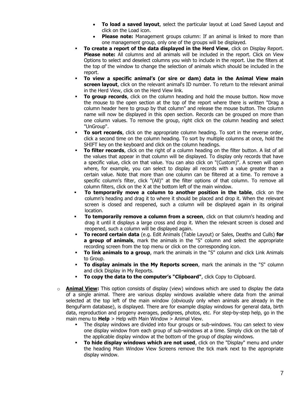- **To load a saved layout**, select the particular layout at Load Saved Layout and click on the Load icon.
- **Please note:** Management groups column: If an animal is linked to more than one management group, only one of the groups will be displayed.
- **To create a report of the data displayed in the Herd View**, click on Display Report. **Please note:** All columns and all animals will be included in the report. Click on View Options to select and deselect columns you wish to include in the report. Use the filters at the top of the window to change the selection of animals which should be included in the report.
- **To view a specific animal's (or sire or dam) data in the Animal View main screen layout**, click on the relevant animal's ID number. To return to the relevant animal in the Herd View, click on the Herd View link.
- **To group records**, click on the column heading and hold the mouse button. Now move the mouse to the open section at the top of the report where there is written "Drag a column header here to group by that column" and release the mouse button. The column name will now be displayed in this open section. Records can be grouped on more than one column values. To remove the group, right click on the column heading and select "UnGroup".
- **To sort records**, click on the appropriate column heading. To sort in the reverse order, click a second time on the column heading. To sort by multiple columns at once, hold the SHIFT key on the keyboard and click on the column headings.
- **To filter records**, click on the right of a column heading on the filter button. A list of all the values that appear in that column will be displayed. To display only records that have a specific value, click on that value. You can also click on "(Custom)". A screen will open where, for example, you can select to display all records with a value greater than a certain value. Note that more than one column can be filtered at a time. To remove a specific column's filter, click "(All)" at the filter options of that column. To remove all column filters, click on the X at the bottom left of the main window.
- **·** To temporarily move a column to another position in the table, click on the column's heading and drag it to where it should be placed and drop it. When the relevant screen is closed and reopened, such a column will be displayed again in its original location.
- **To temporarily remove a column from a screen**, click on that column's heading and drag it until it displays a large cross and drop it. When the relevant screen is closed and reopened, such a column will be displayed again.
- **To record certain data** (e.g. Edit Animals (Table Layout) or Sales, Deaths and Culls) **for a group of animals**, mark the animals in the "S" column and select the appropriate recording screen from the top menu or click on the corresponding icon.
- **To link animals to a group**, mark the animals in the "S" column and click Link Animals to Group.
- **To display animals in the My Reports screen**, mark the animals in the "S" column and click Display in My Reports.
- **To copy the data to the computer's "Clipboard"**, click Copy to Clipboard.
- o **Animal View:** This option consists of display (view) windows which are used to display the data of a single animal. There are various display windows available where data from the animal selected at the top left of the main window (obviously only when animals are already in the BenguFarm database), is displayed. There are for example display windows for general data, birth data, reproduction and progeny averages, pedigrees, photos, etc. For step-by-step help, go in the main menu to **Help** > Help with Main Window > Animal View.
	- The display windows are divided into four groups or sub-windows. You can select to view one display window from each group of sub-windows at a time. Simply click on the tab of the applicable display window at the bottom of the group of display windows.
	- **To hide display windows which are not used**, click on the "Display" menu and under the heading Main Window View Screens remove the tick mark next to the appropriate display window.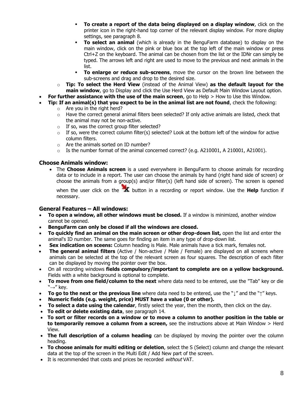- **To create a report of the data being displayed on a display window**, click on the printer icon in the right-hand top corner of the relevant display window. For more display settings, see paragraph 8.
- **To select an animal** (which is already in the BenguFarm database) to display on the main window, click on the pink or blue box at the top left of the main window or press Ctrl+Z on the keyboard. The animal can be chosen from the list or the IDNr can simply be typed. The arrows left and right are used to move to the previous and next animals in the list.
- **To enlarge or reduce sub-screens**, move the cursor on the brown line between the sub-screens and drag and drop to the desired size.
- o **Tip: To select the Herd View** (instead of the Animal View) **as the default layout for the main window**, go to Display and click the Use Herd View as Default Main Window Layout option.
- **For further assistance with the use of the main screen**, go to Help > How to Use this Window.
- **Tip: If an animal(s) that you expect to be in the animal list are not found**, check the following: o Are you in the right herd?
	- $\circ$  Have the correct general animal filters been selected? If only active animals are listed, check that the animal may not be non-active.
	- o If so, was the correct group filter selected?
	- $\circ$  If so, were the correct column filter(s) selected? Look at the bottom left of the window for active column filters.
	- o Are the animals sorted on ID number?
	- o Is the number format of the animal concerned correct? (e.g. A210001, A 210001, A21001).

#### **Choose Animals window:**

• The **Choose Animals screen** is a used everywhere in BenguFarm to choose animals for recording data or to include in a report. The user can choose the animals by hand (right hand side of screen) or choose the animals from a group(s) and/or filter(s) (left hand side of screen). The screen is opened

when the user click on the **X** button in a recording or report window. Use the **Help** function if necessary.

#### **General Features – All windows:**

- **To open a window, all other windows must be closed.** If a window is minimized, another window cannot be opened.
- **BenguFarm can only be closed if all the windows are closed.**
- **To quickly find an animal on the main screen or other drop-down list,** open the list and enter the animal's ID number. The same goes for finding an item in any type of drop-down list.
- **Sex indication on sceens:** Column heading is Male. Male animals have a tick mark, females not.
- **The general animal filters** (Active / Non-active / Male / Female) are displayed on all screens where animals can be selected at the top of the relevant screen as four squares. The description of each filter can be displayed by moving the pointer over the box.
- On all recording windows **fields compulsory/important to complete are on a yellow background.**  Fields with a white background is optional to complete.
- **To move from one field/column to the next** where data need to be entered, use the "Tab" key or die  $" \rightarrow"$  kev.
- **To go to the next or the previous line** where data need to be entered, use the " $\downarrow$ " and the " $\uparrow$ " keys.
- **Numeric fields (e.g. weight, price) MUST have a value (0 or other).**
- **To select a date using the calendar**, firstly select the year, then the month, then click on the day.
- **To edit or delete existing data**, see paragraph 14.
- **To sort or filter records on a window or to move a column to another position in the table or to temporarily remove a column from a screen,** see the instructions above at Main Window > Herd View.
- **The full description of a column heading** can be displayed by moving the pointer over the column heading.
- **To choose animals for multi editing or deletion**, select the S (Select) column and change the relevant data at the top of the screen in the Multi Edit / Add New part of the screen.
- It is recommended that costs and prices be recorded without VAT.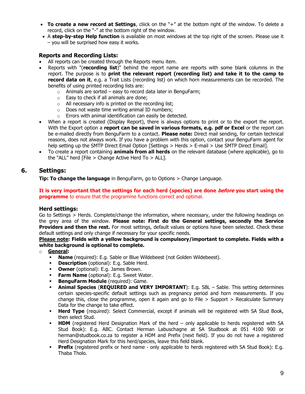- **To create a new record at Settings**, cliick on the "+" at the bottom right of the window. To delete a record, cliick on the "-" at the bottom right of the window.
- A **step-by-step Help function** is available on most windows at the top right of the screen. Please use it – you will be surprised how easy it works.

#### **Reports and Recording Lists:**

- All reports can be created through the Reports menu item.
- Reports with "(**recording list**)" behind the report name are reports with some blank columns in the report. The purpose is to **print the relevant report (recording list) and take it to the camp to record data on it**, e.g. a Trait Lists (recording list) on which horn measurements can be recorded. The benefits of using printed recording lists are:
	- $\circ$  Animals are sorted easy to record data later in BenguFarm;
	- o Easy to check if all animals are done;
	- $\circ$  All necessary info is printed on the recording list;
	- o Does not waste time writing animal ID numbers;
	- o Errors with animal identification can easily be detected.
- When a report is created (Display Report), there is always options to print or to the export the report. With the Export option a **report can be saved in various formats, e.g. pdf or Excel** or the report can be e-mailed directly from BenguFarm to a contact. **Please note:** Direct mail sending, for certain technical reasons, does not always work. If you have a problem with this option, contact your BenguFarm agent for help setting up the SMTP Direct Email Option [Settings > Herds > E-mail > Use SMTP Direct Email].
- To create a report containing **animals from all herds** on the relevant database (where applicable), go to the "ALL" herd [File > Change Active Herd To > ALL].

# **6. Settings:**

**Tip: To change the language** in BenguFarm, go to Options > Change Language.

**It is very important that the settings for each herd (species) are done before you start using the programme** to ensure that the programme functions correct and optimal.

#### **Herd settings:**

Go to Settings > Herds. Complete/change the information, where necessary, under the following headings on the grey area of the window. **Please note: First do the General settings, secondly the Service Providers and then the rest.** For most settings, default values or options have been selected. Check these default settings and only change if necessary for your specific needs.

#### **Please note: Fields with a yellow background is compulsory/important to complete. Fields with a white background is optional to complete.**

- o **General:** 
	- **Name** (required): E.g. Sable or Blue Wildebeest (not Golden Wildebeest).
	- **Description** (optional): E.g. Sable Herd.
	- **Owner** (optional): E.g. James Brown.
	- **Farm Name** (optional): E.g. Sweet Water.
	- **BenguFarm Module** (required): Game.
	- **Animal Species** (**REQUIRED and VERY IMPORTANT**): E.g. SBL Sable. This setting determines certain species-specific default settings such as pregnancy period and horn measurements. If you change this, close the programme, open it again and go to File  $>$  Support  $>$  Recalculate Summary Data for the change to take effect.
	- **Herd Type** (required): Select Commercial, except if animals will be registered with SA Stud Book, then select Stud.
	- **HDM** (registered Herd Designation Mark of the herd only applicable to herds registered with SA Stud Book): E.g. ABC. Contact Herman Labuschagne at SA Studbook at 051 4100 900 or herman@studbook.co.za to register a HDM and Prefix (next field). If you do not have a registered Herd Designation Mark for this herd/species, leave this field blank.
	- **Prefix** (registered prefix or herd name only applicable to herds registered with SA Stud Book): E.g. Thaba Tholo.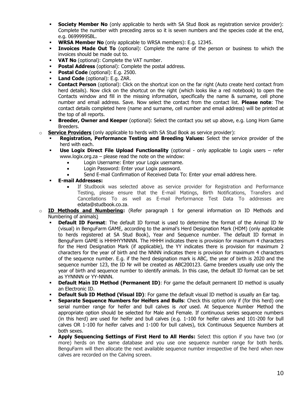- **Society Member No** (only applicable to herds with SA Stud Book as registration service provider): Complete the number with preceding zeros so it is seven numbers and the species code at the end, e.g. 0699999SBL.
- **WRSA Member No** (only applicable to WRSA members): E.g. 12345.
- **Example 3 Invoices Made Out To** (optional): Complete the name of the person or business to which the invoices should be made out to.
- **VAT No** (optional): Complete the VAT number.
- **Postal Address** (optional): Complete the postal address.
- **Postal Code** (optional): E.g. 2500.
- Land Code (optional): E.g. ZAR.
- **Contact Person** (optional): Click on the shortcut icon on the far right (Auto create herd contact from herd details). Now click on the shortcut on the right (which looks like a red notebook) to open the Contacts window and fill in the missing information, specifically the name & surname, cell phone number and email address. Save. Now select the contact from the contact list. **Please note**: The contact details completed here (name and surname, cell number and email address) will be printed at the top of all reports.
- **Example Figure 1 Breeder, Owner and Keeper** (optional): Select the contact you set up above, e.g. Long Horn Game Breeders.
- o **Service Providers** (only applicable to herds with SA Stud Book as service provider):
	- **Registration, Performance Testing and Breeding Values:** Select the service provider of the herd with each.
	- **Use Logix Direct File Upload Functionality** (optional only applicable to Logix users refer www.logix.org.za – please read the note on the window:
		- Login Username: Enter your Logix username.
		- Login Password: Enter your Logix password.
		- Send E-mail Confirmation of Received Data To: Enter your email address here.
	- **E-mail Addresses:**
		- If Studbook was selected above as service provider for Registration and Performance Testing, please ensure that the E-mail Matings, Birth Notifications, Transfers and Cancellations To as well as E-mail Performance Test Data To addresses are edata@studbook.co.za.
- o **ID Methods and Numbering:** (Refer paragraph 1 for general information on ID Methods and Numbering of animals)
	- **Default ID Format:** The default ID format is used to determine the format of the Animal ID Nr (visual) in BenguFarm GAME, according to the animal's Herd Designation Mark (HDM) (only applicable to herds registered at SA Stud Book), Year and Sequence number. The default ID format in BenguFarm GAME is HHHHYYNNNN. The HHHH indicates there is provision for maximum 4 characters for the Herd Designation Mark (if applicable), the YY indicates there is provision for maximum 2 characters for the year of birth and the NNNN indicates there is provision for maximum 4 characters of the sequence number. E.g. if the herd designation mark is ABC, the year of birth is 2020 and the sequence number 123, the ID Nr will be created as ABC200123. Game breeders usually use only the year of birth and sequence number to identify animals. In this case, the default ID format can be set as YYNNNN or YY-NNNN.
	- **Default Main ID Method (Permanent ID):** For game the default permanent ID method is usually an Electronic ID.
	- **Default Sub ID Method (Visual ID):** For game the default visual ID method is usually an Ear tag.
	- **Separate Sequence Numbers for Heifers and Bulls:** Check this option only if (for this herd) one serial number range for heifer and bull calves is not used. At Sequence Number Method the appropriate option should be selected for Male and Female. If continuous series sequence numbers (in this herd) are used for heifer and bull calves (e.g. 1-100 for heifer calves and 101-200 for bull calves OR 1-100 for heifer calves and 1-100 for bull calves), tick Continuous Sequence Numbers at both sexes.
	- Apply Sequencing Settings of First Herd to All Herds: Select this option if you have two (or more) herds on the same database and you use one sequence number range for both herds. BenguFarm will then allocate the next available sequence number irrespective of the herd when new calves are recorded on the Calving screen.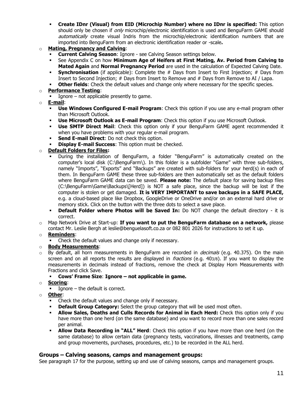- **Create IDnr (Visual) from EID (Microchip Number) where no IDnr is specified:** This option should only be chosen if only microchip/electronic identification is used and BenguFarm GAME should automatically create visual Indris from the microchip/electronic identification numbers that are imported into BenguFarm from an electronic identification reader or -scale**.**
- o **Mating, Pregnancy and Calving**:
	- **Current Calving Season**: Ignore see Calving Season settings below.
	- See Appendix C on how **Minimum Age of Heifers at First Mating, Av. Period from Calving to Mated Again** and **Normal Pregnancy Period** are used in the calculation of Expected Calving Date.
	- **Synchronisation** (if applicable): Complete the # Days from Insert to First Injection; # Days from Insert to Second Injection; # Days from Insert to Remove and # Days from Remove to AI / Lapa.
	- **Other fields:** Check the default values and change only where necessary for the specific species.

#### o **Performance Testing**:

- **•** Ignore not applicable presently to game.
- o **E-mail**:
	- **Use Windows Configured E-mail Program:** Check this option if you use any e-mail program other than Microsoft Outlook.
	- **Use Microsoft Outlook as E-mail Program**: Check this option if you use Microsoft Outlook.
	- **Use SMTP Direct Mail:** Check this option only if your BenguFarm GAME agent recommended it when you have problems with your regular e-mail program.
	- **EXECT:** Do not check this option.
	- **Display E-mail Success:** This option must be checked.

# o **Default Folders for Files:**

- During the installation of BenguFarm, a folder "BenguFarm" is automatically created on the computer's local disk (C:\BenguFarm\). In this folder is a subfolder "Game" with three sub-folders, namely "Imports", "Exports" and "Backups" are created with sub-folders for your herd(s) in each of them. In BenguFarm GAME these three sub-folders are then automatically set as the default folders where BenguFarm GAME data can be saved. **Please note:** The default place for saving backup files (C:\BenguFarm\Game\Backups\[Herd]) is NOT a safe place, since the backup will be lost if the computer is stolen or get damaged. **It is VERY IMPORTANT to save backups in a SAFE PLACE,**  e.g. a cloud-based place like Dropbox, GoogleDrive or OneDrive and/or on an external hard drive or memory stick. Click on the button with the three dots to select a save place.
- **Default Folder where Photos will be Saved In:** Do NOT change the default directory it is correct.
- o Map Network Drive at Start-up: **If you want to put the BenguFarm database on a network,** please contact Mr. Leslie Bergh at leslie@benguelasoft.co.za or 082 801 2026 for instructions to set it up.

#### o **Reminders**:

▪ Check the default values and change only if necessary.

#### o **Body Measurements**:

 $\circ$  By default, all horn measurements in BenguFarm are recorded in *decimals* (e.g. 40.375). On the main screen and on all reports the results are displayed in *fractions* (e.g. 403/8). If you want to display the measurements in decimals instead of fractions, remove the check at Display Horn Measurements with Fractions and click Save.

#### ▪ **Cows' Frame Size**: **Ignore – not applicable in game.**

- o **Scoring**:
	- $\blacksquare$  Ignore the default is correct.

#### o **Other**:

- Check the default values and change only if necessary.
- **Default Group Category:** Select the group category that will be used most often.
- **Allow Sales, Deaths and Culls Records for Animal in Each Herd:** Check this option only if you have more than one herd (on the same database) and you want to record more than one sales record per animal.
- **EXTED IN MILLET HEREASE IS NOTENARY IN A LET ALLY HEREASE IS NOTENARY COMBO THE AND THE AND THE AND THE AND THE** same database) to allow certain data (pregnancy tests, vaccinations, illnesses and treatments, camp and group movements, purchases, procedures, etc.) to be recorded in the ALL herd.

#### **Groups – Calving seasons, camps and management groups:**

See paragraph 17 for the purpose, setting up and use of calving seasons, camps and management groups.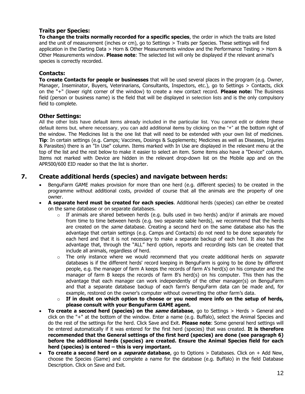#### **Traits per Species:**

**To change the traits normally recorded for a specific species**, the order in which the traits are listed and the unit of measurement (inches or cm), go to Settings > Traits per Species. These settings will find application in the Darting Data > Horn & Other Measurements window and the Performance Testing > Horn & Other Measurements window. **Please note**: The selected list will only be displayed if the relevant animal's species is correctly recorded.

#### **Contacts:**

**To create Contacts for people or businesses** that will be used several places in the program (e.g. Owner, Manager, Inseminator, Buyers, Veterinarians, Consultants, Inspectors, etc.), go to Settings > Contacts, click on the "+" (lower right corner of the window) to create a new contact record. **Please note:** The Business field (person or business name) is the field that will be displayed in selection lists and is the only compulsory field to complete.

#### **Other Settings:**

All the other lists have default items already included in the particular list. You cannot edit or delete these default items but, where necessary, you can add additional items by clicking on the "+" at the bottom right of the window. The Medicines list is the one list that will need to be extended with your own list of medicines. **Tip**: In certain settings (e.g. Camps; Vaccines, Dosings & Supplements; Medicines as well as Diseases, Injuries & Parasites) there is an "In Use" column. Items marked with In Use are displayed in the relevant menu at the top of the list and the rest below to make it easier to select an item. Some items also have a "Device" column. Items not marked with Device are hidden in the relevant drop-down list on the Mobile app and on the APR500/600 EID reader so that the list is shorter.

# **7. Create additional herds (species) and navigate between herds:**

- BenguFarm GAME makes provision for more than one herd (e.g. different species) to be created in the programme without additional costs, provided of course that all the animals are the property of one owner.
- **A separate herd must be created for each species**. Additional herds (species) can either be created on the same database or on separate databases.
	- $\circ$  If animals are shared between herds (e.g. bulls used in two herds) and/or if animals are moved from time to time between herds (e.g. two separate sable herds), we recommend that the herds are created on the *same* database. Creating a second herd on the same database also has the advantage that certain settings (e.g. Camps and Contacts) do not need to be done separately for each herd and that it is not necessary to make a separate backup of each herd. It also has the advantage that, through the "ALL" herd option, reports and recording lists can be created that include all animals, regardless of herd.
	- $\circ$  The only instance where we would recommend that you create additional herds on *separate* databases is if the different herds' record keeping in BenguFarm is going to be done by different people, e.g. the manager of farm A keeps the records of farm A's herd(s) on his computer and the manager of farm B keeps the records of farm B's herd(s) on his computer. This then has the advantage that each manager can work independently of the other manager(s) on BenguFarm and that a separate database backup of each farm's BenguFarm data can be made and, for example, restored on the owner's computer without overwriting the other farm's data.
	- o **If in doubt on which option to choose or you need more info on the setup of herds, please consult with your BenguFarm GAME agent.**
- **To create a second herd (species) on the same database**, go to Settings > Herds > General and click on the "+" at the bottom of the window. Enter a name (e.g. Buffalo), select the Animal Species and do the rest of the settings for the herd. Click Save and Exit. **Please note**: Some general herd settings will be entered automatically if it was entered for the first herd (species) that was created. **It is therefore recommended that the General settings of the first herd (species) are done (see paragraph 6) before the additional herds (species) are created. Ensure the Animal Species field for each herd (species) is entered – this is very important.**
- **To create a second herd on a separate database**, go to Options > Databases. Click on + Add New, choose the Species (Game) and complete a name for the database (e.g. Buffalo) in the field Database Description. Click on Save and Exit.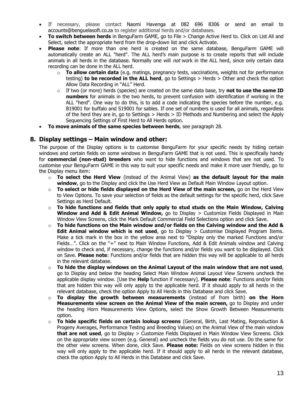- If necessary, please contact Naomi Havenga at 082 696 8306 or send an email to accounts@benguelasoft.co.za to register additional herds and/or databases.
- **To switch between herds** in BenguFarm GAME, go to File > Change Active Herd to. Click on List All and Select, select the appropriate herd from the drop-down list and click Activate.
- **Please note**: If more than one herd is created on the same database, BenguFarm GAME will automatically create an ALL "herd". The ALL herd's main purpose is to create reports that will include animals in all herds in the database. Normally one will not work in the ALL herd, since only certain data recording can be done in the ALL herd.
	- o **To allow certain data** (e.g. matings, pregnancy tests, vaccinations, weights not for performance testing) **to be recorded in the ALL herd**, go to Settings > Herds > Other and check the option Allow Data Recording in "ALL" Herd.
	- o If two (or more) herds (species) are created on the same data base, try **not to use the same ID numbers** for animals in the two herds, to prevent confusion with identification if working in the ALL "herd". One way to do this, is to add a code indicating the species before the number, e.g. B19001 for buffalo and S19001 for sables. If one set of numbers is used for all animals, regardless of the herd they are in, go to Settings > Herds > ID Methods and Numbering and select the Apply Sequencing Settings of First Herd to All Herds option.
- **To move animals of the same species between herds**, see paragraph 28.

# **8. Display settings – Main window and other:**

The purpose of the Display options is to customise BenguFarm for your specific needs by hiding certain windows and certain fields on some windows in BenguFarm GAME that is not used. This is specifically handy for **commercial (non-stud) breeders** who want to hide functions and windows that are not used. To customise your BenguFarm GAME in this way to suit your specific needs and make it more user friendly, go to the Display menu item:

- o **To select the Herd View** (instead of the Animal View) **as the default layout for the main window**, go to the Display and click the Use Herd View as Default Main Window Layout option.
- o **To select or hide fields displayed on the Herd View of the main screen,** go on the Herd View to View Options. To save your selection of fields as the default settings for the specific herd, click Save Settings as Herd Default.
- o **To hide functions and fields that only apply to stud studs on the Main Window, Calving Window and Add & Edit Animal Window,** go to Display > Customize Fields Displayed in Main Window View Screens, click the Mark Default Commercial Field Selections option and click Save.
- o **To hide functions on the Main window and/or fields on the Calving window and the Add & Edit Animal window which is not used**, go to Display > Customise Displayed Program Items. Make a tick mark in the box in the yellow area next to "Display only the marked Functions and/or Fields…". Click on the "+" next to Main Window Functions, Add & Edit Animals window and Calving window to check and, if necessary, change the functions and/or fields you want to be displayed. Click on Save. **Please note**: Functions and/or fields that are hidden this way will be applicable to all herds in the relevant database.
- o **To hide the display windows on the Animal Layout of the main window that are not used**, go to Display and below the heading Select Main Window Animal Layout View Screens uncheck the applicable display window. [Use the **Help** function if necessary]. **Please note**: Functions and/or fields that are hidden this way will only apply to the applicable herd. If it should apply to all herds in the relevant database, check the option Apply to All Herds in this Database and click Save.
- o **To display the growth between measurements** (instead of from birth) **on the Horn Measurements view screen on the Animal View of the main screen,** go to Display and under the heading Horn Measurements View Options, select the Show Growth Between Measurements option.
- o **To hide specific fields on certain lookup screens** (General, Birth, Last Mating, Reproduction & Progeny Averages, Performance Testing and Breeding Values) on the Animal View of the main window **that are not used**, go to Display > Customize Fields Displayed in Main Window View Screens. Click on the appropriate view screen (e.g. General) and uncheck the fields you do not use. Do the same for the other view screens. When done, click Save. **Please note:** Fields on view screens hidden in this way will only apply to the applicable herd. If it should apply to all herds in the relevant database, check the option Apply to All Herds in this Database and click Save.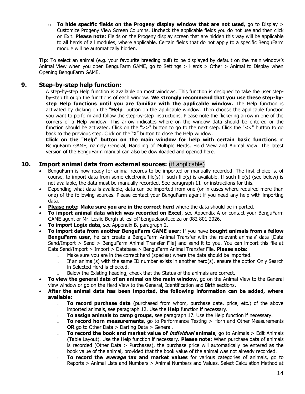o **To hide specific fields on the Progeny display window that are not used**, go to Display > Customize Progeny View Screen Columns. Uncheck the applicable fields you do not use and then click on Exit. **Please note**: Fields on the Progeny display screen that are hidden this way will be applicable to all herds of all modules, where applicable. Certain fields that do not apply to a specific BenguFarm module will be automatically hidden.

**Tip**: To select an animal (e.g. your favourite breeding bull) to be displayed by default on the main window's Animal View when you open BenguFarm GAME, go to Settings > Herds > Other > Animal to Display when Opening BenguFarm GAME.

# **9. Step-by-step help function:**

A step-by-step Help function is available on most windows. This function is designed to take the user stepby-step through the functions of each window. **We strongly recommend that you use these step-bystep Help functions until you are familiar with the applicable window.** The Help function is activated by clicking on the "**Help**" button on the applicable window. Then choose the applicable function you want to perform and follow the step-by-step instructions. Please note the flickering arrow in one of the corners of a Help window. This arrow indicates where on the window data should be entered or the function should be activated. Click on the ">>" button to go to the next step. Click the "<<" button to go back to the previous step. Click on the "X" button to close the Help window.

**Click on the "Help" button on the main window for help with certain basic functions** in BenguFarm GAME, namely General, Handling of Multiple Herds, Herd View and Animal View. The latest version of the BenguFarm manual can also be downloaded and opened here.

# **10. Import animal data from external sources:** (if applicable)

- BenguFarm is now ready for animal records to be imported or manually recorded. The first choice is, of course, to import data from some electronic file(s) if such file(s) is available. If such file(s) (see below) is not available, the data must be manually recorded. See paragraph 11 for instructions for this.
- Depending what data is available, data can be imported from one (or in cases where required more than one) of the following sources. Please contact your BenguFarm agent if you need any help with importing data.
- **Please note: Make sure you are in the correct herd** where the data should be imported.
- **To import animal data which was recorded on Excel**, see Appendix A or contact your BenguFarm GAME agent or Mr. Leslie Bergh at leslie@benguelasoft.co.za or 082 801 2026.
- **To import Logix data**, see Appendix B, paragraph 2.
- **To import data from another BenguFarm GAME user:** If you have **bought animals from a fellow BenguFarm user,** he can create a BenguFarm Animal Transfer with the relevant animals' data [Data Send/Import > Send > BenguFarm Animal Transfer File] and send it to you. You can import this file at Data Send/Import > Import > Database > BenguFarm Animal Transfer File. **Please note:**
	- $\circ$  Make sure you are in the correct herd (species) where the data should be imported.
	- $\circ$  If an animal(s) with the same ID number exists in another herd(s), ensure the option Only Search in Selected Herd is checked.
	- $\circ$  Below the Existing heading, check that the Status of the animals are correct.
- **To view the general data of an animal on the main window**, go on the Animal View to the General view window or go on the Herd View to the General, Identification and Birth sections.
- **After the animal data has been imported, the following information can be added, where available:**
	- o **To record purchase data** (purchased from whom, purchase date, price, etc.) of the above imported animals, see paragraph 12. Use the **Help** function if necessary.
	- o **To assign animals to camp groups,** see paragraph 17. Use the Help function if necessary.
	- o **To record horn measurements**, go to Performance Testing > Horn and Other Measurements **OR** go to Other Data > Darting Data > General.
	- o **To record the book and market value of individual animals**, go to Animals > Edit Animals (Table Layout). Use the Help function if necessary. **Please note:** When purchase data of animals is recorded (Other Data > Purchases), the purchase price will automatically be entered as the book value of the animal, provided that the book value of the animal was not already recorded.
	- o **To record the average tax and market values** for various categories of animals, go to Reports > Animal Lists and Numbers > Animal Numbers and Values. Select Calculation Method at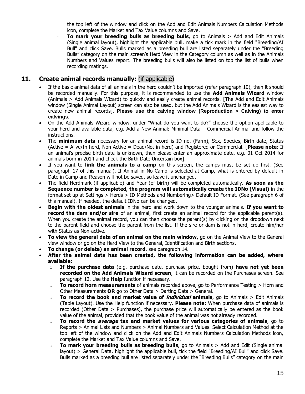the top left of the window and click on the Add and Edit Animals Numbers Calculation Methods icon, complete the Market and Tax Value columns and Save.

o **To mark your breeding bulls as breeding bulls**, go to Animals > Add and Edit Animals (Single animal layout), highlight the applicable bull, make a tick mark in the field "Breeding/AI Bull" and click Save. Bulls marked as a breeding bull are listed separately under the "Breeding Bulls" category on the main screen's Herd View in the Category column as well as in the Animals Numbers and Values report. The breeding bulls will also be listed on top the list of bulls when recording matings.

# **11. Create animal records manually:** (if applicable)

- If the basic animal data of all animals in the herd couldn't be imported (refer paragraph 10), then it should be recorded manually. For this purpose, it is recommended to use the **Add Animals Wizard** window (Animals > Add Animals Wizard) to quickly and easily create animal records. [The Add and Edit Animals window (Single Animal Layout) screen can also be used, but the Add Animals Wizard is the easiest way to create new animal records]. **Please use the calving window (Reproduction > Calving) to enter calvings.**
- On the Add Animals Wizard window, under "What do you want to do?" choose the option applicable to your herd and available data, e.g. Add a New Animal: Minimal Data – Commercial Animal and follow the instructions.
- The **minimum data** necessary for an animal record is ID no. (Farm), Sex, Species, Birth date, Status (Active = Alive/In herd, Non-Active = Dead/Not in herd) and Registered or Commercial. [**Please note**: If an animal's precise birth date is unknown, then please enter an approximate date, e.g. 01 Oct 2014 for animals born in 2014 and check the Birth Date Uncertain box].
- If you want to **link the animals to a camp** on this screen, the camps must be set up first. (See paragraph 17 of this manual). If Animal in No Camp is selected at Camp, what is entered by default in Date in Camp and Reason will not be saved, so leave it unchanged.
- The field Herdmark (if applicable) and Year (of birth) will be completed automatically. **As soon as the Sequence number is completed, the program will automatically create the IDNo (Visual)** in the format set up at Settings > Herds > ID Methods and Numbering> Default ID Format. (See paragraph 6 of this manual). If needed, the default IDNo can be changed.
- **Begin with the oldest animals** in the herd and work down to the younger animals. **If you want to record the dam and/or sire** of an animal, first create an animal record for the applicable parent(s). When you create the animal record, you can then choose the parent(s) by clicking on the dropdown next to the parent field and choose the parent from the list. If the sire or dam is not in herd, create him/her with Status as Non-active.
- **To view the general data of an animal on the main window**, go on the Animal View to the General view window or go on the Herd View to the General, Identification and Birth sections.
- **To change (or delete) an animal record**, see paragraph 14.
- **After the animal data has been created, the following information can be added, where available:**
	- o **If the purchase data** (e.g. purchase date, purchase price, bought from) **have not yet been recorded on the Add Animals Wizard screen**, it can be recorded on the Purchases screen. See paragraph 12. Use the **Help** function if necessary.
	- o **To record horn measurements** of animals recorded above, go to Performance Testing > Horn and Other Measurements **OR** go to Other Data > Darting Data > General.
	- o **To record the book and market value of individual animals**, go to Animals > Edit Animals (Table Layout). Use the Help function if necessary. **Please note:** When purchase data of animals is recorded (Other Data > Purchases), the purchase price will automatically be entered as the book value of the animal, provided that the book value of the animal was not already recorded.
	- o **To record the average tax and market values for various categories of animals**, go to Reports > Animal Lists and Numbers > Animal Numbers and Values. Select Calculation Method at the top left of the window and click on the Add and Edit Animals Numbers Calculation Methods icon, complete the Market and Tax Value columns and Save.
	- o **To mark your breeding bulls as breeding bulls**, go to Animals > Add and Edit (Single animal layout) > General Data, highlight the applicable bull, tick the field "Breeding/AI Bull" and click Save. Bulls marked as a breeding bull are listed separately under the "Breeding Bulls" category on the main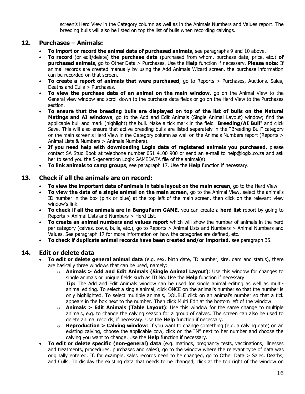screen's Herd View in the Category column as well as in the Animals Numbers and Values report. The breeding bulls will also be listed on top the list of bulls when recording calvings.

# **12. Purchases – Animals:**

- **To import or record the animal data of purchased animals**, see paragraphs 9 and 10 above.
- **To record** (or edit/delete) **the purchase data** (purchased from whom, purchase date, price, etc.) **of purchased animals**, go to Other Data > Purchases. Use the **Help** function if necessary. **Please note:** If animal records are created manually by using the Add Animals Wizard screen, the purchase information can be recorded on that screen.
- **To create a report of animals that were purchased**, go to Reports > Purchases, Auctions, Sales, Deaths and Culls > Purchases.
- **To view the purchase data of an animal on the main window**, go on the Animal View to the General view window and scroll down to the purchase data fields or go on the Herd View to the Purchases section.
- **To ensure that the breeding bulls are displayed on top of the list of bulls on the Natural Matings and AI windows**, go to the Add and Edit Animals (Single Animal Layout) window; find the applicable bull and mark (highlight) the bull. Make a tick mark in the field "**Breeding/AI Bull**" and click Save. This will also ensure that active breeding bulls are listed separately in the "Breeding Bull" category on the main screen's Herd View in the Category column as well on the Animals Numbers report (Reports > Animal Lists & Numbers > Animals Numbers).
- **If you need help with downloading Logix data of registered animals you purchased**, please contact SA Stud Book at telephone number 051 4100 900 or send an e-mail to help@logix.co.za and ask her to send you the 5-generation Logix GAMEDATA file of the animal(s).
- **To link animals to camp groups**, see paragraph 17. Use the **Help** function if necessary.

#### **13. Check if all the animals are on record:**

- **To view the important data of animals in table layout on the main screen**, go to the Herd View.
- **To view the data of a single animal on the main screen**, go to the Animal View, select the animal's ID number in the box (pink or blue) at the top left of the main screen, then click on the relevant view window's link.
- **To check if all the animals are in BenguFarm GAME**, you can create a **herd list** report by going to Reports > Animal Lists and Numbers > Herd List.
- **To create an animal numbers and values report** which will show the number of animals in the herd per category (calves, cows, bulls, etc.), go to Reports > Animal Lists and Numbers > Animal Numbers and Values. See paragraph 17 for more information on how the categories are defined, etc.
- **To check if duplicate animal records have been created and/or imported**, see paragraph 35.

# **14. Edit or delete data**

- **To edit or delete general animal data** (e.g. sex, birth date, ID number, sire, dam and status), there are basically three windows that can be used, namely:
	- o **Animals > Add and Edit Animals (Single Animal Layout)**: Use this window for changes to single animals or unique fields such as ID No. Use the **Help** function if necessary.
		- **Tip:** The Add and Edit Animals window can be used for single animal editing as well as multianimal editing. To select a single animal, click ONCE on the animal's number so that the number is only highlighted. To select multiple animals, DOUBLE click on an animal's number so that a tick appears in the box next to the number. Then click Multi Edit at the bottom left of the window.
	- o **Animals > Edit Animals (Table Layout)**: Use this window for the same change to multiple animals, e.g. to change the calving season for a group of calves. The screen can also be used to delete animal records, if necessary. Use the **Help** function if necessary.
	- o **Reproduction > Calving window**: If you want to change something (e.g. a calving date) on an existing calving, choose the applicable cow, click on the "N" next to her number and choose the calving you want to change. Use the **Help** function if necessary.
- **To edit or delete specific (non-general) data** (e.g. matings, pregnancy tests, vaccinations, illnesses and treatments, procedures, purchases and sales), go to the window where the relevant type of data was originally entered. If, for example, sales records need to be changed, go to Other Data > Sales, Deaths, and Culls. To display the existing data that needs to be changed, click at the top right of the window on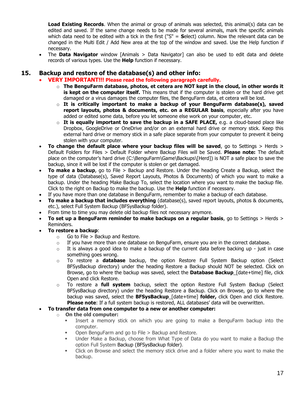**Load Existing Records**. When the animal or group of animals was selected, this animal(s) data can be edited and saved. If the same change needs to be made for several animals, mark the specific animals which data need to be edited with a tick in the first ("S" = **S**elect) column. Now the relevant data can be changed in the Multi Edit / Add New area at the top of the window and saved. Use the Help function if necessary.

• The **Data Navigator** window [Animals > Data Navigator] can also be used to edit data and delete records of various types. Use the **Help** function if necessary.

# **15. Backup and restore of the database(s) and other info:**

- **VERY IMPORTANT!!! Please read the following paragraph carefully.**
	- o **The BenguFarm database, photos, et cetera are NOT kept in the cloud, in other words it is kept on the computer itself.** This means that if the computer is stolen or the hard drive get damaged or a virus damages the computer files, the BenguFarm data, et cetera will be lost.
	- o **It is critically important to make a backup of your BenguFarm database(s), saved report layouts, photos & documents, etc. on a REGULAR basis**, especially after you have added or edited some data, before you let someone else work on your computer, etc.
	- o **It is equally important to save the backup in a SAFE PLACE,** e.g. a cloud-based place like Dropbox, GoogleDrive or OneDrive and/or on an external hard drive or memory stick. Keep this external hard drive or memory stick in a safe place separate from your computer to prevent it being stolen with your computer.
- **To change the default place where your backup files will be saved**, go to Settings > Herds > Default Folders for Files > Default Folder where Backup Files will be Saved. **Please note:** The default place on the computer's hard drive (C:\BenguFarm\Game\Backups\[Herd]) is NOT a safe place to save the backup, since it will be lost if the computer is stolen or get damaged.
- **To make a backup**, go to File > Backup and Restore. Under the heading Create a Backup, select the type of data (Database(s), Saved Report Layouts, Photos & Documents) of which you want to make a backup. Under the heading Make Backup To, select the location where you want to make the backup file. Click to the right on Backup to make the backup. Use the **Help** function if necessary.
- If you have more than one database in BenguFarm, remember to make a backup of each database.
- **To make a backup that includes everything** (database(s), saved report layouts, photos & documents, etc.), select Full System Backup (BFSysBackup folder).
- From time to time you may delete old backup files not necessary anymore.
- **To set up a BenguFarm reminder to make backups on a regular basis**, go to Settings > Herds > Reminders.
- **To restore a backup**:
	- $\circ$  Go to File > Backup and Restore.
	- $\circ$  If you have more than one database on BenguFarm, ensure you are in the correct database.
	- $\circ$  It is always a good idea to make a backup of the current data before backing up just in case something goes wrong.
	- o To restore a **database** backup, the option Restore Full System Backup option (Select BFSysBackup directory) under the heading Restore a Backup should NOT be selected. Click on Browse, go to where the backup was saved, select the **Database Backup**\_[date+time] file, click Open and click Restore.
	- o To restore a **full system** backup, select the option Restore Full System Backup (Select BFSysBackup directory) under the heading Restore a Backup. Click on Browse, go to where the backup was saved, select the **BFSysBackup**\_[date+time] **folder,** click Open and click Restore. **Please note**: If a full system backup is restored, ALL databases' data will be overwritten.
- **To transfer data from one computer to a new or another computer:** 
	- o **On the old computer:**
		- Insert a memory stick on which you are going to make a BenguFarm backup into the computer.
		- Open BenguFarm and go to File > Backup and Restore.
		- Under Make a Backup, choose from What Type of Data do you want to make a Backup the option Full System Backup (BFSysBackup folder).
		- Click on Browse and select the memory stick drive and a folder where you want to make the backup.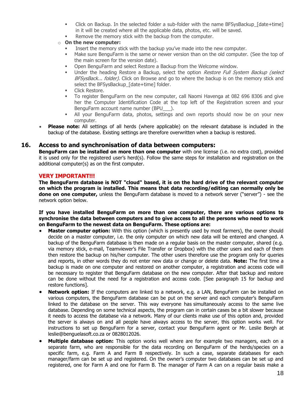- Click on Backup. In the selected folder a sub-folder with the name BFSysBackup [date+time] in it will be created where all the applicable data, photos, etc. will be saved.
- Remove the memory stick with the backup from the computer.
- o **On the new computer:**
	- Insert the memory stick with the backup you've made into the new computer.
	- **■** Make sure BenguFarm is the same or newer version than on the old computer. (See the top of the main screen for the version date).
	- Open BenguFarm and select Restore a Backup from the Welcome window.
	- Under the heading Restore a Backup, select the option Restore Full System Backup (select BFSysBack... folder). Click on Browse and go to where the backup is on the memory stick and select the BFSysBackup [date+time] folder.
	- **■** Click Restore.
	- To register BenguFarm on the new computer, call Naomi Havenga at 082 696 8306 and give her the Computer Identification Code at the top left of the Registration screen and your BenguFarm account name number (BPU\_\_\_).
	- **E** All your BenguFarm data, photos, settings and own reports should now be on your new computer.
- **Please note:** All settings of all herds (where applicable) on the relevant database is included in the backup of the database. Existing settings are therefore overwritten when a backup is restored.

#### **16. Access to and synchronisation of data between computers:**

**BenguFarm can be installed on more than one computer** with one license (i.e. no extra cost), provided it is used only for the registered user's herd(s). Follow the same steps for installation and registration on the additional computer(s) as on the first computer.

#### **VERY IMPORTANT!!!**

**The BenguFarm database is NOT "cloud" based, it is on the hard drive of the relevant computer on which the program is installed. This means that data recording/editing can normally only be done on one computer,** unless the BenguFarm database is moved to a network server ("server") - see the network option below.

#### **If you have installed BenguFarm on more than one computer, there are various options to synchronise the data between computers and to give access to all the persons who need to work on BenguFarm to the newest data on BenguFarm. These options are:**

- **Master computer option:** With this option (which is presently used by most farmers), the owner should decide on a master computer, i.e. the only computer on which new data will be entered and changed. A backup of the BenguFarm database is then made on a regular basis on the master computer, shared (e.g. via memory stick, e-mail, Teamviewer's File Transfer or Dropbox) with the other users and each of them then restore the backup on his/her computer. The other users therefore use the program only for queries and reports, in other words they do not enter new data or change or delete data. **Note:** The first time a backup is made on one computer and restored on another computer, a registration and access code will be necessary to register that BenguFarm database on the new computer. After that backup and restore can be done without the need for a registration and access code. [See paragraph 15 for backup and restore functions].
- **Network option:** If the computers are linked to a network, e.g. a LAN, BenguFarm can be installed on various computers, the BenguFarm database can be put on the server and each computer's BenguFarm linked to the database on the server. This way everyone has simultaneously access to the same live database. Depending on some technical aspects, the program can in certain cases be a bit slower because it needs to access the database via a network. Many of our clients make use of this option and, provided the server is always on and all people have always access to the server, this option works well. For instructions to set up BenguFarm for a server, contact your BenguFarm agent or Mr. Leslie Bergh at leslie@benguelasoft.co.za or 0828012026.
- **Multiple database option:** This option works well where are for example two managers, each on a separate farm, who are responsible for the data recording on BenguFarm of the herds/species on a specific farm, e.g. Farm A and Farm B respectively. In such a case, separate databases for each manager/farm can be set up and registered. On the owner's computer two databases can be set up and registered, one for Farm A and one for Farm B. The manager of Farm A can on a regular basis make a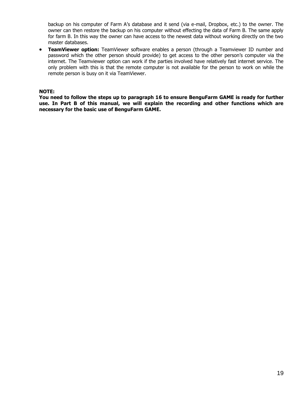backup on his computer of Farm A's database and it send (via e-mail, Dropbox, etc.) to the owner. The owner can then restore the backup on his computer without effecting the data of Farm B. The same apply for farm B. In this way the owner can have access to the newest data without working directly on the two master databases.

• **TeamViewer option:** TeamViewer software enables a person (through a Teamviewer ID number and password which the other person should provide) to get access to the other person's computer via the internet. The Teamviewer option can work if the parties involved have relatively fast internet service. The only problem with this is that the remote computer is not available for the person to work on while the remote person is busy on it via TeamViewer.

#### **NOTE:**

**You need to follow the steps up to paragraph 16 to ensure BenguFarm GAME is ready for further use. In Part B of this manual, we will explain the recording and other functions which are necessary for the basic use of BenguFarm GAME.**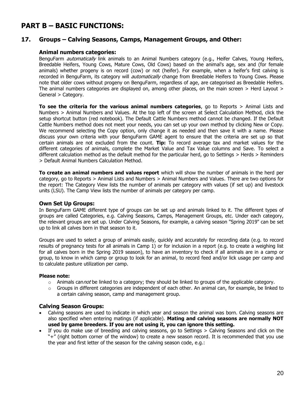# **PART B – BASIC FUNCTIONS:**

#### **17. Groups – Calving Seasons, Camps, Management Groups, and Other:**

#### **Animal numbers categories:**

BenguFarm *automatically* link animals to an Animal Numbers category (e.g., Heifer Calves, Young Heifers, Breedable Heifers, Young Cows, Mature Cows, Old Cows) based on the animal's age, sex and (for female animals) whether progeny is on record (cow) or not (heifer). For example, when a heifer's first calving is recorded in BenguFarm, its category will *automatically* change from Breedable Heifers to Young Cows. Please note that older cows without progeny on BenguFarm, regardless of age, are categorised as Breedable Heifers. The animal numbers categories are displayed on, among other places, on the main screen > Herd Layout > General > Category.

**To see the criteria for the various animal numbers categories**, go to Reports > Animal Lists and Numbers > Animal Numbers and Values. At the top left of the screen at Select Calculation Method, click the setup shortcut button (red notebook). The Default Cattle Numbers method cannot be changed. If the Default Cattle Numbers method does not meet your needs, you can set up your own method by clicking New or Copy. We recommend selecting the Copy option, only change it as needed and then save it with a name. Please discuss your own criteria with your BenguFarm GAME agent to ensure that the criteria are set up so that certain animals are not excluded from the count. **Tip:** To record average tax and market values for the different categories of animals, complete the Market Value and Tax Value columns and Save. To select a different calculation method as the default method for the particular herd, go to Settings > Herds > Reminders > Default Animal Numbers Calculation Method.

**To create an animal numbers and values report** which will show the number of animals in the herd per category, go to Reports > Animal Lists and Numbers > Animal Numbers and Values. There are two options for the report: The Category View lists the number of animals per category with values (if set up) and livestock units (LSU). The Camp View lists the number of animals per category per camp.

#### **Own Set Up Groups:**

In BenguFarm GAME different type of groups can be set up and animals linked to it. The different types of groups are called Categories, e.g. Calving Seasons, Camps, Management Groups, etc. Under each category, the relevant groups are set up. Under Calving Seasons, for example, a calving season "Spring 2019" can be set up to link all calves born in that season to it.

Groups are used to select a group of animals easily, quickly and accurately for recording data (e.g. to record results of pregnancy tests for all animals in Camp 1) or for inclusion in a report (e.g. to create a weighing list for all calves born in the Spring 2019 season), to have an inventory to check if all animals are in a camp or group, to know in which camp or group to look for an animal, to record feed and/or lick usage per camp and to calculate pasture utilization per camp.

#### **Please note:**

- $\circ$  Animals cannot be linked to a category; they should be linked to groups of the applicable category.
- $\circ$  Groups in different categories are independent of each other. An animal can, for example, be linked to a certain calving season, camp and management group.

#### **Calving Season Groups:**

- Calving seasons are used to indicate in which year and season the animal was born. Calving seasons are also specified when entering matings (if applicable). **Mating and calving seasons are normally NOT used by game breeders. If you are not using it, you can ignore this setting.**
- If you do make use of breeding and calving seasons, go to Settings > Calving Seasons and click on the "+" (right bottom corner of the window) to create a new season record. It is recommended that you use the year and first letter of the season for the calving season code, e.g.: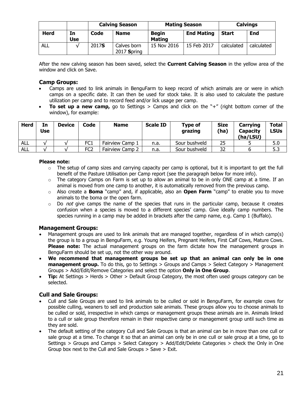|             |                  |       | <b>Calvings</b><br><b>Calving Season</b><br><b>Mating Season</b> |                               |                   |              |            |
|-------------|------------------|-------|------------------------------------------------------------------|-------------------------------|-------------------|--------------|------------|
| <b>Herd</b> | In<br><b>Use</b> | Code  | <b>Name</b>                                                      | <b>Begin</b><br><b>Mating</b> | <b>End Mating</b> | <b>Start</b> | <b>End</b> |
| ALL         |                  | 2017S | Calves born<br>$2017$ Spring                                     | 15 Nov 2016                   | 15 Feb 2017       | calculated   | calculated |

After the new calving season has been saved, select the **Current Calving Season** in the yellow area of the window and click on Save.

#### **Camp Groups:**

- Camps are used to link animals in BenguFarm to keep record of which animals are or were in which camps on a specific date. It can then be used for stock take. It is also used to calculate the pasture utilization per camp and to record feed and/or lick usage per camp.
- **To set up a new camp,** go to Settings > Camps and click on the "+" (right bottom corner of the window), for example:

| <b>Herd</b> | In<br>Use | <b>Device</b> | Code            | <b>Name</b>     | <b>Scale ID</b> | <b>Type of</b><br>grazing | <b>Size</b><br>(ha) | Carrying<br><b>Capacity</b><br>(ha/LSU) | Total<br><b>LSUs</b> |
|-------------|-----------|---------------|-----------------|-----------------|-----------------|---------------------------|---------------------|-----------------------------------------|----------------------|
| <b>ALL</b>  |           |               | FC <sub>1</sub> | Fairview Camp 1 | n.a.            | Sour bushveld             | 25                  |                                         | 5.0                  |
| ALL         |           |               | FC2             | Fairview Camp 2 | n.a.            | Sour bushveld             | 32                  |                                         | 5.3                  |

#### **Please note:**

- $\circ$  The setup of camp sizes and carrying capacity per camp is optional, but it is important to get the full benefit of the Pasture Utilisation per Camp report (see the paragraph below for more info).
- $\circ$  The category Camps on Farm is set up to allow an animal to be in only ONE camp at a time. If an animal is moved from one camp to another, it is automatically removed from the previous camp.
- o Also create a **Boma** "camp" and, if applicable, also an **Open Farm** "camp" to enable you to move animals to the boma or the open farm.
- $\circ$  Do *not* give camps the name of the species that runs in the particular camp, because it creates confusion when a species is moved to a different species' camp. Give ideally camp numbers. The species running in a camp may be added in brackets after the camp name, e.g. Camp 1 (Buffalo).

#### **Management Groups:**

- Management groups are used to link animals that are managed together, regardless of in which camp(s) the group is to a group in BenguFarm, e.g. Young Heifers, Pregnant Heifers, First Calf Cows, Mature Cows. **Please note:** The actual management groups on the farm dictate how the management groups in BenguFarm should be set up, not the other way around.
- **We recommend that management groups be set up that an animal can only be in one management group.** To do this, go to Settings > Groups and Camps > Select Category > Management Groups > Add/Edit/Remove Categories and select the option **Only in One Group**.
- **Tip:** At Settings > Herds > Other > Default Group Category, the most often used groups category can be selected.

# **Cull and Sale Groups:**

- Cull and Sale Groups are used to link animals to be culled or sold in BenguFarm, for example cows for possible culling, weaners to sell and production sale animals. These groups allow you to choose animals to be culled or sold, irrespective in which camps or management groups these animals are in. Animals linked to a cull or sale group therefore remain in their respective camp or management group until such time as they are sold.
- The default setting of the category Cull and Sale Groups is that an animal can be in more than one cull or sale group at a time. To change it so that an animal can only be in one cull or sale group at a time, go to Settings > Groups and Camps > Select Category > Add/Edit/Delete Categories > check the Only in One Group box next to the Cull and Sale Groups > Save > Exit.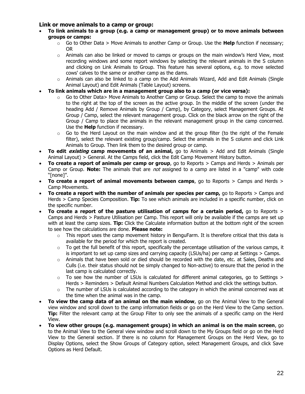#### **Link or move animals to a camp or group:**

- **To link animals to a group (e.g. a camp or management group) or to move animals between groups or camps:**
	- o Go to Other Data > Move Animals to another Camp or Group. Use the **Help** function if necessary; OR
	- $\circ$  Animals can also be linked or moved to camps or groups on the main window's Herd View, most recording windows and some report windows by selecting the relevant animals in the S column and clicking on Link Animals to Group. This feature has several options, e.g. to move selected cows' calves to the same or another camp as the dams.
	- $\circ$  Animals can also be linked to a camp on the Add Animals Wizard, Add and Edit Animals (Single Animal Layout) and Edit Animals (Table Layout) screens.
- **To link animals which are in a management group also to a camp (or vice versa):**
	- Go to Other Data > Move Animals to Another Camp or Group. Select the camp to move the animals to the right at the top of the screen as the active group. In the middle of the screen (under the heading Add / Remove Animals by Group / Camp), by Category, select Management Groups. At Group / Camp, select the relevant management group. Click on the black arrow on the right of the Group / Camp to place the animals in the relevant management group in the camp concerned. Use the **Help** function if necessary.
	- $\circ$  Go to the Herd Layout on the main window and at the group filter (to the right of the Female filter), select the relevant existing group/camp. Select the animals in the S column and click Link Animals to Group. Then link them to the desired group or camp.
- **To edit existing camp movements of an animal,** go to Animals > Add and Edit Animals (Single Animal Layout) > General. At the Camps field, click the Edit Camp Movement History button.
- **To create a report of animals per camp or group**, go to Reports > Camps and Herds > Animals per Camp or Group. **Note:** The animals that are not assigned to a camp are listed in a "camp" with code "[none]".
- **To create a report of animal movements between camps**, go to Reports > Camps and Herds > Camp Movements.
- **To create a report with the number of animals per species per camp,** go to Reports > Camps and Herds > Camp Species Composition. **Tip:** To see which animals are included in a specific number, click on the specific number.
- **To create a report of the pasture utilisation of camps for a certain period,** go to Reports > Camps and Herds > Pasture Utilisation per Camp. This report will only be available if the camps are set up with at least the camp sizes. **Tip:** Click the Calculate information button at the bottom right of the screen to see how the calculations are done. **Please note:**
	- o This report uses the camp movement history in BenguFarm. It is therefore critical that this data is available for the period for which the report is created.
	- $\circ$  To get the full benefit of this report, specifically the percentage utilisation of the various camps, it is important to set up camp sizes and carrying capacity (LSUs/ha) per camp at Settings > Camps.
	- $\circ$  Animals that have been sold or died should be recorded with the date, etc. at Sales, Deaths and Culls (i.e. their status should not be simply changed to Non-active) to ensure that the period in the last camp is calculated correctly.
	- $\circ$  To see how the number of LSUs is calculated for different animal categories, go to Settings  $>$ Herds > Reminders > Default Animal Numbers Calculation Method and click the settings button.
	- $\circ$  The number of LSUs is calculated according to the category in which the animal concerned was at the time when the animal was in the camp.
- **To view the camp data of an animal on the main window**, go on the Animal View to the General view window and scroll down to the camp information fields or go on the Herd View to the Camp section. **Tip:** Filter the relevant camp at the Group Filter to only see the animals of a specific camp on the Herd View.
- **To view other groups (e.g. management groups) in which an animal is on the main screen**, go to the Animal View to the General view window and scroll down to the My Groups field or go on the Herd View to the General section. If there is no column for Management Groups on the Herd View, go to Display Options, select the Show Groups of Category option, select Management Groups, and click Save Options as Herd Default.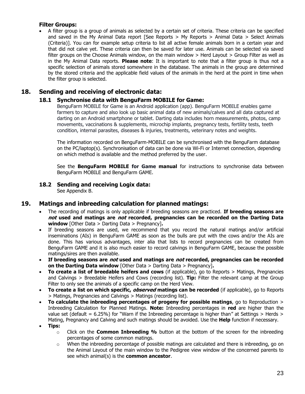#### **Filter Groups:**

• A filter group is a group of animals as selected by a certain set of criteria. These criteria can be specified and saved in the My Animal Data report [See Reports > My Reports > Animal Data > Select Animals (Criteria)]. You can for example setup criteria to list all active female animals born in a certain year and that did not calve yet. These criteria can then be saved for later use. Animals can be selected via saved filter groups on the Choose Animals window, on the main window > Herd Layout > Group Filter as well as in the My Animal Data reports. **Please note**: It is important to note that a filter group is thus not a specific selection of animals stored somewhere in the database. The animals in the group are determined by the stored criteria and the applicable field values of the animals in the herd at the point in time when the filter group is selected.

# **18. Sending and receiving of electronic data:**

# **18.1 Synchronise data with BenguFarm MOBILE for Game:**

BenguFarm MOBILE for Game is an Android application (app). BenguFarm MOBILE enables game farmers to capture and also look up basic animal data of new animals/calves and all data captured at darting on an Android smartphone or tablet. Darting data includes horn measurements, photos, camp movements, vaccinations & supplements, microchip implants, pregnancy tests, fertility tests, teeth condition, internal parasites, diseases & injuries, treatments, veterinary notes and weights.

The information recorded on BenguFarm-MOBILE can be synchronised with the BenguFarm database on the PC/laptop(s). Synchronisation of data can be done via Wi-Fi or Internet connection, depending on which method is available and the method preferred by the user.

See the **BenguFarm MOBILE for Game manual** for instructions to synchronise data between BenguFarm MOBILE and BenguFarm GAME.

# **18.2 Sending and receiving Logix data:**

See Appendix B.

# **19. Matings and inbreeding calculation for planned matings:**

- The recording of matings is only applicable if breeding seasons are practiced. **If breeding seasons are not used and matings are not recorded, pregnancies can be recorded on the Darting Data window** [Other Data > Darting Data > Pregnancy]**.**
- If breeding seasons are used, we recommend that you record the natural matings and/or artificial inseminations (AIs) in BenguFarm GAME as soon as the bulls are put with the cows and/or the AIs are done. This has various advantages, inter alia that lists to record pregnancies can be created from BenguFarm GAME and it is also much easier to record calvings in BenguFarm GAME, because the possible matings/sires are then available.
- **If breeding seasons are not used and matings are not recorded, pregnancies can be recorded on the Darting Data window** [Other Data > Darting Data > Pregnancy]**.**
- **To create a list of breedable heifers and cows** (if applicable), go to Reports > Matings, Pregnancies and Calvings > Breedable Heifers and Cows (recording list). **Tip:** Filter the relevant camp at the Group Filter to only see the animals of a specific camp on the Herd View.
- **To create a list on which specific, observed matings can be recorded** (if applicable), go to Reports > Matings, Pregnancies and Calvings > Matings (recording list).
- **To calculate the inbreeding percentages of progeny for possible matings**, go to Reproduction > Inbreeding Calculation for Planned Matings. **Note:** Inbreeding percentages in **red** are higher than the value set (default =  $6.25\%$ ) for "Warn if the Inbreeding percentage is higher than" at Settings > Herds > Mating, Pregnancy and Calving and such matings should be avoided. Use the **Help** function if necessary.
- **Tips:**
	- o Click on the **Common Inbreeding %** button at the bottom of the screen for the inbreeding percentages of some common matings.
	- $\circ$  When the inbreeding percentage of possible matings are calculated and there is inbreeding, go on the Animal Layout of the main window to the Pedigree view window of the concerned parents to see which animal(s) is the **common ancestor**.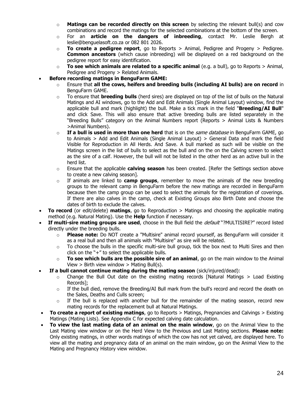- o **Matings can be recorded directly on this screen** by selecting the relevant bull(s) and cow combinations and record the matings for the selected combinations at the bottom of the screen.
- o For an **article on the dangers of inbreeding**, contact Mr. Leslie Bergh at leslie@benguelasoft.co.za or 082 801 2026.
- o **To create a pedigree report**, go to Reports > Animal, Pedigree and Progeny > Pedigree. **Common ancestors** (which cause inbreeding) will be displayed on a red background on the pedigree report for easy identification.
- o **To see which animals are related to a specific animal** (e.g. a bull), go to Reports > Animal, Pedigree and Progeny > Related Animals.
- **Before recording matings in BenguFarm GAME:**
	- o Ensure that **all the cows, heifers and breeding bulls (including AI bulls) are on record** in BenguFarm GAME.
	- o To ensure that **breeding bulls** (herd sires) are displayed on top of the list of bulls on the Natural Matings and AI windows, go to the Add and Edit Animals (Single Animal Layout) window, find the applicable bull and mark (highlight) the bull. Make a tick mark in the field "**Breeding/AI Bull**" and click Save. This will also ensure that active breeding bulls are listed separately in the "Breeding Bulls" category on the Animal Numbers report (Reports > Animal Lists & Numbers >Animal Numbers).
	- o **If a bull is used in more than one herd** that is on the same database in BenguFarm GAME, go to Animals > Add and Edit Animals (Single Animal Layout) > General Data and mark the field Visible for Reproduction in All Herds. And Save. A bull marked as such will be visible on the Matings screen in the list of bulls to select as the bull and on the on the Calving screen to select as the sire of a calf. However, the bull will not be listed in the other herd as an active bull in the herd list.
	- o Ensure that the applicable **calving season** has been created. [Refer the Settings section above to create a new calving season].
	- o If animals are linked to **camp groups**, remember to move the animals of the new breeding groups to the relevant camp in BenguFarm before the new matings are recorded in BenguFarm because then the camp group can be used to select the animals for the registration of coverings. If there are also calves in the camp, check at Existing Groups also Birth Date and choose the dates of birth to exclude the calves.
- **To record** (or edit/delete) **matings**, go to Reproduction > Matings and choosing the applicable mating method (e.g. Natural Mating). Use the **Help** function if necessary.
- **If multi-sire mating groups are used**, choose in the Bull field the default "?MULTISIRE?" record listed directly under the breeding bulls.
	- o **Please note:** Do NOT create a "Multisire" animal record yourself, as BenguFarm will consider it as a real bull and then all animals with "Multisire" as sire will be related.
	- $\circ$  To choose the bulls in the specific multi-sire bull group, tick the box next to Multi Sires and then click on the "+" to select the applicable bulls.
	- o **To see which bulls are the possible sire of an animal**, go on the main window to the Animal View  $>$  Birth view window  $>$  Mating Bull(s).
- **If a bull cannot continue mating during the mating season** (sick/injured/dead):
	- o Change the Bull Out date on the existing mating records [Natural Matings > Load Existing Records];
	- $\circ$  If the bull died, remove the Breeding/AI Bull mark from the bull's record and record the death on the Sales, Deaths and Culls screen;
	- $\circ$  If the bull is replaced with another bull for the remainder of the mating season, record new mating records for the replacement bull at Natural Matings.
- **To create a report of existing matings**, go to Reports > Matings, Pregnancies and Calvings > Existing Matings (Mating Lists). See Appendix C for expected calving date calculation.
- **To view the last mating data of an animal on the main window**, go on the Animal View to the Last Mating view window or on the Herd View to the Previous and Last Mating sections. **Please note:** Only existing matings, in other words matings of which the cow has not yet calved, are displayed here. To view all the mating and pregnancy data of an animal on the main window, go on the Animal View to the Mating and Pregnancy History view window.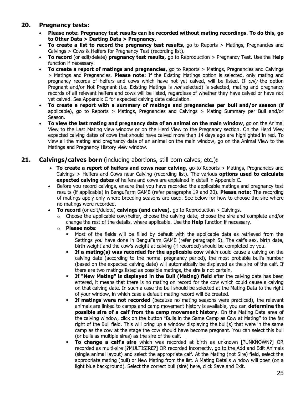# **20. Pregnancy tests:**

- **Please note: Pregnancy test results can be recorded without mating recordings**. **To do this, go to Other Data > Darting Data > Pregnancy.**
- **To create a list to record the pregnancy test results**, go to Reports > Matings, Pregnancies and Calvings > Cows & Heifers for Pregnancy Test (recording list).
- **To record** (or edit/delete) **pregnancy test results,** go to Reproduction > Pregnancy Test. Use the **Help** function if necessary.
- **To create a report of matings and pregnancies**, go to Reports > Matings, Pregnancies and Calvings > Matings and Pregnancies. **Please note:** If the Existing Matings option is selected, only mating and pregnancy records of heifers and cows which have not yet calved, will be listed. If only the option Pregnant and/or Not Pregnant (i.e. Existing Matings is *not* selected) is selected, mating and pregnancy records of all relevant heifers and cows will be listed, regardless of whether they have calved or have not yet calved. See Appendix C for expected calving date calculation.
- **To create a report with a summary of matings and pregnancies per bull and/or season** (if applicable), go to Reports > Matings, Pregnancies and Calvings > Mating Summary per Bull and/or Season.
- **To view the last mating and pregnancy data of an animal on the main window**, go on the Animal View to the Last Mating view window or on the Herd View to the Pregnancy section. On the Herd View expected calving dates of cows that should have calved more than 14 days ago are highlighted in red. To view all the mating and pregnancy data of an animal on the main window, go on the Animal View to the Matings and Pregnancy History view window.

# **21. Calvings/calves born** (including abortions, still born calves, etc.)**:**

- **To create a report of heifers and cows near calving**, go to Reports > Matings, Pregnancies and Calvings > Heifers and Cows near Calving (recording list). The various **options used to calculate expected calving dates** of heifers and cows are explained in detail in Appendix C.
- Before you record calvings, ensure that you have recorded the applicable matings and pregnancy test results (if applicable) in BenguFarm GAME (refer paragraphs 19 and 20). **Please note**: The recording of matings apply only where breeding seasons are used. See below for how to choose the sire where no matings were recorded.
- **To record** (or edit/delete) **calvings (and calves)**, go to Reproduction > Calvings.
	- o Choose the applicable cow/heifer, choose the calving date, choose the sire and complete and/or change the rest of the details, where applicable. Use the **Help** function if necessary.
	- o **Please note**:
		- Most of the fields will be filled by default with the applicable data as retrieved from the Settings you have done in BenguFarm GAME (refer paragraph 5). The calf's sex, birth date, birth weight and the cow's weight at calving (if recorded) should be completed by you.
		- If a mating(s) was recorded for the applicable cow which could cause a calving on the calving date (according to the normal pregnancy period), the most probable bull's number (based on the expected calving date) will automatically be displayed as the sire of the calf. If there are two matings listed as possible matings, the sire is not certain.
		- **· If "New Mating" is displayed in the Bull (Mating) field** after the calving date has been entered, it means that there is no mating on record for the cow which could cause a calving on that calving date. In such a case the bull should be selected at the Mating Data to the right of your window, in which case a default mating record will be created.
		- **.** If matings were not recorded (because no mating seasons were practiced), the relevant animals are linked to camps and camp movement history is available, you can **determine the possible sire of a calf from the camp movement history**. On the Mating Data area of the calving window, click on the button "Bulls in the Same Camp as Cow at Mating" to the far right of the Bull field. This will bring up a window displaying the bull(s) that were in the same camp as the cow at the stage the cow should have become pregnant. You can select this bull (or bulls as multiple sires) as the sire of the calf.
		- **To change a calf's sire** which was recorded at birth as unknown [?UNKNOWN?] OR recorded as multi-sire [?MULTISIRE?] OR recorded incorrectly, go to the Add and Edit Animals (single animal layout) and select the appropriate calf. At the Mating (not Sire) field, select the appropriate mating (bull) or New Mating from the list. A Mating Details window will open (on a light blue background). Select the correct bull (sire) here, click Save and Exit.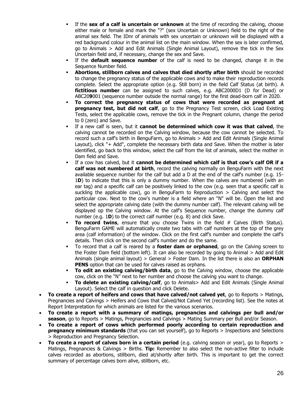- **EXECT IF the sex of a calf is uncertain or unknown** at the time of recording the calving, choose either male or female and mark the "?" (sex Uncertain or Unknown) field to the right of the animal sex field. The IDnr of animals with sex uncertain or unknown will be displayed with a red background colour in the animal list on the main window. When the sex is later confirmed, go to Animals > Add and Edit Animals (Single Animal Layout), remove the tick in the Sex Uncertain field and, if necessary, change the sex and Save.
- If the **default sequence number** of the calf is need to be changed, change it in the Sequence Number field.
- **Abortions, stillborn calves and calves that died shortly after birth** should be recorded to change the pregnancy status of the applicable cows and to make their reproduction records complete. Select the appropriate option (e.g. Still born) in the field Calf Status (at birth). A **fictitious number** can be assigned to such calves, e.g. ABC2000D1 (D for Dead) or ABC20**9**001 (sequence number outside the normal range) for the first dead-born calf in 2020.
- **To correct the pregnancy status of cows that were recorded as pregnant at pregnancy test, but did not calf**, go to the Pregnancy Test screen, click Load Existing Tests, select the applicable cows, remove the tick in the Pregnant column, change the period to 0 (zero) and Save.
- If a new calf is seen, but it **cannot be determined which cow it was that calved**, the calving cannot be recorded on the Calving window, because the cow cannot be selected. To record such a calf's birth in BenguFarm, go to Animals > Add and Edit Animals (Single Animal Layout), click "+ Add", complete the necessary birth data and Save. When the mother is later identified, go back to this window, select the calf from the list of animals, select the mother in Dam field and Save.
- If a cow has calved, but it **cannot be determined which calf is that cow's calf OR if a calf was not numbered at birth**, record the calving normally on BenguFarm with the next available sequence number for the calf but add a D at the end of the calf's number (e.g. 15- 1**D**) to indicate that this is only a dummy number. When the calves are numbered (with an ear tag) and a specific calf can be positively linked to the cow (e.g. seen that a specific calf is suckling the applicable cow), go in BenguFarm to Reproduction  $>$  Calving and select the particular cow. Next to the cow's number is a field where an "N" will be. Open the list and select the appropriate calving date (with the dummy number calf). The relevant calving will be displayed op the Calving window. At the calf's Sequence number, change the dummy calf number (e.g. 1**D**) to the correct calf number (e.g. 8) and click Save.
- **To record twins**, ensure that you choose Twins in the field # Calves (Birth Status). BenguFarm GAME will automatically create two tabs with calf numbers at the top of the grey area (calf information) of the window. Click on the first calf's number and complete the calf's details. Then click on the second calf's number and do the same.
- To record that a calf is reared by a **foster dam or orphaned**, go on the Calving screen to the Foster Dam field (bottom left). It can also be recorded by going to Animal > Add and Edit Animals (single animal layout) > General > Foster Dam. In the list there is also an **ORPHAN PENS** option that can be used for calves raised as orphans.
- **To edit an existing calving/birth data**, go to the Calving window, choose the applicable cow, click on the "N" next to her number and choose the calving you want to change.
- **To delete an existing calving/calf**, go to Animals> Add and Edit Animals (Single Animal Layout). Select the calf in question and click Delete.
- **To create a report of heifers and cows that have calved/not calved yet**, go to Reports > Matings, Pregnancies and Calvings > Heifers and Cows that Calved/Not Calved Yet (recording list). See the notes at Report Interpretation for which animals are listed for the various scenarios.
- **To create a report with a summary of matings, pregnancies and calvings per bull and/or season**, go to Reports > Matings, Pregnancies and Calvings > Mating Summary per Bull and/or Season.
- **To create a report of cows which performed poorly according to certain reproduction and pregnancy minimum standards** (that you can set yourself), go to Reports > Inspections and Selections > Reproduction and Pregnancy Selection.
- **To create a report of calves born in a certain period** (e.g. calving season or year), go to Reports > Matings, Pregnancies & Calvings > Births. **Tip:** Remember to also select the non-active filter to include calves recorded as abortions, stillborn, died at/shortly after birth. This is important to get the correct summary of percentage calves born alive, stillborn, etc.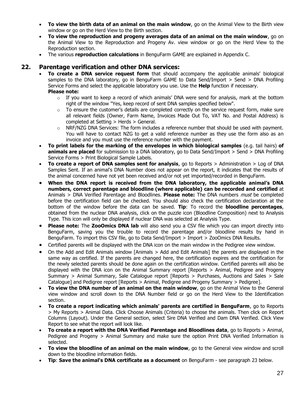- **To view the birth data of an animal on the main window**, go on the Animal View to the Birth view window or go on the Herd View to the Birth section.
- **To view the reproduction and progeny averages data of an animal on the main window**, go on the Animal View to the Reproduction and Progeny Av. view window or go on the Herd View to the Reproduction section.
- The various **reproduction calculations** in BenguFarm GAME are explained in Appendix C.

# **22. Parentage verification and other DNA services:**

- **To create a DNA service request form** that should accompany the applicable animals' biological samples to the DNA laboratory, go in BenguFarm GAME to Data Send/Import > Send > DNA Profiling Service Forms and select the applicable laboratory you use. Use the **Help** function if necessary. **Please note:**
	- $\circ$  If you want to keep a record of which animals' DNA were send for analysis, mark at the bottom right of the window "Yes, keep record of sent DNA samples specified below".
	- $\circ$  To ensure the customer's details are completed correctly on the service request form, make sure all relevant fields (Owner, Farm Name, Invoices Made Out To, VAT No. and Postal Address) is completed at Setting > Herds > General.
	- $\circ$  NRF/NZG DNA Services: The form includes a reference number that should be used with payment. You will have to contact NZG to get a valid reference number as they use the form also as an invoice and you must use the reference number with the payment.
- **To print labels for the marking of the envelopes in which biological samples** (e.g. tail hairs) **of animals are placed** for submission to a DNA laboratory, go to Data Send/Import > Send > DNA Profiling Service Forms > Print Biological Sample Labels.
- **To create a report of DNA samples sent for analysis**, go to Reports > Administration > Log of DNA Samples Sent. If an animal's DNA Number does not appear on the report, it indicates that the results of the animal concerned have not yet been received and/or not yet imported/recorded in BenguFarm.
- **When the DNA report is received from the DNA laboratory, the applicable animal's DNA numbers, correct parentage and bloodline (where applicable) can be recorded and certified** at Animals > DNA Verified Parentage and Bloodlines. **Please note:** The DNA numbers must be completed before the certification field can be checked. You should also check the certification declaration at the bottom of the window before the data can be saved. **Tip**: To record the **bloodline percentages**, obtained from the nuclear DNA analysis, click on the puzzle icon (Bloodline Composition) next to Analysis Type. This icon will only be displayed if nuclear DNA was selected at Analysis Type.
- **Please note:** The **ZooOmics DNA lab** will also send you a CSV file which you can import directly into BenguFarm, saving you the trouble to record the parentage and/or bloodline results by hand in BenguFarm. To import this CSV file, go to Data Send/Import > Import > ZooOmics DNA Results.
- Certified parents will be displayed with the DNA icon on the main window in the Pedigree view window.
- On the Add and Edit Animals window [Animals > Add and Edit Animals] the parents are displayed in the same way as certified. If the parents are changed here, the certification expires and the certification for the newly selected parents should be done again on the certification window. Certified parents will also be displayed with the DNA icon on the Animal Summary report [Reports > Animal, Pedigree and Progeny Summary > Animal Summary, Sale Catalogue report [Reports > Purchases, Auctions and Sales > Sale Catalogue] and Pedigree report [Reports > Animal, Pedigree and Progeny Summary > Pedigree].
- **To view the DNA number of an animal on the main window**, go on the Animal View to the General view window and scroll down to the DNA Number field or go on the Herd View to the Identification section.
- **To create a report indicating which animals' parents are certified in BenguFarm**, go to Reports > My Reports > Animal Data. Click Choose Animals (Criteria) to choose the animals. Then click on Report Columns (Layout). Under the General section, select Sire DNA Verified and Dam DNA Verified. Click View Report to see what the report will look like.
- **To create a report with the DNA Verified Parentage and Bloodlines data**, go to Reports > Animal, Pedigree and Progeny > Animal Summary and make sure the option Print DNA Verified Information is selected.
- **To view the bloodline of an animal on the main window**, go to the General view window and scroll down to the bloodline information fields.
- **Tip: Save the animal's DNA certificate as a document** on BenguFarm see paragraph 23 below.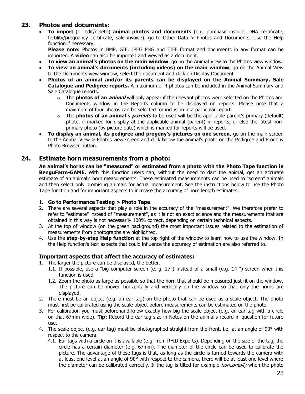# **23. Photos and documents:**

• **To import** (or edit/delete) **animal photos and documents** (e.g. purchase invoice, DNA certificate, fertility/pregnancy certificate, sale invoice), go to Other Data > Photos and Documents. Use the Help function if necessary.

**Please note:** Photos in BMP, GIF, JPEG PNG and TIFF format and documents in any format can be imported. A **video** can also be imported and viewed as a document.

- **To view an animal's photos on the main window**, go on the Animal View to the Photos view window.
- **To view an animal's documents (including videos) on the main window**, go on the Animal View to the Documents view window, select the document and click on Display Document.
- **Photos of an animal and/or its parents can be displayed on the Animal Summary, Sale Catalogue and Pedigree reports.** A maximum of 4 photos can be included in the Animal Summary and Sale Catalogue reports.
	- o The **photos of an animal** will only appear if the relevant photos were selected on the Photos and Documents window in the Reports column to be displayed on reports. Please note that a maximum of four photos can be selected for inclusion in a particular report.
	- o The **photos of an animal's parents** to be used will be the applicable parent's primary (default) photo, if marked for display at the applicable animal (parent) in reports, or else the latest nonprimary photo (by picture date) which is marked for reports will be used.
- **To display an animal, its pedigree and progeny's pictures on one screen**, go on the main screen to the Animal View > Photos view screen and click below the animal's photo on the Pedigree and Progeny Photo Browser button.

# **24. Estimate horn measurements from a photo:**

**An animal's horns can be "measured" or estimated from a photo with the Photo Tape function in BenguFarm-GAME.** With this function users can, without the need to dart the animal, get an accurate estimate of an animal's horn measurements. These estimated measurements can be used to "screen" animals and then select only promising animals for actual measurement. See the instructions below to use the Photo Tape function and for important aspects to increase the accuracy of horn length estimates.

- 1. **Go to Performance Testing > Photo Tape**.
- 2. There are several aspects that play a role in the accuracy of the "measurement". We therefore prefer to refer to "estimate" instead of "measurement", as it is not an exact science and the measurements that are obtained in this way is not necessarily 100% correct, depending on certain technical aspects.
- 3. At the top of window (on the green background) the most important issues related to the estimation of measurements from photographs are highlighted.
- 4. Use the **step-by-step Help function** at the top right of the window to learn how to use the window. In the Help function's text aspects that could influence the accuracy of estimation are also referred to.

#### **Important aspects that affect the accuracy of estimates:**

- 1. The larger the picture can be displayed, the better.
	- 1.1. If possible, use a "big computer screen (e. g. 27") instead of a small (e.g. 14 ") screen when this function is used.
	- 1.2. Zoom the photo as large as possible so that the horn that should be measured just fit on the window. The picture can be moved horizontally and vertically on the window so that only the horns are displayed.
- 2. There must be an object (e.g. an ear tag) on the photo that can be used as a scale object. The photo must first be calibrated using the scale object before measurements can be estimated on the photo.
- 3. For calibration you must beforehand know exactly how big the scale object (e.g. an ear tag with a circle on that 67mm wide). **Tip:** Record the ear tag size in Notes on the animal's record in question for future use.
- 4. The scale object (e.g. ear tag) must be photographed straight from the front, i.e. at an angle of 90° with respect to the camera.
	- 4.1. Ear tags with a circle on it is available (e.g. from RFID Experts). Depending on the size of the tag, the circle has a certain diameter (e.g. 67mm). The diameter of the circle can be used to calibrate the picture. The advantage of these tags is that, as long as the circle is turned towards the camera with at least one level at an angle of 90° with respect to the camera, there will be at least one level where the diameter can be calibrated correctly. If the tag is tilted for example *horizontally* when the photo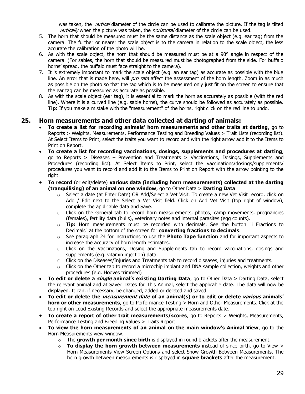was taken, the *vertical* diameter of the circle can be used to calibrate the picture. If the tag is tilted vertically when the picture was taken, the *horizontal* diameter of the circle can be used.

- 5. The horn that should be measured must be the same distance as the scale object (e.g. ear tag) from the camera. The further or nearer the scale object is to the camera in relation to the scale object, the less accurate the calibration of the photo will be.
- 6. As with the scale object, the horn that should be measured must be at a 90° angle in respect of the camera. (For sables, the horn that should be measured must be photographed from the side. For buffalo horns' spread, the buffalo must face straight to the camera).
- 7. It is extremely important to mark the scale object (e.g. an ear tag) as accurate as possible with the blue line. An error that is made here, will *pro rata* affect the assessment of the horn length. Zoom in as much as possible on the photo so that the tag which is to be measured only just fit on the screen to ensure that the ear tag can be measured as accurate as possible.
- 8. As with the scale object (ear tag), it is essential to mark the horn as accurately as possible (with the red line). Where it is a curved line (e.g. sable horns), the curve should be followed as accurately as possible. **Tip:** If you make a mistake with the "measurement" of the horns, right click on the red line to undo.

# **25. Horn measurements and other data collected at darting of animals:**

- **To create a list for recording animals' horn measurements and other traits at darting**, go to Reports > Weights, Measurements, Performance Testing and Breeding Values > Trait Lists (recording list). At Select Items to Print, select the traits you want to record and with the right arrow add it to the Items to Print on Report.
- **To create a list for recording vaccinations, dosings, supplements and procedures at darting**, go to Reports > Diseases – Prevention and Treatments > Vaccinations, Dosings, Supplements and Procedures (recording list). At Select Items to Print, select the vaccinations/dosings/supplements/ procedures you want to record and add it to the Items to Print on Report with the arrow pointing to the right.
- **To record** (or edit/delete) **various data (including horn measurements) collected at the darting (tranquilising) of an animal on one window**, go to Other Data > **Darting Data**.
	- o Select a date (at Enter Date) OR Add/Select a Vet Visit. To create a new Vet Visit record, click on Add / Edit next to the Select a Vet Visit field. Click on Add Vet Visit (top right of window), complete the applicable data and Save.
	- $\circ$  Click on the General tab to record horn measurements, photos, camp movements, pregnancies (females), fertility data (bulls), veterinary notes and internal parasites (egg counts).
	- o **Tip:** Horn measurements must be recorded with decimals. See the button "i Fractions to Decimals" at the bottom of the screen for **converting fractions to decimals**.
	- o See paragraph 24 for instructions to use the **Photo Tape function** and for important aspects to increase the accuracy of horn length estimates.
	- o Click on the Vaccinations, Dosing and Supplements tab to record vaccinations, dosings and supplements (e.g. vitamin injection) data.
	- o Click on the Diseases/Injuries and Treatments tab to record diseases, injuries and treatments.
	- $\circ$  Click on the Other tab to record a microchip implant and DNA sample collection, weights and other procedures (e.g. Hooves trimmed)
- **To edit or delete a single animal's existing Darting Data**, go to Other Data > Darting Data, select the relevant animal and at Saved Dates for This Animal, select the applicable date. The data will now be displayed. It can, if necessary, be changed, added or deleted and saved.
- **To edit or delete the measurement date of an animal(s) or to edit or delete various animals' horn or other measurements**, go to Performance Testing > Horn and Other Measurements. Click at the top right on Load Existing Records and select the appropriate measurements date.
- **To create a report of other trait measurements/scores**, go to Reports > Weights, Measurements, Performance Testing and Breeding Values > Traits Report.
- **To view the horn measurements of an animal on the main window's Animal View**, go to the Horn Measurements view window.
	- o The **growth per month since birth** is displayed in round brackets after the measurement.
	- o **To display the horn growth between measurements** instead of since birth, go to View > Horn Measurements View Screen Options and select Show Growth Between Measurements. The horn growth between measurements is displayed in **square brackets** after the measurement.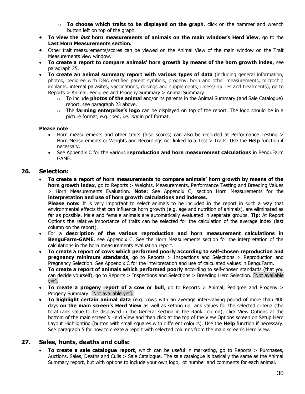- o **To choose which traits to be displayed on the graph**, click on the hammer and wrench button left on top of the graph.
- **To view the last horn measurements of animals on the main window's Herd View**, go to the **Last Horn Measurements section.**
- Other trait measurements/scores can be viewed on the Animal View of the main window on the Trait Measurements view window.
- **To create a report to compare animals' horn growth by means of the horn growth index**, see paragraph 25.
- **To create an animal summary report with various types of data** (including general information, photos, pedigree with DNA certified parent symbols, progeny, horn and other measurements, microchip implants, internal parasites, vaccinations, dosings and supplements, illness/injuries and treatments), go to Reports > Animal, Pedigree and Progeny Summary > Animal Summary.
	- o To include **photos of the animal** and/or its parents in the Animal Summary (and Sale Catalogue) report, see paragraph 23 above.
	- o The **farming enterprise's logo** can be displayed on top of the report. The logo should be in a picture format, e.g. jpeg, i.e. *not* in pdf format.

#### **Please note**:

- Horn measurements and other traits (also scores) can also be recorded at Performance Testing > Horn Measurements or Weights and Recordings not linked to a Test > Traits. Use the **Help** function if necessary.
- See Appendix C for the various **reproduction and horn measurement calculations** in BenguFarm GAME.

# **26. Selection:**

• **To create a report of horn measurements to compare animals' horn growth by means of the horn growth index**, go to Reports > Weights, Measurements, Performance Testing and Breeding Values > Horn Measurements Evaluation. **Note:** See Appendix C, section Horn Measurements for the **interpretation and use of horn growth calculations and indexes.**

**Please note:** It is very important to select animals to be included in the report in such a way that environmental effects that can influence horn growth (e.g. age and nutrition of animals), are eliminated as far as possible. Male and female animals are automatically evaluated in separate groups. **Tip**: At Report Options the relative importance of traits can be selected for the calculation of the average index (last column on the report).

- For a **description of the various reproduction and horn measurement calculations in BenguFarm-GAME**, see Appendix C. See the Horn Measurements section for the interpretation of the calculations in the horn measurements evaluation report.
- **To create a report of cows which performed poorly according to self-chosen reproduction and pregnancy minimum standards**, go to Reports > Inspections and Selections > Reproduction and Pregnancy Selection. See Appendix C for the interpretation and use of calculated values in BenguFarm.
- **To create a report of animals which performed poorly** according to self-chosen standards (that you can decide yourself), go to Reports > Inspections and Selections > Breeding Herd Selection. [Not available yet].
- **To create a progeny report of a cow or bull**, go to Reports > Animal, Pedigree and Progeny > Progeny Summary. [Not available yet].
- **To highlight certain animal data** (e.g. cows with an average inter-calving period of more than 400 days **on the main screen's Herd View** as well as setting up rank values for the selected criteria (the total rank value to be displayed in the General section in the Rank column), click View Options at the bottom of the main screen's Herd View and then click at the top of the View Options screen on Setup Herd Layout Highlighting (button with small squares with different colours). Use the **Help** function if necessary. See paragraph 5 for how to create a report with selected columns from the main screen's Herd View.

# **27. Sales, hunts, deaths and culls:**

• **To create a sale catalogue report**, which can be useful in marketing, go to Reports > Purchases, Auctions, Sales, Deaths and Culls > Sale Catalogue. The sale catalogue is basically the same as the Animal Summary report, but with options to include your own logo, lot number and comments for each animal.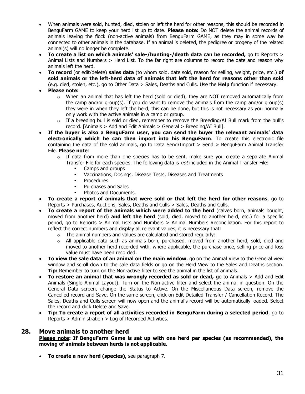- When animals were sold, hunted, died, stolen or left the herd for other reasons, this should be recorded in BenguFarm GAME to keep your herd list up to date. **Please note:** Do NOT delete the animal records of animals leaving the flock (non-active animals) from BenguFarm GAME, as they may in some way be connected to other animals in the database. If an animal is deleted, the pedigree or progeny of the related animal(s) will no longer be complete.
- **To create a list on which animals' sale-/hunting-/death data can be recorded,** go to Reports > Animal Lists and Numbers > Herd List. To the far right are columns to record the date and reason why animals left the herd.
- **To record** (or edit/delete) **sales data** (to whom sold, date sold, reason for selling, weight, price, etc.) **of sold animals or the left-herd data of animals that left the herd for reasons other than sold** (e.g. died, stolen, etc.), go to Other Data > Sales, Deaths and Culls. Use the **Help** function if necessary.
- **Please note:**
	- $\circ$  When an animal that has left the herd (sold or died), they are NOT removed automatically from the camp and/or group(s). If you do want to remove the animals from the camp and/or group(s) they were in when they left the herd, this can be done, but this is not necessary as you normally only work with the active animals in a camp or group.
	- $\circ$  If a breeding bull is sold or died, remember to remove the Breeding/AI Bull mark from the bull's record. [Animals > Add and Edit Animals > General > Breeding/AI Bull].
- **If the buyer is also a BenguFarm user, you can send the buyer the relevant animals' data electronically which he can then import into his BenguFarm**. To create this electronic file containing the data of the sold animals, go to Data Send/Import > Send > BenguFarm Animal Transfer File. **Please note**:
	- $\circ$  If data from more than one species has to be sent, make sure you create a separate Animal Transfer File for each species. The following data is *not* included in the Animal Transfer File:
		- Camps and groups
		- Vaccinations, Dosings, Disease Tests, Diseases and Treatments
		- Procedures
		- Purchases and Sales
		- **•** Photos and Documents.
- **To create a report of animals that were sold or that left the herd for other reasons**, go to Reports > Purchases, Auctions, Sales, Deaths and Culls > Sales, Deaths and Culls.
- **To create a report of the animals which were added to the herd** (calves born, animals bought, moved from another herd) **and left the herd** (sold, died, moved to another herd, etc.) for a specific period, go to Reports > Animal Lists and Numbers > Animal Numbers Reconciliation. For this report to reflect the correct numbers and display all relevant values, it is necessary that:
	- $\circ$  The animal numbers and values are calculated and stored regularly:
	- $\circ$  All applicable data such as animals born, purchased, moved from another herd, sold, died and moved to another herd recorded with, where applicable, the purchase price, selling price and loss value must have been recorded.
- **To view the sale data of an animal on the main window**, go on the Animal View to the General view window and scroll down to the sale data fields or go on the Herd View to the Sales and Deaths section. **Tip:** Remember to turn on the Non-active filter to see the animal in the list of animals.
- **To restore an animal that was wrongly recorded as sold or dead, g**o to Animals > Add and Edit Animals (Single Animal Layout). Turn on the Non-active filter and select the animal in question. On the General Data screen, change the Status to Active. On the Miscellaneous Data screen, remove the Cancelled record and Save. On the same screen, click on Edit Detailed Transfer / Cancellation Record. The Sales, Deaths and Culls screen will now open and the animal's record will be automatically loaded. Select the record and click Delete and Save.
- **Tip: To create a report of all activities recorded in BenguFarm during a selected period**, go to Reports > Administration > Log of Recorded Activities.

#### **28. Move animals to another herd**

**Please note: If BenguFarm Game is set up with one herd per species (as recommended), the moving of animals between herds is not applicable.**

• **To create a new herd (species),** see paragraph 7.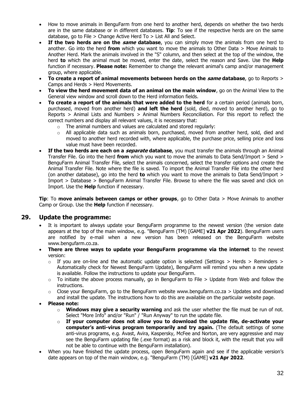- How to move animals in BenguFarm from one herd to another herd, depends on whether the two herds are in the same database or in different databases. **Tip**: To see if the respective herds are on the same database, go to File > Change Active Herd To > List All and Select.
- **If the two herds are on the same database**, you can simply move the animals from one herd to another. Go into the herd **from** which you want to move the animals to Other Data > Move Animals to Another Herd. Mark the animals involved in the "S" column, and then select at the top of the window, the herd **to** which the animal must be moved, enter the date, select the reason and Save. Use the **Help** function if necessary. **Please note:** Remember to change the relevant animal's camp and/or management group, where applicable.
- **To create a report of animal movements between herds on the same database**, go to Reports > Camps and Herds > Herd Movements.
- **To view the herd movement data of an animal on the main window**, go on the Animal View to the General view window and scroll down to the Herd information fields.
- **To create a report of the animals that were added to the herd** for a certain period (animals born, purchased, moved from another herd) **and left the herd** (sold, died, moved to another herd), go to Reports > Animal Lists and Numbers > Animal Numbers Reconciliation. For this report to reflect the correct numbers and display all relevant values, it is necessary that:
	- $\circ$  The animal numbers and values are calculated and stored regularly:
	- $\circ$  All applicable data such as animals born, purchased, moved from another herd, sold, died and moved to another herd recorded with, where applicable, the purchase price, selling price and loss value must have been recorded.
- **If the two herds are each on a separate database**, you must transfer the animals through an Animal Transfer File. Go into the herd **from** which you want to move the animals to Data Send/Import > Send > BenguFarm Animal Transfer File, select the animals concerned, select the transfer options and create the Animal Transfer File. Note where the file is saved. To import the Animal Transfer File into the other herd (on another database), go into the herd **to** which you want to move the animals to Data Send/Import > Import > Database > BenguFarm Animal Transfer File. Browse to where the file was saved and click on Import. Use the **Help** function if necessary.

**Tip**: To **move animals between camps or other groups**, go to Other Data > Move Animals to another Camp or Group. Use the **Help** function if necessary.

# **29. Update the programme:**

- It is important to always update your BenguFarm programme to the newest version (the version date appears at the top of the main window, e.g. "BenguFarm (TM) [GAME] **v21 Apr 2022**). BenguFarm users are notified by e-mail when a new version has been released on the BenguFarm website www.bengufarm.co.za.
- **There are three ways to update your BenguFarm programme via the internet** to the newest version:
	- $\circ$  If you are on-line and the automatic update option is selected (Settings > Herds > Reminders > Automatically check for Newest BenguFarm Update), BenguFarm will remind you when a new update is available. Follow the instructions to update your BenguFarm.
	- $\circ$  To initiate the above process manually, go in BenguFarm to File > Update from Web and follow the instructions.
	- $\circ$  Close your BenguFarm, go to the BenguFarm website www.bengufarm.co.za  $>$  Updates and download and install the update. The instructions how to do this are available on the particular website page.
- **Please note:**
	- o **Windows may give a security warning** and ask the user whether the file must be run of not. Select "More Info" and/or "Run" / "Run Anyway" to run the update file.
	- o **If your computer does not allow you to download the update file, de-activate your computer's anti-virus program temporarily and try again.** (The default settings of some anti-virus programs, e.g. Avast, Avira, Kaspersky, McFee and Norton, are very aggressive and may see the BenguFarm updating file (.exe format) as a risk and block it, with the result that you will not be able to continue with the BenguFarm installation).
- When you have finished the update process, open BenguFarm again and see if the applicable version's date appears on top of the main window, e.g. "BenguFarm (TM) [GAME] **v21 Apr 2022**.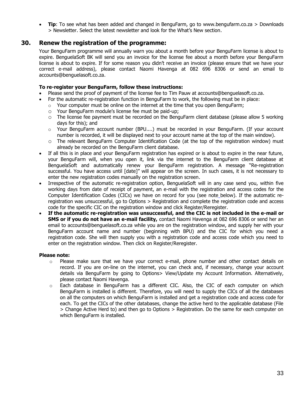**Tip**: To see what has been added and changed in BenguFarm, go to www.bengufarm.co.za > Downloads > Newsletter. Select the latest newsletter and look for the What's New section.

# **30. Renew the registration of the programme:**

Your BenguFarm programme will annually warn you about a month before your BenguFarm license is about to expire. BenguelaSoft BK will send you an invoice for the license fee about a month before your BenguFarm license is about to expire. If for some reason you didn't receive an invoice (please ensure that we have your correct e-mail address), please contact Naomi Havenga at 082 696 8306 or send an email to accounts@benguelasoft.co.za.

#### **To re-register your BenguFarm, follow these instructions:**

- Please send the proof of payment of the license fee to Tim Pauw at accounts@benguelasoft.co.za.
- For the automatic re-registration function in BenguFarm to work, the following must be in place:
	- $\circ$  Your computer must be online on the internet at the time that you open BenguFarm;
	- o Your BenguFarm module's license fee must be paid-up;
	- o The license fee payment must be recorded on the BenguFarm client database (please allow 5 working days for this); and
	- $\circ$  Your BenguFarm account number (BPU....) must be recorded in your BenguFarm. (If your account number is recorded, it will be displayed next to your account name at the top of the main window).
	- $\circ$  The relevant BenguFarm Computer Identification Code (at the top of the registration window) must already be recorded on the BenguFarm client database.
- If all this is in place and your BenguFarm registration has expired or is about to expire in the near future, your BenguFarm will, when you open it, link via the internet to the BenguFarm client database at BenguelaSoft and automatically renew your BenguFarm registration. A message "Re-registration successful. You have access until [date]" will appear on the screen. In such cases, it is not necessary to enter the new registration codes manually on the registration screen.
- Irrespective of the automatic re-registration option, BenguelaSoft will in any case send you, within five working days from date of receipt of payment, an e-mail with the registration and access codes for the Computer Identification Codes (CICs) we have on record for you (see note below). If the automatic reregistration was unsuccessful, go to Options > Registration and complete the registration code and access code for the specific CIC on the registration window and click Register/Reregister.
- **If the automatic re-registration was unsuccessful, and the CIC is not included in the e-mail or SMS or if you do not have an e-mail facility,** contact Naomi Havenga at 082 696 8306 or send her an email to accounts@benguelasoft.co.za while you are on the registration window, and supply her with your BenguFarm account name and number (beginning with BPU) and the CIC for which you need a registration code. She will then supply you with a registration code and access code which you need to enter on the registration window. Then click on Register/Reregister.

#### **Please note:**

- $\circ$  Please make sure that we have your correct e-mail, phone number and other contact details on record. If you are on-line on the internet, you can check and, if necessary, change your account details via BenguFarm by going to Options> View/Update my Account Information. Alternatively, please contact Naomi Havenga.
- $\circ$  Each database in BenguFarm has a different CIC. Also, the CIC of each computer on which BenguFarm is installed is different. Therefore, you will need to supply the CICs of all the databases on all the computers on which BenguFarm is installed and get a registration code and access code for each. To get the CICs of the other databases, change the active herd to the applicable database (File > Change Active Herd to) and then go to Options > Registration. Do the same for each computer on which BenguFarm is installed.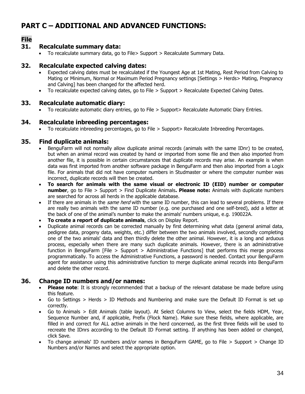# **PART C – ADDITIONAL AND ADVANCED FUNCTIONS:**

# **File**

# **31. Recalculate summary data:**

• To recalculate summary data, go to File> Support > Recalculate Summary Data.

#### **32. Recalculate expected calving dates:**

- Expected calving dates must be recalculated if the Youngest Age at 1st Mating, Rest Period from Calving to Mating or Minimum, Normal or Maximum Period Pregnancy settings [Settings > Herds> Mating, Pregnancy and Calving] has been changed for the affected herd.
- To recalculate expected calving dates, go to File > Support > Recalculate Expected Calving Dates.

# **33. Recalculate automatic diary:**

• To recalculate automatic diary entries, go to File > Support> Recalculate Automatic Diary Entries.

# **34. Recalculate inbreeding percentages:**

• To recalculate inbreeding percentages, go to File > Support> Recalculate Inbreeding Percentages.

# **35. Find duplicate animals:**

- BenguFarm will not normally allow duplicate animal records (animals with the same IDnr) to be created, but when an animal record was created by hand or imported from some file and then also imported from another file, it is possible in certain circumstances that duplicate records may arise. An example is when data was first imported from another software package in BenguFarm and then also imported from a Logix file. For animals that did not have computer numbers in Studmaster or where the computer number was incorrect, duplicate records will then be created.
- **To search for animals with the same visual or electronic ID (EID) number or computer number**, go to File > Support > Find Duplicate Animals**. Please note:** Animals with duplicate numbers are searched for across all herds in the applicable database.
- If there are animals in the *same herd* with the same ID number, this can lead to several problems. If there are really two animals with the same ID number (e.g. one purchased and one self-bred), add a letter at the back of one of the animal's number to make the animals' numbers unique, e.g. 190022A.
- **To create a report of duplicate animals**, click on Display Report.
- Duplicate animal records can be corrected manually by first determining what data (general animal data, pedigree data, progeny data, weights, etc.) differ between the two animals involved, secondly completing one of the two animals' data and then thirdly delete the other animal. However, it is a long and arduous process, especially when there are many such duplicate animals. However, there is an administrative function in BenguFarm [File > Support > Administrative Functions] that performs this merge process programmatically. To access the Administrative Functions, a password is needed. Contact your BenguFarm agent for assistance using this administrative function to merge duplicate animal records into BenguFarm and delete the other record.

# **36. Change ID numbers and/or names:**

- **Please note**: It is strongly recommended that a backup of the relevant database be made before using this feature.
- Go to Settings > Herds > ID Methods and Numbering and make sure the Default ID Format is set up correctly.
- Go to Animals > Edit Animals (table layout). At Select Columns to View, select the fields HDM, Year, Sequence Number and, if applicable, Prefix (Flock Name). Make sure these fields, where applicable, are filled in and correct for ALL active animals in the herd concerned, as the first three fields will be used to recreate the IDnrs according to the Default ID Format setting. If anything has been added or changed, click Save.
- To change animals' ID numbers and/or names in BenguFarm GAME, go to File > Support > Change ID Numbers and/or Names and select the appropriate option.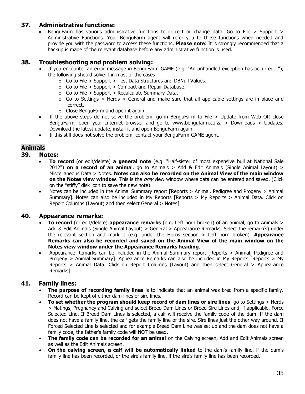# **37. Administrative functions:**

• BenguFarm has various administrative functions to correct or change data. Go to File > Support > Administrative Functions. Your BenguFarm agent will refer you to these functions when needed and provide you with the password to access these functions. **Please note**: It is strongly recommended that a backup is made of the relevant database before any administrative function is used.

# **38. Troubleshooting and problem solving:**

- If you encounter an error message in BenguFarm GAME (e.g. "An unhandled exception has occurred..."), the following should solve it in most of the cases:
	- $\circ$  Go to File > Support > Test Data Structures and DBNull Values.
	- $\circ$  Go to File > Support > Compact and Repair Database.
	- $\circ$  Go to File > Support > Recalculate Summary Data.
	- $\circ$  Go to Settings > Herds > General and make sure that all applicable settings are in place and correct.
	- $\circ$  Close BenguFarm and open it again.
- If the above steps do not solve the problem, go in BenguFarm to File > Update from Web OR close BenguFarm, open your Internet browser and go to www.bengufarm.co.za > Downloads > Updates. Download the latest update, install it and open BenguFarm again.
- If this still does not solve the problem, contact your BenguFarm GAME agent.

# **Animals**

#### **39. Notes:**

- **To record** (or edit/delete) **a general note** (e.g. "Half-sister of most expensive bull at National Sale 2012") **on a record of an anima**l, go to Animals > Add & Edit Animals (Single Animal Layout) > Miscellaneous Data > Notes. **Notes can also be recorded on the Animal View of the main window on the Notes view window**. This is the only view window where data can be entered and saved. (Click on the "stiffy" disk icon to save the new note).
- Notes can be included in the Animal Summary report [Reports > Animal, Pedigree and Progeny > Animal Summary]. Notes can also be included in My Reports  $[Reports > My$  Reports > Animal Data. Click on Report Columns (Layout) and then select General > Notes].

# **40. Appearance remarks:**

- **To record** (or edit/delete) **appearance remarks** (e.g. Left horn broken) of an animal, go to Animals > Add & Edit Animals (Single Animal Layout) > General > Appearance Remarks. Select the remark(s) under the relevant section and mark it (e.g. under the Horns section > Left horn broken). **Appearance Remarks can also be recorded and saved on the Animal View of the main window on the Notes view window under the Appearance Remarks heading**.
- Appearance Remarks can be included in the Animal Summary report [Reports > Animal, Pedigree and Progeny  $>$  Animal Summary]. Appearance Remarks can also be included in My Reports [Reports  $>$  My Reports > Animal Data. Click on Report Columns (Layout) and then select General > Appearance Remarks].

# **41. Family lines:**

- The purpose of recording family lines is to indicate that an animal was bred from a specific family. Record can be kept of either dam lines or sire lines.
- **To set whether the program should keep record of dam lines or sire lines**, go to Settings > Herds > Matings, Pregnancy and Calving and select Breed Dam Lines or Breed Sire Lines and, if applicable, Force Selected Line. If Breed Dam Lines is selected, a calf will receive the family code of the dam. If the dam does not have a family line, the calf gets the family line of the sire. Sire lines just the other way around. If Forced Selected Line is selected and for example Breed Dam Line was set up and the dam does not have a family code, the father's family code will NOT be used.
- **The family code can be recorded for an animal** on the Calving screen, Add and Edit Animals screen as well as the Edit Animals screen.
- **On the calving screen, a calf will be automatically linked** to the dam's family line, if the dam's family line has been recorded, or the sire's family line, if the sire's family line has been recorded.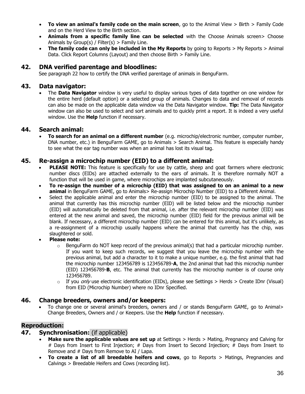- **To view an animal's family code on the main screen**, go to the Animal View > Birth > Family Code and on the Herd View to the Birth section.
- **Animals from a specific family line can be selected** with the Choose Animals screen> Choose Animals by Group(s) / Filter(s) > Family Line.
- **The family code can only be included in the My Reports** by going to Reports > My Reports > Animal Data. Click Report Columns (Layout) and then choose Birth > Family Line.

# **42. DNA verified parentage and bloodlines:**

See paragraph 22 how to certify the DNA verified parentage of animals in BenguFarm.

#### **43. Data navigator:**

• The **Data Navigator** window is very useful to display various types of data together on one window for the entire herd (default option) or a selected group of animals. Changes to data and removal of records can also be made on the applicable data window via the Data Navigator window. **Tip:** The Data Navigator window can also be used to select and sort animals and to quickly print a report. It is indeed a very useful window. Use the **Help** function if necessary.

#### **44. Search animal:**

• **To search for an animal on a different number** (e.g. microchip/electronic number, computer number, DNA number, etc.) in BenguFarm GAME, go to Animals > Search Animal. This feature is especially handy to see what the ear tag number was when an animal has lost its visual tag.

# **45. Re-assign a microchip number (EID) to a different animal:**

- **PLEASE NOTE:** This feature is specifically for use by cattle, sheep and goat farmers where electronic number discs (EIDs) are attached externally to the ears of animals. It is therefore normally NOT a function that will be used in game, where microchips are implanted subcutaneously.
- **To re-assign the number of a microchip (EID) that was assigned to on an animal to a new animal** in BenguFarm GAME, go to Animals> Re-assign Microchip Number (EID) to a Different Animal.
- Select the applicable animal and enter the microchip number (EID) to be assigned to the animal. The animal that currently has this microchip number (EID) will be listed below and the microchip number (EID) will automatically be deleted from that animal, i.e. after the relevant microchip number (EID) was entered at the new animal and saved, the microchip number (EID) field for the previous animal will be blank. If necessary, a different microchip number (EID) can be entered for this animal, but it's unlikely, as a re-assignment of a microchip usually happens where the animal that currently has the chip, was slaughtered or sold.
- **Please note:**
	- $\circ$  BenguFarm do NOT keep record of the previous animal(s) that had a particular microchip number. If you want to keep such records, we suggest that you leave the microchip number with the previous animal, but add a character to it to make a unique number, e.g. the first animal that had the microchip number 123456789 is 123456789-**A**, the 2nd animal that had this microchip number (EID) 123456789-**B**, etc. The animal that currently has the microchip number is of course only 123456789.
	- $\circ$  If you *only* use electronic identification (EIDs), please see Settings > Herds > Create IDnr (Visual) from EID (Microchip Number) where no IDnr Specified.

# **46. Change breeders, owners and/or keepers:**

• To change one or several animal's breeders, owners and / or stands BenguFarm GAME, go to Animal> Change Breeders, Owners and / or Keepers. Use the **Help** function if necessary.

# **Reproduction:**

#### **47. Synchronisation:** (if applicable)

- **Make sure the applicable values are set up** at Settings > Herds > Mating, Pregnancy and Calving for # Days from Insert to First Injection; # Days from Insert to Second Injection; # Days from Insert to Remove and # Days from Remove to AI / Lapa.
- **To create a list of all breedable heifers and cows**, go to Reports > Matings, Pregnancies and Calvings > Breedable Heifers and Cows (recording list).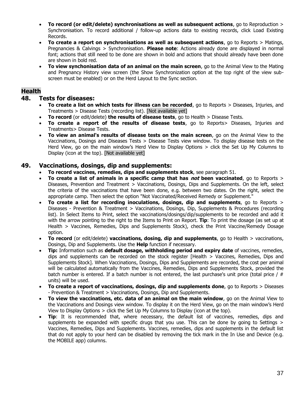- **To record (or edit/delete) synchronisations as well as subsequent actions**, go to Reproduction > Synchronisation. To record additional / follow-up actions data to existing records, click Load Existing Records.
- **To create a report on synchronisations as well as subsequent actions**, go to Reports > Matings, Pregnancies & Calvings > Synchronisation. **Please note**: Actions already done are displayed in normal font; actions that still need to be done are shown in bold and actions that should already have been done are shown in bold red.
- **To view synchonisation data of an animal on the main screen**, go to the Animal View to the Mating and Pregnancy History view screen (the Show Synchronization option at the top right of the view subscreen must be enabled) or on the Herd Layout to the Sync section.

# **Health**

# **48. Tests for diseases:**

- **To create a list on which tests for illness can be recorded**, go to Reports > Diseases, Injuries, and Treatments > Disease Tests (recording list). [Not available yet]
- **To record** (or edit/delete) **the results of disease tests**, go to Health > Disease Tests.
- **To create a report of the results of disease tests**, go to Reports> Diseases, Injuries and Treatments> Disease Tests.
- **To view an animal's results of disease tests on the main screen**, go on the Animal View to the Vaccinations, Dosings and Diseases Tests > Disease Tests view window. To display disease tests on the Herd View, go on the main window's Herd View to Display Options > click the Set Up My Columns to Display (icon at the top). [Not available yet]

#### **49. Vaccinations, dosings, dip and supplements:**

- **To record vaccines, remedies, dips and supplements stock**, see paragraph 51.
- **To create a list of animals in a specific camp that has not been vaccinated**, go to Reports > Diseases, Prevention and Treatment > Vaccinations, Dosings, Dips and Supplements. On the left, select the criteria of the vaccinations that have been done, e.g. between two dates. On the right, select the appropriate camp. Then select the option "Not Vaccinated/Received Remedy or Supplement."
- **To create a list for recording inoculations, dosings, dip and supplements**, go to Reports > Diseases - Prevention & Treatment > Vaccinations, Dosings, Dip, Supplements & Procedures (recording list). In Select Items to Print, select the vaccinations/dosings/dip/supplements to be recorded and add it with the arrow pointing to the right to the Items to Print on Report. **Tip**: To print the dosage (as set up at Health > Vaccines, Remedies, Dips and Supplements Stock), check the Print Vaccine/Remedy Dosage option.
- **To record** (or edit/delete) **vaccinations, dosing, dip and supplements**, go to Health > vaccinations, Dosings, Dip and Supplements. Use the **Help** function if necessary.
- **Tip:** Information such as **default dosage, withholding period and expiry date** of vaccines, remedies, dips and supplements can be recorded on the stock register [Health > Vaccines, Remedies, Dips and Supplements Stock]. When Vaccinations, Dosings, Dips and Supplements are recorded, the cost per animal will be calculated automatically from the Vaccines, Remedies, Dips and Supplements Stock, provided the batch number is entered. If a batch number is not entered, the last purchase's unit price (total price /  $\#$ units) will be used.
- **To create a report of vaccinations, dosings, dip and supplements done**, go to Reports > Diseases - Prevention & Treatment > Vaccinations, Dosings, Dip and Supplements.
- **To view the vaccinations, etc. data of an animal on the main window**, go on the Animal View to the Vaccinations and Dosings view window. To display it on the Herd View, go on the main window's Herd View to Display Options > click the Set Up My Columns to Display (icon at the top).
- **Tip:** It is recommended that, where necessary, the default list of vaccines, remedies, dips and supplements be expanded with specific drugs that you use. This can be done by going to Settings > Vaccines, Remedies, Dips and Supplements. Vaccines, remedies, dips and supplements in the default list that do not apply to your herd can be disabled by removing the tick mark in the In Use and Device (e.g. the MOBILE app) columns.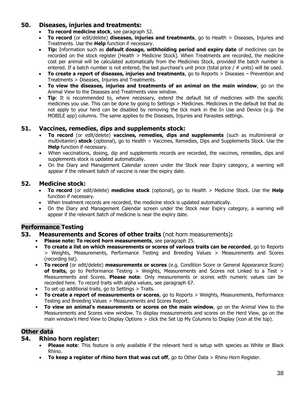# **50. Diseases, injuries and treatments:**

- **To record medicine stock**, see paragraph 52.
- **To record** (or edit/delete) **diseases, injuries and treatments**, go to Health > Diseases, Injuries and Treatments. Use the **Help** function if necessary.
- **Tip:** Information such as **default dosage, withholding period and expiry date** of medicines can be recorded on the stock register [Health > Medicine Stock]. When Treatments are recorded, the medicine cost per animal will be calculated automatically from the Medicines Stock, provided the batch number is entered. If a batch number is not entered, the last purchase's unit price (total price  $/$  # units) will be used.
- **To create a report of diseases, injuries and treatments**, go to Reports > Diseases Prevention and Treatments > Diseases, Injuries and Treatments.
- **To view the diseases, injuries and treatments of an animal on the main window**, go on the Animal View to the Diseases and Treatments view window.
- **Tip**: It is recommended to, where necessary, extend the default list of medicines with the specific medicines you use. This can be done by going to Settings > Medicines. Medicines in the default list that do not apply to your herd can be disabled by removing the tick mark in the In Use and Device (e.g. the MOBILE app) columns. The same applies to the Diseases, Injuries and Parasites settings.

# **51. Vaccines, remedies, dips and supplements stock:**

- **To record** (or edit/delete) **vaccines, remedies, dips and supplements** (such as multimineral or multivitamin) **stock** (optional), go to Health > Vaccines, Remedies, Dips and Supplements Stock. Use the **Help** function if necessary.
- When vaccinations, dosing, dip and supplements records are recorded, the vaccines, remedies, dips and supplements stock is updated automatically.
- On the Diary and Management Calendar screen under the Stock near Expiry category, a warning will appear if the relevant batch of vaccine is near the expiry date.

# **52. Medicine stock:**

- **To record** (or edit/delete) **medicine stock** (optional), go to Health > Medicine Stock. Use the **Help** function if necessary.
- When treatment records are recorded, the medicine stock is updated automatically.
- On the Diary and Management Calendar screen under the Stock near Expiry category, a warning will appear if the relevant batch of medicine is near the expiry date.

# **Performance Testing**

- **53. Measurements and Scores of other traits** (not horn measurements)**:**
	- **Please note: To record horn measurements**, see paragraph 25.
	- **To create a list on which measurements or scores of various traits can be recorded**, go to Reports > Weights, Measurements, Performance Testing and Breeding Values > Measurements and Scores (recording list).
	- **To record** (or edit/delete) **measurements or scores** (e.g. Condition Score or General Appearance Score) of traits, go to Performance Testing > Weights, Measurements and Scores not Linked to a Test > Measurements and Scores. **Please note**: Only measurements or scores with numeric values can be recorded here. To record traits with alpha values, see paragraph 67.
	- To set up additional traits, go to Settings > Traits.
	- **To create a report of measurements or scores**, go to Reports > Weights, Measurements, Performance Testing and Breeding Values > Measurements and Scores Report.
	- **To view an animal's measurements or scores on the main window**, go on the Animal View to the Measurements and Scores view window. To display measurements and scores on the Herd View, go on the main window's Herd View to Display Options > click the Set Up My Columns to Display (icon at the top).

# **Other data**

# **54. Rhino horn register:**

- **Please note**: This feature is only available if the relevant herd is setup with species as White or Black Rhino.
- **To keep a register of rhino horn that was cut off**, go to Other Data > Rhino Horn Register.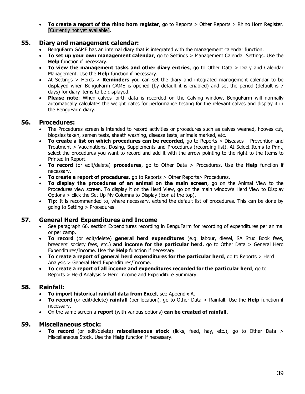• **To create a report of the rhino horn register**, go to Reports > Other Reports > Rhino Horn Register. [Currently not yet available].

# **55. Diary and management calendar:**

- BenguFarm GAME has an internal diary that is integrated with the management calendar function.
- **To set up your own management calendar**, go to Settings > Management Calendar Settings. Use the **Help** function if necessary.
- **To view the management tasks and other diary entries**, go to Other Data > Diary and Calendar Management. Use the **Help** function if necessary.
- At Settings > Herds > **Reminders** you can set the diary and integrated management calendar to be displayed when BenguFarm GAME is opened (by default it is enabled) and set the period (default is 7 days) for diary items to be displayed.
- **Please note**: When calves' birth data is recorded on the Calving window, BenguFarm will normally automatically calculates the weight dates for performance testing for the relevant calves and display it in the BenguFarm diary.

#### **56. Procedures:**

- The Procedures screen is intended to record activities or procedures such as calves weaned, hooves cut, biopsies taken, semen tests, sheath washing, disease tests, animals marked, etc.
- **To create a list on which procedures can be recorded,** go to Reports > Diseases Prevention and Treatment > Vaccinations, Dosing, Supplements and Procedures (recording list). At Select Items to Print, select the procedures you want to record and add it with the arrow pointing to the right to the Items to Printed in Report.
- **To record** (or edit/delete) **procedures**, go to Other Data > Procedures. Use the **Help** function if necessary.
- **To create a report of procedures**, go to Reports > Other Reports > Procedures.
- **To display the procedures of an animal on the main screen**, go on the Animal View to the Procedures view screen. To display it on the Herd View, go on the main window's Herd View to Display Options > click the Set Up My Columns to Display (icon at the top).
- **Tip**: It is recommended to, where necessary, extend the default list of procedures. This can be done by going to Setting > Procedures.

# **57. General Herd Expenditures and Income**

- See paragraph 66, section Expenditures recording in BenguFarm for recording of expenditures per animal or per camp.
- **To record** (or edit/delete) **general herd expenditures** (e.g. labour, diesel, SA Stud Book fees, breeders' society fees, etc.) **and income for the particular herd**, go to Other Data > General Herd Expenditures/Income. Use the **Help** function if necessary.
- **To create a report of general herd expenditures for the particular herd**, go to Reports > Herd Analysis > General Herd Expenditures/Income.
- **To create a report of all income and expenditures recorded for the particular herd**, go to Reports > Herd Analysis > Herd Income and Expenditure Summary.

# **58. Rainfall:**

- **To import historical rainfall data from Excel**, see Appendix A.
- **To record** (or edit/delete) **rainfall** (per location), go to Other Data > Rainfall. Use the **Help** function if necessary.
- On the same screen a **report** (with various options) **can be created of rainfall**.

#### **59. Miscellaneous stock:**

• **To record** (or edit/delete) **miscellaneous stock** (licks, feed, hay, etc.), go to Other Data > Miscellaneous Stock. Use the **Help** function if necessary.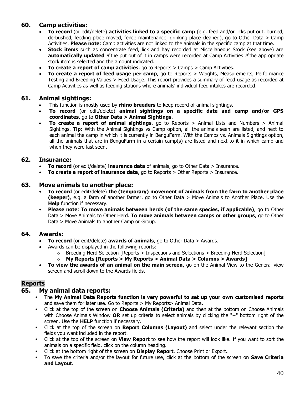# **60. Camp activities:**

- **To record** (or edit/delete) **activities linked to a specific camp** (e.g. feed and/or licks put out, burned, de-bushed, feeding place moved, fence maintenance, drinking place cleaned), go to Other Data > Camp Activities. **Please note**: Camp activities are not linked to the animals in the specific camp at that time.
- **Stock items** such as concentrate feed, lick and hay recorded at Miscellaneous Stock (see above) are **automatically updated** if the put out of it in camps were recorded at Camp Activities if the appropriate stock item is selected and the amount indicated.
- **To create a report of camp activities**, go to Reports > Camps > Camp Activities.
- **To create a report of feed usage per camp**, go to Reports > Weights, Measurements, Performance Testing and Breeding Values > Feed Usage. This report provides a summary of feed usage as recorded at Camp Activities as well as feeding stations where animals' individual feed intakes are recorded.

# **61. Animal sightings:**

- This function is mostly used by **rhino breeders** to keep record of animal sightings.
- **To record** (or edit/delete) **animal sightings on a specific date and camp and/or GPS coordinates**, go to **Other Data > Animal Sightings**.
- **To create a report of animal sightings**, go to Reports > Animal Lists and Numbers > Animal Sightings. **Tip:** With the Animal Sightings vs Camp option, all the animals seen are listed, and next to each animal the camp in which it is currently in BenguFarm. With the Camps vs. Animals Sightings option, all the animals that are in BenguFarm in a certain camp(s) are listed and next to it in which camp and when they were last seen.

# **62. Insurance:**

- **To record** (or edit/delete) **insurance data** of animals, go to Other Data > Insurance.
- **To create a report of insurance data**, go to Reports > Other Reports > Insurance.

#### **63. Move animals to another place:**

- **To record** (or edit/delete) **the (temporary) movement of animals from the farm to another place (keeper)**, e.g. a farm of another farmer, go to Other Data > Move Animals to Another Place. Use the **Help** function if necessary.
- **Please note**: **To move animals between herds (of the same species, if applicable)**, go to Other Data > Move Animals to Other Herd. **To move animals between camps or other groups**, go to Other Data > Move Animals to another Camp or Group.

# **64. Awards:**

- **To record** (or edit/delete) **awards of animals**, go to Other Data > Awards.
- Awards can be displayed in the following reports:
	- o Breeding Herd Selection [Reports > Inspections and Selections > Breeding Herd Selection]
	- o **My Reports [Reports > My Reports > Animal Data > Columns > Awards]**
- **To view the awards of an animal on the main screen**, go on the Animal View to the General view screen and scroll down to the Awards fields.

# **Reports**

# **65. My animal data reports:**

- The **My Animal Data Reports function is very powerful to set up your own customised reports** and save them for later use. Go to Reports > My Reports> Animal Data.
- Click at the top of the screen on **Choose Animals (Criteria)** and then at the bottom on Choose Animals with Choose Animals Window **OR** set up criteria to select animals by clicking the "+" bottom right of the screen. Use the **HELP** function if necessary.
- Click at the top of the screen on **Report Columns (Layout)** and select under the relevant section the fields you want included in the report.
- Click at the top of the screen on **View Report** to see how the report will look like. If you want to sort the animals on a specific field, click on the column heading.
- Click at the bottom right of the screen on **Display Report**. Choose Print or Export**.**
- To save the criteria and/or the layout for future use, click at the bottom of the screen on **Save Criteria and Layout.**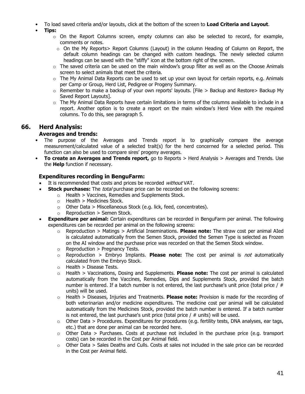- To load saved criteria and/or layouts, click at the bottom of the screen to **Load Criteria and Layout**.
- **Tips:**
	- $\circ$  On the Report Columns screen, empty columns can also be selected to record, for example, comments or notes.
		- o On the My Reports> Report Columns (Layout) in the column Heading of Column on Report, the default column headings can be changed with custom headings. The newly selected column headings can be saved with the "stiffy" icon at the bottom right of the screen.
	- $\circ$  The saved criteria can be used on the main window's group filter as well as on the Choose Animals screen to select animals that meet the criteria.
	- $\circ$  The My Animal Data Reports can be used to set up your own layout for certain reports, e.g. Animals per Camp or Group, Herd List, Pedigree or Progeny Summary.
	- $\circ$  Remember to make a backup of your own reports' layouts. [File > Backup and Restore> Backup My Saved Report Layouts].
	- $\circ$  The My Animal Data Reports have certain limitations in terms of the columns available to include in a report. Another option is to create a report on the main window's Herd View with the required columns. To do this, see paragraph 5.

# **66. Herd Analysis:**

#### **Averages and trends:**

- The purpose of the Averages and Trends report is to graphically compare the average measurement/calculated value of a selected trait(s) for the herd concerned for a selected period. This function can also be used to compare sires' progeny averages.
- **To create an Averages and Trends report,** go to Reports > Herd Analysis > Averages and Trends. Use the **Help** function if necessary.

# **Expenditures recording in BenguFarm:**

- It is recommended that costs and prices be recorded without VAT.
- **Stock purchases:** The *total* purchase price can be recorded on the following screens:
	- $\circ$  Health > Vaccines, Remedies and Supplements Stock.
		- $\circ$  Health > Medicines Stock.
		- $\circ$  Other Data > Miscellaneous Stock (e.g. lick, feed, concentrates).
		- $\circ$  Reproduction > Semen Stock.
- **Expenditure per animal:** Certain expenditures can be recorded in BenguFarm per animal. The following expenditures can be recorded per animal on the following screens:
	- o Reproduction > Matings > Artificial Inseminations. **Please note:** The straw cost per animal AIed is calculated automatically from the Semen Stock, provided the Semen Type is selected as Frozen on the AI window and the purchase price was recorded on that the Semen Stock window.
	- $\circ$  Reproduction > Pregnancy Tests.
	- o Reproduction > Embryo Implants. **Please note:** The cost per animal is not automatically calculated from the Embryo Stock.
	- $\circ$  Health > Disease Tests.
	- o Health > Vaccinations, Dosing and Supplements. **Please note:** The cost per animal is calculated automatically from the Vaccines, Remedies, Dips and Supplements Stock, provided the batch number is entered. If a batch number is not entered, the last purchase's unit price (total price /  $#$ units) will be used.
	- o Health > Diseases, Injuries and Treatments. **Please note:** Provision is made for the recording of both veterinarian and/or medicine expenditures. The medicine cost per animal will be calculated automatically from the Medicines Stock, provided the batch number is entered. If a batch number is not entered, the last purchase's unit price (total price  $/$  # units) will be used.
	- $\circ$  Other Data > Procedures. Expenditures for procedures (e.g. fertility tests, DNA analyses, ear tags, etc.) that are done per animal can be recorded here.
	- $\circ$  Other Data > Purchases. Costs at purchase not included in the purchase price (e.g. transport costs) can be recorded in the Cost per Animal field.
	- $\circ$  Other Data > Sales Deaths and Culls. Costs at sales not included in the sale price can be recorded in the Cost per Animal field.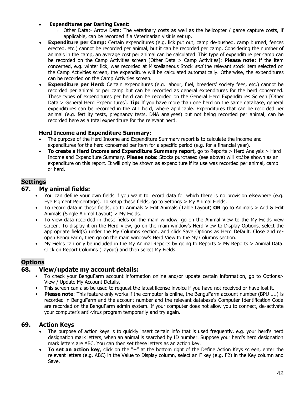#### • **Expenditures per Darting Event:**

- $\circ$  Other Data> Arrow Data: The veterinary costs as well as the helicopter / game capture costs, if applicable, can be recorded if a Veterinarian visit is set up.
- **Expenditure per Camp:** Certain expenditures (e.g. lick put out, camp de-bushed, camp burned, fences erected, etc.) cannot be recorded per animal, but it can be recorded per camp. Considering the number of animals in the camp, an average cost per animal can be calculated. This type of expenditure per camp can be recorded on the Camp Activities screen [Other Data > Camp Activities]: **Please note:** If the item concerned, e.g. winter lick, was recorded at Miscellaneous Stock and the relevant stock item selected on the Camp Activities screen, the expenditure will be calculated automatically. Otherwise, the expenditures can be recorded on the Camp Activities screen.
- **Expenditure per Herd:** Certain expenditures (e.g. labour, fuel, breeders' society fees, etc.) cannot be recorded per animal or per camp but can be recorded as general expenditures for the herd concerned. These types of expenditures per herd can be recorded on the General Herd Expenditures Screen [Other Data > General Herd Expenditures]. **Tip:** If you have more than one herd on the same database, general expenditures can be recorded in the ALL herd, where applicable. Expenditures that can be recorded per animal (e.g. fertility tests, pregnancy tests, DNA analyses) but not being recorded per animal, can be recorded here as a total expenditure for the relevant herd.

#### **Herd Income and Expenditure Summary:**

- The purpose of the Herd Income and Expenditure Summary report is to calculate the income and expenditures for the herd concerned per item for a specific period (e.g. for a financial year).
- **To create a Herd Income and Expenditure Summary report,** go to Reports > Herd Analysis > Herd Income and Expenditure Summary. **Please note:** Stocks purchased (see above) will not be shown as an expenditure on this report. It will only be shown as expenditure if its use was recorded per animal, camp or herd.

# **Settings**

#### **67. My animal fields:**

- You can define your own fields if you want to record data for which there is no provision elsewhere (e.g. Eye Pigment Percentage). To setup these fields, go to Settings > My Animal Fields.
- To record data in these fields, go to Animals > Edit Animals (Table Layout) **OR** go to Animals > Add & Edit Animals (Single Animal Layout) > My Fields.
- To view data recorded in these fields on the main window, go on the Animal View to the My Fields view screen. To display it on the Herd View, go on the main window's Herd View to Display Options, select the appropriate field(s) under the My Columns section, and click Save Options as Herd Default. Close and reopen BenguFarm, then go on the main window's Herd View to the My Columns section.
- My Fields can only be included in the My Animal Reports by going to Reports > My Reports > Animal Data. Click on Report Columns (Layout) and then select My Fields.

# **Options**

# **68. View/update my account details:**

- To check your BenguFarm account information online and/or update certain information, go to Options> View / Update My Account Details.
- This screen can also be used to request the latest license invoice if you have not received or have lost it.
- **Please note**: This feature only works if the computer is online, the BenguFarm account number (BPU ....) is recorded in BenguFarm and the account number and the relevant database's Computer Identification Code are recorded on the BenguFarm admin system. If your computer does not allow you to connect, de-activate your computer's anti-virus program temporarily and try again.

# **69. Action Keys**

- The purpose of action keys is to quickly insert certain info that is used frequently, e.g. your herd's herd designation mark letters, when an animal is searched by ID number. Suppose your herd's herd designation mark letters are ABC. You can then set these letters as an action key.
- **To set an action key**, click on the "+" at the bottom right of the Define Action Keys screen, enter the relevant letters (e.g. ABC) in the Value to Display column, select an F key (e.g. F2) in the Key column and Save.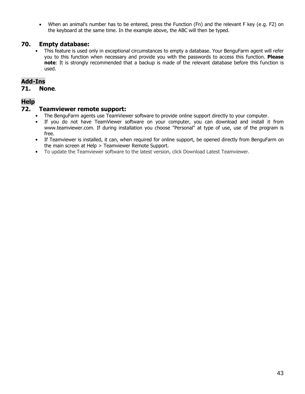• When an animal's number has to be entered, press the Function (Fn) and the relevant F key (e.g. F2) on the keyboard at the same time. In the example above, the ABC will then be typed.

# **70. Empty database:**

• This feature is used only in exceptional circumstances to empty a database. Your BenguFarm agent will refer you to this function when necessary and provide you with the passwords to access this function. **Please note**: It is strongly recommended that a backup is made of the relevant database before this function is used.

# **Add-Ins**

#### **71. None**.

# **Help**

#### **72. Teamviewer remote support:**

- The BenguFarm agents use TeamViewer software to provide online support directly to your computer.
- If you do not have TeamViewer software on your computer, you can download and install it from www.teamviewer.com. If during installation you choose "Personal" at type of use, use of the program is free.
- If Teamviewer is installed, it can, when required for online support, be opened directly from BenguFarm on the main screen at Help > Teamviewer Remote Support.
- To update the Teamviewer software to the latest version, click Download Latest Teamviewer.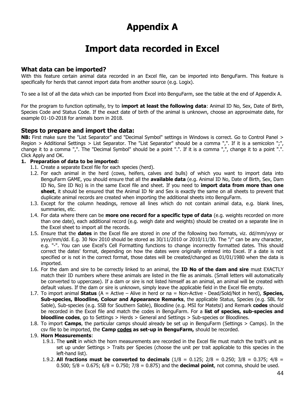# **Appendix A**

# **Import data recorded in Excel**

# **What data can be imported?**

With this feature certain animal data recorded in an Excel file, can be imported into BenguFarm. This feature is specifically for herds that cannot import data from another source (e.g. Logix).

To see a list of all the data which can be imported from Excel into BenguFarm, see the table at the end of Appendix A.

For the program to function optimally, try to **import at least the following data**: Animal ID No, Sex, Date of Birth, Species Code and Status Code. If the exact date of birth of the animal is unknown, choose an approximate date, for example 01-10-2018 for animals born in 2018.

#### **Steps to prepare and import the data:**

**NB:** First make sure the "List Separator" and "Decimal Symbol" settings in Windows is correct. Go to Control Panel > Region > Additional Settings > List Separator. The "List Separator" should be a comma ",". If it is a semicolon ";", change it to a comma ",". The "Decimal Symbol" should be a point ".". If it is a comma ",", change it to a point ".". Click Apply and OK.

#### **1. Preparation of data to be imported:**

- 1.1. Create a separate Excel file for each species (herd).
- 1.2. For each animal in the herd (cows, heifers, calves and bulls) of which you want to import data into BenguFarm GAME, you should ensure that all the **available data** (e.g. Animal ID No, Date of Birth, Sex, Dam ID No, Sire ID No) is in the same Excel file and sheet. If you need to **import data from more than one sheet**, it should be ensured that the Animal ID Nr and Sex is exactly the same on all sheets to prevent that duplicate animal records are created when importing the additional sheets into BenguFarm.
- 1.3. Except for the column headings, remove all lines which do not contain animal data, e.g. blank lines, summaries, etc.
- 1.4. For data where there can be **more one record for a specific type of data** (e.g. weights recorded on more than one date), each additional record (e.g. weigh date and weights) should be created on a separate line in the Excel sheet to import all the records.
- 1.5. Ensure that the **dates** in the Excel file are stored in one of the following two formats, viz. dd/mm/yyyy or yyyy/mm/dd. E.g. 30 Nov 2010 should be stored as 30/11/2010 or 2010/11/30. The "/" can be any character, e.g. "-". You can use Excel's Cell Formatting functions to change incorrectly formatted dates. This should correct the dates' format, depending on how the dates were originally entered into Excel. If a date is not specified or is not in the correct format, those dates will be created/changed as 01/01/1980 when the data is imported.
- 1.6. For the dam and sire to be correctly linked to an animal, the **ID No of the dam and sire** must EXACTLY match their ID numbers where these animals are listed in the file as animals. (Small letters will automatically be converted to uppercase). If a dam or sire is not listed himself as an animal, an animal will be created with default values. If the dam or sire is unknown, simply leave the applicable field in the Excel file empty.
- 1.7. To import animal **Status** (A = Active Alive in herd or na = Non-Active Dead/Sold/Not in herd), **Species, Sub-species, Bloodline, Colour and Appearance Remarks**, the applicable Status, Species (e.g. SBL for Sable), Sub-species (e.g. SSB for Southern Sable), Bloodline (e.g. MSI for Matetsi) and Remark **codes** should be recorded in the Excel file and match the codes in BenguFarm. For a **list of species, sub-species and bloodline codes**, go to Settings > Herds > General and Settings > Sub-species or Bloodlines.
- 1.8. To import **Camps**, the particular camps should already be set up in BenguFarm (Settings > Camps). In the csv file to be imported, the **Camp codes as set-up in BenguFarm,** should be recorded.

#### 1.9. **Horn Measurements**:

- 1.9.1. The **unit** in which the horn measurements are recorded in the Excel file must match the trait's unit as set up under Settings > Traits per Species (choose the unit per trait applicable to this species in the left-hand list).
- 1.9.2. **All fractions must be converted to decimals** (1/8 = 0.125; 2/8 = 0.250; 3/8 = 0.375; 4/8 = 0.500;  $5/8 = 0.675$ ;  $6/8 = 0.750$ ;  $7/8 = 0.875$ ) and the **decimal point**, not comma, should be used.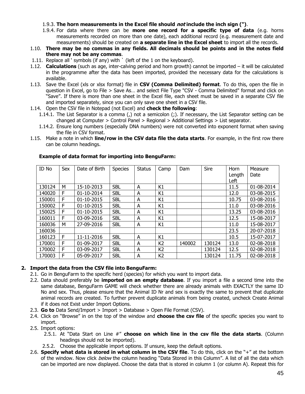- 1.9.3. **The horn measurements in the Excel file should not include the inch sign (")**.
- 1.9.4. For data where there can be **more one record for a specific type of data** (e.g. horns measurements recorded on more than one date), each additional record (e.g. measurement date and measurements) should be created on **a separate line in the Excel sheet** to import all the records.
- 1.10. **There may be no commas in any fields. All decimals should be points and in the notes field there may not be any commas**.
- 1.11. Replace all ' symbols (if any) with ` (left of the 1 on the keyboard).
- 1.12. **Calculations** (such as age, inter-calving period and horn growth) cannot be imported it will be calculated in the programme after the data has been imported, provided the necessary data for the calculations is available.
- 1.13. Save the Excel (xls or xlsx format) file in **CSV (Comma Delimited) format**. To do this, open the file in question in Excel, go to File > Save As… and select File Type "CSV - Comma Delimited" format and click on "Save". If there is more than one sheet in the Excel file, each sheet must be saved in a separate CSV file and imported separately, since you can only save one sheet in a CSV file.
- 1.14. Open the CSV file in Notepad (not Excel) and **check the following**:
	- 1.14.1. The List Separator is a comma (,) not a semicolon (;). If necessary, the List Separator setting can be changed at Computer > Control Panel > Regional > Additional Settings > List separator.
	- 1.14.2. Ensure long numbers (especially DNA numbers) were not converted into exponent format when saving the file in CSV format.
- 1.15. Make a note in which **line/row in the CSV data file the data starts**. For example, in the first row there can be column headings.

| ID No  | Sex | Date of Birth | <b>Species</b> | <b>Status</b> | Camp           | Dam    | Sire   | Horn<br>Length | Measure<br>Date |
|--------|-----|---------------|----------------|---------------|----------------|--------|--------|----------------|-----------------|
|        |     |               |                |               |                |        |        | Left           |                 |
| 130124 | M   | 15-10-2013    | <b>SBL</b>     | A             | K1             |        |        | 11.5           | 01-08-2014      |
| 140020 | F   | 01-10-2014    | <b>SBL</b>     | A             | K1             |        |        | 12.0           | 03-08-2015      |
| 150001 | F   | 01-10-2015    | <b>SBL</b>     | A             | K1             |        |        | 10.75          | 03-08-2016      |
| 150002 | F   | 01-10-2015    | <b>SBL</b>     | A             | K1             |        |        | 11.0           | 03-08-2016      |
| 150025 | F   | 01-10-2015    | <b>SBL</b>     | A             | K1             |        |        | 13.25          | 03-08-2016      |
| 160011 | F   | 03-09-2016    | <b>SBL</b>     | A             | K1             |        |        | 12.5           | 15-08-2017      |
| 160036 | М   | 27-09-2016    | <b>SBL</b>     | A             | K1             |        |        | 11.0           | 15-08-2017      |
| 160036 |     |               |                |               |                |        |        | 23.5           | 20-07-2018      |
| 160123 | F   | 11-11-2016    | <b>SBL</b>     | A             | K1             |        |        | 10.5           | 15-07-2017      |
| 170001 | F   | 01-09-2017    | <b>SBL</b>     | A             | K <sub>2</sub> | 140002 | 130124 | 13.0           | 02-08-2018      |
| 170002 | F   | 03-09-2017    | <b>SBL</b>     | A             | K <sub>2</sub> |        | 130124 | 12.5           | 02-08-2018      |
| 170003 | F   | 05-09-2017    | <b>SBL</b>     | A             | K <sub>2</sub> |        | 130124 | 11.75          | 02-08-2018      |

#### **Example of data format for importing into BenguFarm:**

#### **2. Import the data from the CSV file into BenguFarm:**

- 2.1. Go in BenguFarm to the specific herd (species) for which you want to import data.
- 2.2. Data should preferably be **imported on an empty database**. If you import a file a second time into the same database, BenguFarm GAME will check whether there are already animals with EXACTLY the same ID No and sex. Thus, please ensure that the Animal ID Nr and sex is exactly the same to prevent that duplicate animal records are created. To further prevent duplicate animals from being created, uncheck Create Animal if it does not Exist under Import Options.
- 2.3. **Go to** Data Send/Import > Import > Database > Open File Format (CSV).
- 2.4. Click on "Browse" in on the top of the window and **choose the csv file** of the specific species you want to import.
- 2.5. Import options:
	- 2.5.1. At "Data Start on Line #" **choose on which line in the csv file the data starts**. (Column headings should not be imported).
	- 2.5.2. Choose the applicable import options. If unsure, keep the default options.
- 2.6. **Specify what data is stored in what column in the CSV file**. To do this, click on the "+" at the bottom of the window. Now click below the column heading "Data Stored in this Column". A list of all the data which can be imported are now displayed. Choose the data that is stored in column 1 (or column A). Repeat this for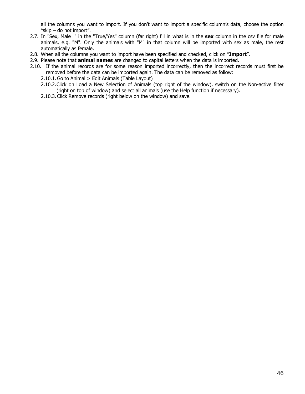all the columns you want to import. If you don't want to import a specific column's data, choose the option "skip – do not import".

- 2.7. In "Sex, Male=" in the "True/Yes" column (far right) fill in what is in the **sex** column in the csv file for male animals, e.g. "M". Only the animals with "M" in that column will be imported with sex as male, the rest automatically as female.
- 2.8. When all the columns you want to import have been specified and checked, click on "**Import**".
- 2.9. Please note that **animal names** are changed to capital letters when the data is imported.
- 2.10. If the animal records are for some reason imported incorrectly, then the incorrect records must first be removed before the data can be imported again. The data can be removed as follow:
	- 2.10.1.Go to Animal > Edit Animals (Table Layout)
	- 2.10.2.Click on Load a New Selection of Animals (top right of the window), switch on the Non-active filter (right on top of window) and select all animals (use the Help function if necessary).
	- 2.10.3. Click Remove records (right below on the window) and save.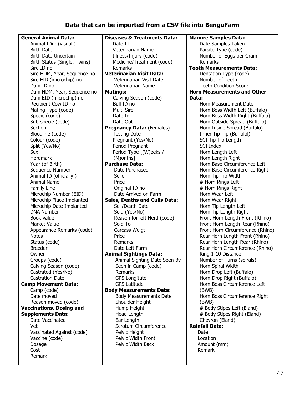# **Data that can be imported from a CSV file into BenguFarm**

**General Animal Data:** Animal IDnr (visual ) Birth Date Birth Date Uncertain Birth Status (Single, Twins) Sire ID no Sire HDM, Year, Sequence no Sire EID (microchip) no Dam ID no Dam HDM, Year, Sequence no Dam EID (microchip) no Recipient Cow ID no Mating Type (code) Specie (code) Sub-specie (code) **Section** Bloodline (code) Colour (code) Split (Yes/No) Sex Herdmark Year (of Birth) Sequence Number Animal ID (officially ) Animal Name Family Line Microchip Number (EID) Microchip Place Implanted Microchip Date Implanted DNA Number Book value Market Value Appearance Remarks (code) **Notes** Status (code) Breeder Owner Groups (code) Calving Season (code) Castrated (Yes/No) Castration Date **Camp Movement Data:** Camp (code) Date moved Reason moved (code) **Vaccinations, Dosing and Supplements Data:** Date Vaccinated Vet Vaccinated Against (code) Vaccine (code) Dosage Cost Remark **Diseases & Treatments Data:** Date Ill Veterinarian Name Illness/Injury (code) Medicine/Treatment (code) Remarks **Veterinarian Visit Data:** Veterinarian Visit Date Veterinarian Name **Matings:** Calving Season (code) Bull ID no Multi Sire Date In Date Out **Pregnancy Data:** (Females) Testing Date Pregnant (Yes/No) Period Pregnant Period Type [(W)eeks / (M)onths] **Purchase Data:** Date Purchased Seller Price Original ID no Date Arrived on Farm **Sales, Deaths and Culls Data:** Sell/Death Date Sold (Yes/No) Reason for left Herd (code) Sold To Carcass Weigt Price Remarks Date Left Farm **Animal Sightings Data:** Animal Sighting Date Seen By Seen in Camp (code) Remarks GPS Longitute GPS Latitude **Body Measurements Data:** Body Measurements Date Shoulder Height Hump Height Head Length Ear Length Scrotum Circumference Pelvic Height Pelvic Width Front Pelvic Width Back **Manure Samples Data:** Date Samples Taken Parsite Type (code) Number of Eggs per Gram Remarks **Tooth Measurements Data:** Dentation Type (code) Number of Teeth Teeth Condition Score **Horn Measurements and Other Data:** Horn Measurement Date Horn Boss Width Left (Buffalo) Horn Boss Width Right (Buffalo) Horn Outside Spread (Buffalo) Horn Inside Spread (Buffalo) Inner Tip-Tip (Buffalol) SCI Tip-Tip Length SCI Index Horn Length Left Horn Length Right Horn Base Circumference Left Horn Base Circumference Right Horn Tip-Tip Width # Horn Rings Left # Horn Rings Right Horn Wear Left Horn Wear Right Horn Tip Length Left Horn Tip Length Right Front Horn Length Front (Rhino) Front Horn Length Rear (Rhino) Front Horn Circumference (Rhino) Rear Horn Length Front (Rhino) Rear Horn Length Rear (Rhino) Rear Horn Circumference (Rhino) Ring 1-10 Distance Number of Turns (spirals) Horn Spiral Width Horn Drop Left (Buffalo) Horn Drop Right (Buffalo) Horn Boss Circumference Left (BWB) Horn Boss Circumference Right (BWB) # Body Stipes Left (Eland) # Body Stipes Right (Eland) Chevron (Eland) **Rainfall Data:** Date Location Amount (mm) Remark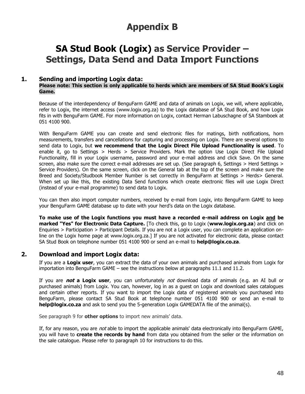# **Appendix B**

# **SA Stud Book (Logix) as Service Provider – Settings, Data Send and Data Import Functions**

#### **1. Sending and importing Logix data:**

#### **Please note: This section is only applicable to herds which are members of SA Stud Book's Logix Game.**

Because of the interdependency of BenguFarm GAME and data of animals on Logix, we will, where applicable, refer to Logix, the internet access (www.logix.org.za) to the Logix database of SA Stud Book, and how Logix fits in with BenguFarm GAME. For more information on Logix, contact Herman Labuschagne of SA Stamboek at 051 4100 900.

With BenguFarm GAME you can create and send electronic files for matings, birth notifications, horn measurements, transfers and cancellations for capturing and processing on Logix. There are several options to send data to Logix, but **we recommend that the Logix Direct File Upload Functionality is used**. To enable it, go to Settings > Herds > Service Providers. Mark the option Use Logix Direct File Upload Functionality, fill in your Logix username, password and your e-mail address and click Save. On the same screen, also make sure the correct e-mail addresses are set up. (See paragraph 6, Settings > Herd Settings > Service Providers). On the same screen, click on the General tab at the top of the screen and make sure the Breed and Society/Studbook Member Number is set correctly in BenguFarm at Settings > Herds> General. When set up like this, the existing Data Send functions which create electronic files will use Logix Direct (instead of your e-mail programme) to send data to Logix.

You can then also import computer numbers, received by e-mail from Logix, into BenguFarm GAME to keep your BenguFarm GAME database up to date with your herd's data on the Logix database.

**To make use of the Logix functions you must have a recorded e-mail address on Logix and be marked "Yes" for Electronic Data Capture.** [To check this, go to Logix (**[www.logix.org.za](http://www.logix.org.za/)**) and click on Enquiries > Participation > Participant Details. If you are not a Logix user, you can complete an application online on the Logix home page at www.logix.org.za.] If you are not activated for electronic data, please contact SA Stud Book on telephone number 051 4100 900 or send an e-mail to **help@logix.co.za**.

# **2. Download and import Logix data:**

If you are a **Logix user**, you can extract the data of your own animals and purchased animals from Logix for importation into BenguFarm GAME – see the instructions below at paragraphs 11.1 and 11.2.

If you are **not a Logix user**, you can unfortunately not download data of animals (e.g. an AI bull or purchased animals) from Logix. You can, however, log in as a guest on Logix and download sales catalogues and certain other reports. If you want to import the Logix data of registered animals you purchased into BenguFarm, please contact SA Stud Book at telephone number 051 4100 900 or send an e-mail to **help@logix.co.za** and ask to send you the 5-generation Logix GAMEDATA file of the animal(s).

See paragraph 9 for **other options** to import new animals' data.

If, for any reason, you are *not* able to import the applicable animals' data electronically into BenguFarm GAME, you will have to **create the records by hand** from data you obtained from the seller or the information on the sale catalogue. Please refer to paragraph 10 for instructions to do this.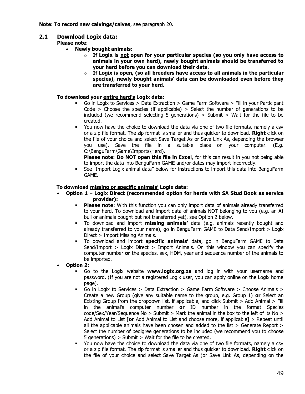# **2.1 Download Logix data:**

**Please note**:

- **Newly bought animals:**
	- o **If Logix is not open for your particular species (so you only have access to animals in your own herd), newly bought animals should be transferred to your herd before you can download their data**.
	- o **If Logix is open, (so all breeders have access to all animals in the particular species), newly bought animals' data can be downloaded even before they are transferred to your herd.**

#### **To download your entire herd's Logix data:**

- Go in Logix to Services  $>$  Data Extraction  $>$  Game Farm Software  $>$  Fill in your Participant Code  $>$  Choose the species (if applicable)  $>$  Select the number of generations to be included (we recommend selecting 5 generations) > Submit > Wait for the file to be created.
- You now have the choice to download the data via one of two file formats, namely a csv or a zip file format. The zip format is smaller and thus quicker to download. **Right** click on the file of your choice and select Save Target As or Save Link As, depending the browser you use). Save the file in a suitable place on your computer. (E.g. C:\BenguFarm\Game\Imports\Herd).

**Please note: Do NOT open this file in Excel**, for this can result in you not being able to import the data into BenguFarm GAME and/or dates may import incorrectly.

▪ See "Import Logix animal data" below for instructions to import this data into BenguFarm GAME.

#### **To download missing or specific animals' Logix data:**

- **Option 1 Logix Direct (recommended option for herds with SA Stud Book as service provider):**
	- **Please note**: With this function you can only import data of animals already transferred to your herd. To download and import data of animals NOT belonging to you (e.g. an AI bull or animals bought but not transferred yet), see Option 2 below.
	- To download and import **missing animals'** data (e.g. animals recently bought and already transferred to your name), go in BenguFarm GAME to Data Send/Import > Logix Direct > Import Missing Animals.
	- To download and import **specific animals'** data, go in BenguFarm GAME to Data Send/Import > Logix Direct > Import Animals. On this window you can specify the computer number **or** the species, sex, HDM, year and sequence number of the animals to be imported.
- **Option 2:**
	- Go to the Logix website **www.logix.org.za** and log in with your username and password. (If you are not a registered Logix user, you can apply online on the Logix home page).
	- Go in Logix to Services > Data Extraction > Game Farm Software > Choose Animals > Create a new Group (give any suitable name to the group, e.g. Group 1) **or** Select an Existing Group from the dropdown list, if applicable, and click Submit > Add Animal > Fill in the animal's computer number **or** ID number in the format Species code/Sex/Year/Sequence No > Submit > Mark the animal in the box to the left of its No > Add Animal to List [**or** Add Animal to List and choose more, if applicable] > Repeat until all the applicable animals have been chosen and added to the list  $>$  Generate Report  $>$ Select the number of pedigree generations to be included (we recommend you to choose 5 generations) > Submit > Wait for the file to be created.
	- You now have the choice to download the data via one of two file formats, namely a csv or a zip file format. The zip format is smaller and thus quicker to download. **Right** click on the file of your choice and select Save Target As (or Save Link As, depending on the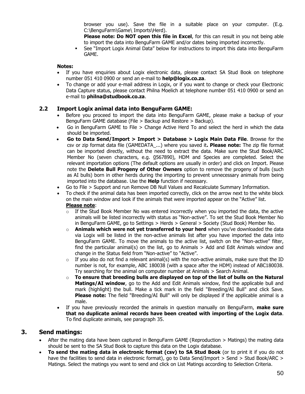browser you use). Save the file in a suitable place on your computer. (E.g. C:\BenguFarm\Game\ Imports\Herd).

**Please note: Do NOT open this file in Excel**, for this can result in you not being able to import the data into BenguFarm GAME and/or dates being imported incorrectly.

▪ See "Import Logix Animal Data" below for instructions to import this data into BenguFarm GAME.

#### **Notes:**

- If you have enquiries about Logix electronic data, please contact SA Stud Book on telephone number 051 410 0900 or send an e-mail to **help@logix.co.za**.
- To change or add your e-mail address in Logix, or if you want to change or check your Electronic Data Capture status, please contact Philna Moelich at telephone number 051 410 0900 or send an e-mail to **philna@studbook.co.za**.

#### **2.2 Import Logix animal data into BenguFarm GAME:**

- Before you proceed to import the data into BenguFarm GAME, please make a backup of your BenguFarm GAME database (File > Backup and Restore > Backup).
- Go in BenguFarm GAME to File > Change Active Herd To and select the herd in which the data should be imported.
- **Go to Data Send/Import > Import > Database > Logix Main Data File**. Browse for the csv or zip format data file (GAMEDATA\_...) where you saved it**. Please note:** The zip file format can be imported directly, without the need to extract the data. Make sure the Stud Book/ARC Member No (seven characters, e.g. 0567890), HDM and Species are completed. Select the relevant importation options (The default options are usually in order) and click on Import. Please note the **Delete Bull Progeny of Other Owners** option to remove the progeny of bulls (such as AI bulls) born in other herds during the importing to prevent unnecessary animals from being imported into the database. Use the **Help** function if necessary.
- Go to File > Support and run Remove DB Null Values and Recalculate Summary Information.
- To check if the animal data has been imported correctly, click on the arrow next to the white block on the main window and look if the animals that were imported appear on the "Active" list. **Please note**:
	- $\circ$  If the Stud Book Member No was entered incorrectly when you imported the data, the active animals will be listed incorrectly with status as "Non-active". To set the Stud Book Member No in BenguFarm GAME, go to Settings > Herds > General > Society (Stud Book) Member No.
	- o **Animals which were not yet transferred to your herd** when you've downloaded the data via Logix will be listed in the non-active animals list after you have imported the data into BenguFarm GAME. To move the animals to the active list, switch on the "Non-active" filter, find the particular animal(s) on the list, go to Animals  $>$  Add and Edit Animals window and change in the Status field from "Non-active" to "Active".
	- $\circ$  If you also do not find a relevant animal(s) with the non-active animals, make sure that the ID number is not, for example, ABC 180038 (with a space after the HDM) instead of ABC180038. Try searching for the animal on computer number at Animals > Search Animal.
	- o **To ensure that breeding bulls are displayed on top of the list of bulls on the Natural Matings/AI window**, go to the Add and Edit Animals window, find the applicable bull and mark (highlight) the bull. Make a tick mark in the field "Breeding/AI Bull" and click Save. **Please note:** The field "Breeding/AI Bull" will only be displayed if the applicable animal is a male.
- If you have previously recorded the animals in question manually on BenguFarm, **make sure that no duplicate animal records have been created with importing of the Logix data**. To find duplicate animals, see paragraph 35.

# **3. Send matings:**

- After the mating data have been captured in BenguFarm GAME (Reproduction > Matings) the mating data should be sent to the SA Stud Book to capture this data on the Logix database.
- **To send the mating data in electronic format (csv) to SA Stud Book** (or to print it if you do not have the facilities to send data in electronic format), go to Data Send/Import > Send > Stud Book/ARC > Matings. Select the matings you want to send and click on List Matings according to Selection Criteria.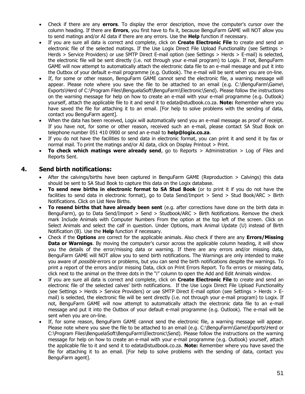- Check if there are any **errors**. To display the error description, move the computer's cursor over the column heading. If there are **Errors**, you first have to fix it, because BenguFarm GAME will NOT allow you to send matings and/or AI data if there are any errors. Use the **Help** function if necessary.
- If you are sure all data is correct and complete, click on **Create Electronic File** to create and send an electronic file of the selected matings. If the Use Logix Direct File Upload Functionality (see Settings > Herds > Service Providers) or use SMTP Direct E-mail option (see Settings > Herds > E-mail) is selected, the electronic file will be sent directly (i.e. not through your e-mail program) to Logix. If not, BenguFarm GAME will now attempt to automatically attach the electronic data file to an e-mail message and put it into the Outbox of your default e-mail programme (e.g. Outlook). The e-mail will be sent when you are on-line.
- If, for some or other reason, BenguFarm GAME cannot send the electronic file, a warning message will appear. Please note where you save the file to be attached to an email (e.g. C:\BenguFarm\Game\ Exports\Herd of C:\Program Files\BenguelaSoft\BenguFarm\Electronic\Send). Please follow the instructions on the warning message for help on how to create an e-mail with your e-mail programme (e.g. Outlook) yourself, attach the applicable file to it and send it to edata@studbook.co.za. **Note:** Remember where you have saved the file for attaching it to an email. [For help to solve problems with the sending of data, contact you BenguFarm agent].
- When the data has been received, Logix will automatically send you an e-mail message as proof of receipt. If you have not, for some or other reason, received such an e-mail, please contact SA Stud Book on telephone number 051 410 0900 or send an e-mail to **help@logix.co.za**.
- If you do not have the facilities to send data in electronic format, you can print it and send it by fax or normal mail. To print the matings and/or AI data, click on Display Printout > Print.
- **To check which matings were already send**, go to Reports > Administration > Log of Files and Reports Sent.

# **4. Send birth notifications:**

- After the calvings/births have been captured in BenguFarm GAME (Reproduction > Calvings) this data should be sent to SA Stud Book to capture this data on the Logix database.
- **To send new births in electronic format to SA Stud Book** (or to print it if you do not have the facilities to send data in electronic format), go to Data Send/Import > Send > Stud Book/ARC > Birth Notifications. Click on List New Births.
- **To resend births that have already been sent** (e.g. after corrections have done on the birth data in BenguFarm), go to Data Send/Import > Send > Studbook/ARC > Birth Notifications. Remove the check mark Include Animals with Computer Numbers From the option at the top left of the screen. Click on Select Animals and select the calf in question. Under Options, mark Animal Update (U) instead of Birth Notification (B). Use the **Help** function if necessary.
- Check if the **Options** are correct for the applicable animals. Also check if there are any **Errors/Missing Data or Warnings**. By moving the computer's cursor across the applicable column heading, it will show you the details of the error/missing data or warning. If there are any errors and/or missing data, BenguFarm GAME will NOT allow you to send birth notifications. The Warnings are only intended to make you aware of *possible* errors or problems, but you can send the birth notifications despite the warnings. To print a report of the errors and/or missing Data, click on Print Errors Report. To fix errors or missing data, click next to the animal on the three dots in the "i" column to open the Add and Edit Animals window.
- If you are sure all data is correct and complete, click on **Create Electronic File** to create and send an electronic file of the selected calves' birth notifications. If the Use Logix Direct File Upload Functionality (see Settings > Herds > Service Providers) or use SMTP Direct E-mail option (see Settings > Herds > Email) is selected, the electronic file will be sent directly (i.e. not through your e-mail program) to Logix. If not, BenguFarm GAME will now attempt to automatically attach the electronic data file to an e-mail message and put it into the Outbox of your default e-mail programme (e.g. Outlook). The e-mail will be sent when you are on-line.
- If, for some reason, BenguFarm GAME cannot send the electronic file, a warning message will appear. Please note where you save the file to be attached to an email (e.g. C:\BenguFarm\Game\Exports\Herd or C:\Program Files\BenguelaSoft\BenguFarm\Electronic\Send). Please follow the instructions on the warning message for help on how to create an e-mail with your e-mail programme (e.g. Outlook) yourself, attach the applicable file to it and send it to edata@studbook.co.za. **Note:** Remember where you have saved the file for attaching it to an email. [For help to solve problems with the sending of data, contact you BenguFarm agent].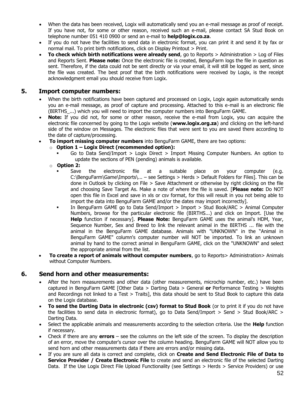- When the data has been received, Logix will automatically send you an e-mail message as proof of receipt. If you have not, for some or other reason, received such an e-mail, please contact SA Stud Book on telephone number 051 410 0900 or send an e-mail to **help@logix.co.za**.
- If you do not have the facilities to send data in electronic format, you can print it and send it by fax or normal mail. To print birth notifications, click on Display Printout > Print.
- **To check which birth notifications were already send**, go to Reports > Administration > Log of Files and Reports Sent. **Please note:** Once the electronic file is created, BenguFarm logs the file in question as sent. Therefore, if the data could not be sent directly or via your email, it will still be logged as sent, since the file was created. The best proof that the birth notifications were received by Logix, is the receipt acknowledgment email you should receive from Logix.

# **5. Import computer numbers:**

- When the birth notifications have been captured and processed on Logix, Logix again automatically sends you an e-mail message, as proof of capture and processing. Attached to this e-mail is an electronic file (BIRTHS\_...) which you will need to import the computer numbers into BenguFarm GAME.
- **Note:** If you did not, for some or other reason, receive the e-mail from Logix, you can acquire the electronic file concerned by going to the Logix website (**www.logix.org.za**) and clicking on the left-hand side of the window on Messages. The electronic files that were sent to you are saved there according to the date of capture/processing.
- **To import missing computer numbers** into BenguFarm GAME, there are two options:
	- o **Option 1 – Logix Direct (recommended option):**
		- Go to Data Send/Import  $>$  Logix Direct  $>$  Import Missing Computer Numbers. An option to update the sections of PEN (pending) animals is available.
	- o **Option 2:**
		- Save the electronic file at a suitable place on your computer (e.g. C:\BenguFarm\Game\Imports\... – see Settings > Herds > Default Folders for Files]. This can be done in Outlook by clicking on File > Save Attachment or otherwise by right clicking on the file and choosing Save Target As. Make a note of where the file is saved. [**Please note:** Do NOT open this file in Excel and save in xls or csv format, for this will result in you not being able to import the data into BenguFarm GAME and/or the dates may import incorrectly].
		- In BenguFarm GAME go to Data Send/Import > Import > Stud Book/ARC > Animal Computer Numbers, browse for the particular electronic file (BIRTHS...) and click on Import. [Use the **Help** function if necessary]. **Please Note:** BenguFarm GAME uses the animal's HDM, Year, Sequence Number, Sex and Breed to link the relevant animal in the BIRTHS ... file with the animal in the BenguFarm GAME database. Animals with "UNKNOWN" in the "Animal in BenguFarm GAME" column's computer number will NOT be imported. To link an unknown animal by hand to the correct animal in BenguFarm GAME, click on the "UNKNOWN" and select the appropriate animal from the list.
- **To create a report of animals without computer numbers**, go to Reports> Administration> Animals without Computer Numbers.

# **6. Send horn and other measurements:**

- After the horn measurements and other data (other measurements, microchip number, etc.) have been captured in BenguFarm GAME [Other Data > Darting Data > General **or** Performance Testing > Weights and Recordings not linked to a Test > Traits], this data should be sent to Stud Book to capture this data on the Logix database.
- **To send the Darting Data in electronic (csv) format to Stud Book** (or to print it if you do not have the facilities to send data in electronic format), go to Data Send/Import > Send > Stud Book/ARC > Darting Data.
- Select the applicable animals and measurements according to the selection criteria. Use the **Help** function if necessary.
- Check if there are any **errors** see the columns on the left side of the screen. To display the description of an error, move the computer's cursor over the column heading. BenguFarm GAME will NOT allow you to send horn and other measurements data if there are errors and/or missing data.
- If you are sure all data is correct and complete, click on **Create and Send Electronic File of Data to Service Provider / Create Electronic File** to create and send an electronic file of the selected Darting Data. If the Use Logix Direct File Upload Functionality (see Settings > Herds > Service Providers) or use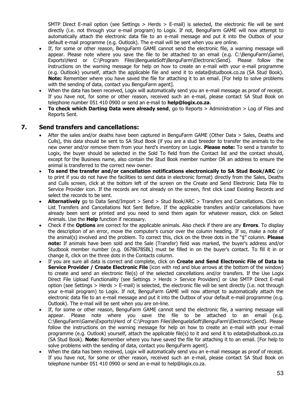SMTP Direct E-mail option (see Settings > Herds > E-mail) is selected, the electronic file will be sent directly (i.e. not through your e-mail program) to Logix. If not, BenguFarm GAME will now attempt to automatically attach the electronic data file to an e-mail message and put it into the Outbox of your default e-mail programme (e.g. Outlook). The e-mail will be sent when you are online.

- If, for some or other reason, BenguFarm GAME cannot send the electronic file, a warning message will appear. Please note where you save the file to be attached to an email (e.g. C:\BenguFarm\Game\ Exports\Herd or C:\Program Files\BenguelaSoft\BenguFarm\Electronic\Send). Please follow the instructions on the warning message for help on how to create an e-mail with your e-mail programme (e.g. Outlook) yourself, attach the applicable file and send it to edata@studbook.co.za (SA Stud Book). **Note:** Remember where you have saved the file for attaching it to an email. [For help to solve problems with the sending of data, contact you BenguFarm agent].
- When the data has been received, Logix will automatically send you an e-mail message as proof of receipt. If you have not, for some or other reason, received such an e-mail, please contact SA Stud Book on telephone number 051 410 0900 or send an e-mail to **help@logix.co.za**.
- **To check which Darting Data were already send**, go to Reports > Administration > Log of Files and Reports Sent.

# **7. Send transfers and cancellations:**

- After the sales and/or deaths have been captured in BenguFarm GAME (Other Data > Sales, Deaths and Culls), this data should be sent to SA Stud Book (if you are a stud breeder to transfer the animals to the new owner and/or remove them from your herd's inventory on Logix. **Please note:** To send a transfer to Logix, the buyer should be selected in the Sold To field from the Contact list and the contact should, except for the Business name, also contain the Stud Book member number OR an address to ensure the animal is transferred to the correct new owner.
- **To send the transfer and/or cancellation notifications electronically to SA Stud Book/ARC** (or to print if you do not have the facilities to send data in electronic format) directly from the Sales, Deaths and Culls screen, click at the bottom left of the screen on the Create and Send Electronic Data File to Service Provider icon. If the records are not already on the screen, first click Load Existing Records and select the records to be sent.
- **Alternatively** go to Data Send/Import > Send > Stud Book/ARC > Transfers and Cancellations. Click on List Transfers and Cancellations Not Sent Before. If the applicable transfers and/or cancellations have already been sent or printed and you need to send them again for whatever reason, click on Select Animals. Use the **Help** function if necessary.
- Check if the **Options** are correct for the applicable animals. Also check if there are any **Errors**. To display the description of an error, move the computer's cursor over the column heading. If so, make a note of the animal(s) involved and the problem. To correct this, click on the three dots in the "\$" column. **Please note:** If animals have been sold and the Sale (Transfer) field was marked, the buyer's address and/or Studbook member number (e.g. 0678678SBL) must be filled in on the buyer's contact. To fill it in or change it, click on the three dots in the Contacts column.
- If you are sure all data is correct and complete, click on **Create and Send Electronic File of Data to Service Provider / Create Electronic File** (icon with red and blue arrows at the bottom of the window) to create and send an electronic file(s) of the selected cancellations and/or transfers. If the Use Logix Direct File Upload Functionality (see Settings > Herds > Service Providers) or Use SMTP Direct E-mail option (see Settings > Herds > E-mail) is selected, the electronic file will be sent directly (i.e. not through your e-mail program) to Logix. If not, BenguFarm GAME will now attempt to automatically attach the electronic data file to an e-mail message and put it into the Outbox of your default e-mail programme (e.g. Outlook). The e-mail will be sent when you are on-line.
- If, for some or other reason, BenguFarm GAME cannot send the electronic file, a warning message will appear. Please note where you save the file to be attached to an email (e.g. C:\BenguFarm\Game\Exports\Herd of C:\Program Files\BenguelaSoft\BenguFarm\Electronic\Send). Please follow the instructions on the warning message for help on how to create an e-mail with your e-mail programme (e.g. Outlook) yourself, attach the applicable file(s) to it and send it to edata@studbook.co.za (SA Stud Book). **Note:** Remember where you have saved the file for attaching it to an email. [For help to solve problems with the sending of data, contact you BenguFarm agent].
- When the data has been received, Logix will automatically send you an e-mail message as proof of receipt. If you have not, for some or other reason, received such an e-mail, please contact SA Stud Book on telephone number 051 410 0900 or send an e-mail to help@logix.co.za.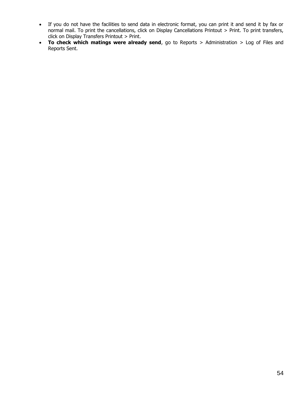- If you do not have the facilities to send data in electronic format, you can print it and send it by fax or normal mail. To print the cancellations, click on Display Cancellations Printout > Print. To print transfers, click on Display Transfers Printout > Print.
- **To check which matings were already send**, go to Reports > Administration > Log of Files and Reports Sent.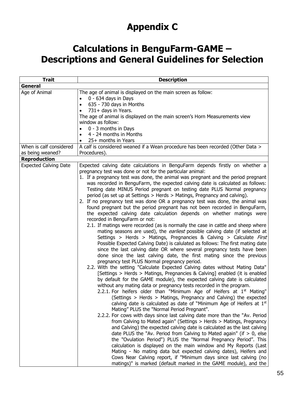# **Appendix C**

# **Calculations in BenguFarm-GAME – Descriptions and General Guidelines for Selection**

| <b>Trait</b>                                | <b>Description</b>                                                                                                                                                                                                                                                                                                                                                                                                                                                                                                                                                                                                                                                                                                                                                                                                                                                                                                                                                                                                                                                                                                                                                                                                                                                                                                                                                                                                                                                                                                                                                                                                                                                                                                                                                                                                                                                                                                                                                                                                                                                                                                                                                                                                                                                                                                                                                                                                                                                                                                                                         |
|---------------------------------------------|------------------------------------------------------------------------------------------------------------------------------------------------------------------------------------------------------------------------------------------------------------------------------------------------------------------------------------------------------------------------------------------------------------------------------------------------------------------------------------------------------------------------------------------------------------------------------------------------------------------------------------------------------------------------------------------------------------------------------------------------------------------------------------------------------------------------------------------------------------------------------------------------------------------------------------------------------------------------------------------------------------------------------------------------------------------------------------------------------------------------------------------------------------------------------------------------------------------------------------------------------------------------------------------------------------------------------------------------------------------------------------------------------------------------------------------------------------------------------------------------------------------------------------------------------------------------------------------------------------------------------------------------------------------------------------------------------------------------------------------------------------------------------------------------------------------------------------------------------------------------------------------------------------------------------------------------------------------------------------------------------------------------------------------------------------------------------------------------------------------------------------------------------------------------------------------------------------------------------------------------------------------------------------------------------------------------------------------------------------------------------------------------------------------------------------------------------------------------------------------------------------------------------------------------------------|
| General                                     |                                                                                                                                                                                                                                                                                                                                                                                                                                                                                                                                                                                                                                                                                                                                                                                                                                                                                                                                                                                                                                                                                                                                                                                                                                                                                                                                                                                                                                                                                                                                                                                                                                                                                                                                                                                                                                                                                                                                                                                                                                                                                                                                                                                                                                                                                                                                                                                                                                                                                                                                                            |
| Age of Animal                               | The age of animal is displayed on the main screen as follow:<br>0 - 634 days in Days<br>$\bullet$<br>635 - 730 days in Months<br>$\bullet$                                                                                                                                                                                                                                                                                                                                                                                                                                                                                                                                                                                                                                                                                                                                                                                                                                                                                                                                                                                                                                                                                                                                                                                                                                                                                                                                                                                                                                                                                                                                                                                                                                                                                                                                                                                                                                                                                                                                                                                                                                                                                                                                                                                                                                                                                                                                                                                                                 |
|                                             | 731+ days in Years.<br>$\bullet$                                                                                                                                                                                                                                                                                                                                                                                                                                                                                                                                                                                                                                                                                                                                                                                                                                                                                                                                                                                                                                                                                                                                                                                                                                                                                                                                                                                                                                                                                                                                                                                                                                                                                                                                                                                                                                                                                                                                                                                                                                                                                                                                                                                                                                                                                                                                                                                                                                                                                                                           |
|                                             | The age of animal is displayed on the main screen's Horn Measurements view                                                                                                                                                                                                                                                                                                                                                                                                                                                                                                                                                                                                                                                                                                                                                                                                                                                                                                                                                                                                                                                                                                                                                                                                                                                                                                                                                                                                                                                                                                                                                                                                                                                                                                                                                                                                                                                                                                                                                                                                                                                                                                                                                                                                                                                                                                                                                                                                                                                                                 |
|                                             | window as follow:                                                                                                                                                                                                                                                                                                                                                                                                                                                                                                                                                                                                                                                                                                                                                                                                                                                                                                                                                                                                                                                                                                                                                                                                                                                                                                                                                                                                                                                                                                                                                                                                                                                                                                                                                                                                                                                                                                                                                                                                                                                                                                                                                                                                                                                                                                                                                                                                                                                                                                                                          |
|                                             | 0 - 3 months in Days<br>$\bullet$                                                                                                                                                                                                                                                                                                                                                                                                                                                                                                                                                                                                                                                                                                                                                                                                                                                                                                                                                                                                                                                                                                                                                                                                                                                                                                                                                                                                                                                                                                                                                                                                                                                                                                                                                                                                                                                                                                                                                                                                                                                                                                                                                                                                                                                                                                                                                                                                                                                                                                                          |
|                                             | 4 - 24 months in Months                                                                                                                                                                                                                                                                                                                                                                                                                                                                                                                                                                                                                                                                                                                                                                                                                                                                                                                                                                                                                                                                                                                                                                                                                                                                                                                                                                                                                                                                                                                                                                                                                                                                                                                                                                                                                                                                                                                                                                                                                                                                                                                                                                                                                                                                                                                                                                                                                                                                                                                                    |
|                                             | 25+ months in Years<br>$\bullet$                                                                                                                                                                                                                                                                                                                                                                                                                                                                                                                                                                                                                                                                                                                                                                                                                                                                                                                                                                                                                                                                                                                                                                                                                                                                                                                                                                                                                                                                                                                                                                                                                                                                                                                                                                                                                                                                                                                                                                                                                                                                                                                                                                                                                                                                                                                                                                                                                                                                                                                           |
| When is calf considered<br>as being weaned? | A calf is considered weaned if a Wean procedure has been recorded (Other Data ><br>Procedures).                                                                                                                                                                                                                                                                                                                                                                                                                                                                                                                                                                                                                                                                                                                                                                                                                                                                                                                                                                                                                                                                                                                                                                                                                                                                                                                                                                                                                                                                                                                                                                                                                                                                                                                                                                                                                                                                                                                                                                                                                                                                                                                                                                                                                                                                                                                                                                                                                                                            |
| <b>Reproduction</b>                         |                                                                                                                                                                                                                                                                                                                                                                                                                                                                                                                                                                                                                                                                                                                                                                                                                                                                                                                                                                                                                                                                                                                                                                                                                                                                                                                                                                                                                                                                                                                                                                                                                                                                                                                                                                                                                                                                                                                                                                                                                                                                                                                                                                                                                                                                                                                                                                                                                                                                                                                                                            |
| <b>Expected Calving Date</b>                | Expected calving date calculations in BenguFarm depends firstly on whether a<br>pregnancy test was done or not for the particular animal:<br>1. If a pregnancy test was done, the animal was pregnant and the period pregnant<br>was recorded in BenguFarm, the expected calving date is calculated as follows:<br>Testing date MINUS Period pregnant on testing date PLUS Normal pregnancy<br>period (as set up at Settings > Herds > Matings, Pregnancy and calving).<br>2. If no pregnancy test was done OR a pregnancy test was done, the animal was<br>found pregnant but the period pregnant has not been recorded in BenguFarm,<br>the expected calving date calculation depends on whether matings were<br>recorded in BenguFarm or not:<br>2.1. If matings were recorded (as is normally the case in cattle and sheep where<br>mating seasons are used), the <i>earliest</i> possible calving date (if selected at<br>Settings > Herds > Matings, Pregnancies & Calving > Calculate First<br>Possible Expected Calving Date) is calulated as follows: The first mating date<br>since the last calving date OR where several pregnancy tests have been<br>done since the last calving date, the first mating since the previous<br>pregnancy test PLUS Normal pregnancy period.<br>2.2. With the setting "Calculate Expected Calving dates without Mating Data"<br>[Settings > Herds > Matings, Pregnancies & Calving] enabled (it is enabled<br>by default for the GAME module), the expected calving date is calculated<br>without any mating data or pregnancy tests recorded in the program.<br>2.2.1. For heifers older than "Minimum Age of Heifers at 1 <sup>st</sup> Mating"<br>(Settings > Herds > Matings, Pregnancy and Calving) the expected<br>calving date is calculated as date of "Minimum Age of Heifers at $1st$<br>Mating" PLUS the "Normal Period Pregnant".<br>2.2.2. For cows with days since last calving date more than the "Av. Period<br>from Calving to Mated again" (Settings > Herds > Matings, Pregnancy<br>and Calving) the expected calving date is calculated as the last calving<br>date PLUS the "Av. Period from Calving to Mated again" (if $> 0$ , else<br>the "Ovulation Period") PLUS the "Normal Pregnancy Period". This<br>calculation is displayed on the main window and My Reports (Last<br>Mating - No mating data but expected calving dates), Heifers and<br>Cows Near Calving report, if "Minimum days since last calving (no<br>matings)" is marked (default marked in the GAME module), and the |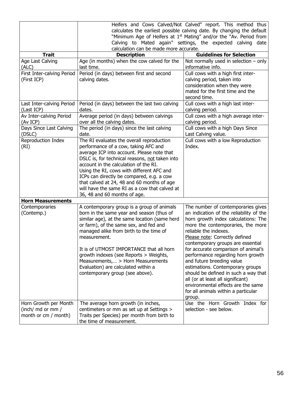|                            | Heifers and Cows Calved/Not Calved" report. This method thus                   |                                         |  |  |  |
|----------------------------|--------------------------------------------------------------------------------|-----------------------------------------|--|--|--|
|                            | calculates the earliest possible calving date. By changing the default         |                                         |  |  |  |
|                            | "Minimum Age of Heifers at 1 <sup>st</sup> Mating" and/or the "Av. Period from |                                         |  |  |  |
|                            | Calving to Mated again" settings, the expected calving date                    |                                         |  |  |  |
|                            | calculation can be made more accurate.                                         |                                         |  |  |  |
| <b>Trait</b>               | <b>Description</b>                                                             | <b>Guidelines for Selection</b>         |  |  |  |
| Age Last Calving           | Age (in months) when the cow calved for the                                    | Not normally used in selection $-$ only |  |  |  |
| (ALC)                      | last time.                                                                     | informative info.                       |  |  |  |
| First Inter-calving Period | Period (in days) between first and second                                      | Cull cows with a high first inter-      |  |  |  |
| (First ICP)                | calving dates.                                                                 | calving period, taken into              |  |  |  |
|                            |                                                                                | consideration when they were            |  |  |  |
|                            |                                                                                | mated for the first time and the        |  |  |  |
|                            |                                                                                | second time.                            |  |  |  |
| Last Inter-calving Period  | Period (in days) between the last two calving                                  | Cull cows with a high last inter-       |  |  |  |
| (Last ICP)                 | dates.                                                                         | calving period.                         |  |  |  |
| Av Inter-calving Period    | Average period (in days) between calvings                                      | Cull cows with a high average inter-    |  |  |  |
| (Av ICP)                   | over all the calving dates.                                                    | calving period.                         |  |  |  |
| Days Since Last Calving    | The period (in days) since the last calving                                    | Cull cows with a high Days Since        |  |  |  |
| (DSLC)                     | date.                                                                          | Last Calving value.                     |  |  |  |
| Reproduction Index         | The RI evaluates the overall reproduction                                      | Cull cows with a low Reproduction       |  |  |  |
| (RI)                       | performance of a cow, taking AFC and                                           | Index.                                  |  |  |  |
|                            | average ICP into account. Please note that                                     |                                         |  |  |  |
|                            | DSLC is, for technical reasons, not taken into                                 |                                         |  |  |  |
|                            | account in the calculation of the RI.                                          |                                         |  |  |  |
|                            | Using the RI, cows with different AFC and                                      |                                         |  |  |  |
|                            | ICPs can directly be compared, e.g. a cow                                      |                                         |  |  |  |
|                            | that calved at 24, 48 and 60 months of age                                     |                                         |  |  |  |
|                            | will have the same RI as a cow that calved at                                  |                                         |  |  |  |
|                            | 36, 48 and 60 months of age.                                                   |                                         |  |  |  |
| <b>Horn Measurements</b>   |                                                                                |                                         |  |  |  |
| Contemporaries             | A contemporary group is a group of animals                                     | The number of contemporaries gives      |  |  |  |
| (Contemp.)                 | born in the same year and season (thus of                                      | an indication of the reliability of the |  |  |  |
|                            | similar age), at the same location (same herd                                  | horn growth index calculations: The     |  |  |  |
|                            | or farm), of the same sex, and fed and                                         | more the contemporaries, the more       |  |  |  |
|                            | managed alike from birth to the time of                                        | reliable the indexes.                   |  |  |  |
|                            | measurement.                                                                   | Please note: Correctly defined          |  |  |  |
|                            |                                                                                | contemporary groups are essential       |  |  |  |
|                            | It is of UTMOST IMPORTANCE that all horn                                       | for accurate comparison of animal's     |  |  |  |
|                            | growth indexes (see Reports > Weights,                                         | performance regarding horn growth       |  |  |  |
|                            | Measurements, > Horn Measurements                                              | and future breeding value               |  |  |  |
|                            | Evaluation) are calculated within a                                            | estimations. Contemporary groups        |  |  |  |
|                            | contemporary group (see above).                                                | should be defined in such a way that    |  |  |  |
|                            |                                                                                | all (or at least all significant)       |  |  |  |
|                            |                                                                                | environmental effects are the same      |  |  |  |
|                            |                                                                                | for all animals within a particular     |  |  |  |
|                            |                                                                                | group.                                  |  |  |  |
| Horn Growth per Month      | The average horn growth (in inches,                                            | Use the Horn Growth Index for           |  |  |  |
| (inch/ md or mm /          | centimeters or mm as set up at Settings >                                      | selection - see below.                  |  |  |  |
| month or cm / month)       | Traits per Species) per month from birth to                                    |                                         |  |  |  |
|                            | the time of measurement.                                                       |                                         |  |  |  |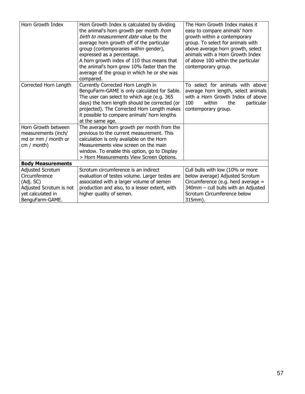| Horn Growth Index                                                                                                 | Horn Growth Index is calculated by dividing<br>the animal's horn growth per month from<br>birth to measurement date value by the<br>average horn growth off of the particular<br>group (contemporaries within gender),<br>expressed as a percentage.<br>A horn growth index of 110 thus means that<br>the animal's horn grew 10% faster than the<br>average of the group in which he or she was<br>compared. | The Horn Growth Index makes it<br>easy to compare animals' horn<br>growth within a contemporary<br>group. To select for animals with<br>above average horn growth, select<br>animals with a Horn Growth Index<br>of above 100 within the particular<br>contemporary group. |
|-------------------------------------------------------------------------------------------------------------------|--------------------------------------------------------------------------------------------------------------------------------------------------------------------------------------------------------------------------------------------------------------------------------------------------------------------------------------------------------------------------------------------------------------|----------------------------------------------------------------------------------------------------------------------------------------------------------------------------------------------------------------------------------------------------------------------------|
| Corrected Horn Length                                                                                             | Currently Corrected Horn Length in<br>BenguFarm-GAME is only calculated for Sable.<br>The user can select to which age (e.g. 365<br>days) the horn length should be corrected (or<br>projected). The Corrected Horn Length makes<br>it possible to compare animals' horn lengths<br>at the same age.                                                                                                         | To select for animals with above<br>average horn length, select animals<br>with a Horn Growth Index of above<br>100<br>within<br>the<br>particular<br>contemporary group.                                                                                                  |
| Horn Growth between<br>measurements (inch/<br>md or mm / month or<br>$cm /$ month)                                | The average horn growth per month from the<br>previous to the current measurement. This<br>calculation is only available on the Horn<br>Measurements view screen on the main<br>window. To enable this option, go to Display<br>> Horn Measurements View Screen Options.                                                                                                                                     |                                                                                                                                                                                                                                                                            |
| <b>Body Measurements</b>                                                                                          |                                                                                                                                                                                                                                                                                                                                                                                                              |                                                                                                                                                                                                                                                                            |
| Adjusted Scrotum<br>Circumference<br>(Adj. SC)<br>Adjusted Scrotum is not<br>yet calculated in<br>BenguFarm-GAME. | Scrotum circumference is an indirect<br>evaluation of testes volume. Larger testes are<br>associated with a larger volume of semen<br>production and also, to a lesser extent, with<br>higher quality of semen.                                                                                                                                                                                              | Cull bulls with low (10% or more<br>below average) Adjusted Scrotum<br>Circumference (e.g. herd average $=$<br>340mm - cull bulls with an Adjusted<br>Scrotum Circumference below<br>315mm).                                                                               |